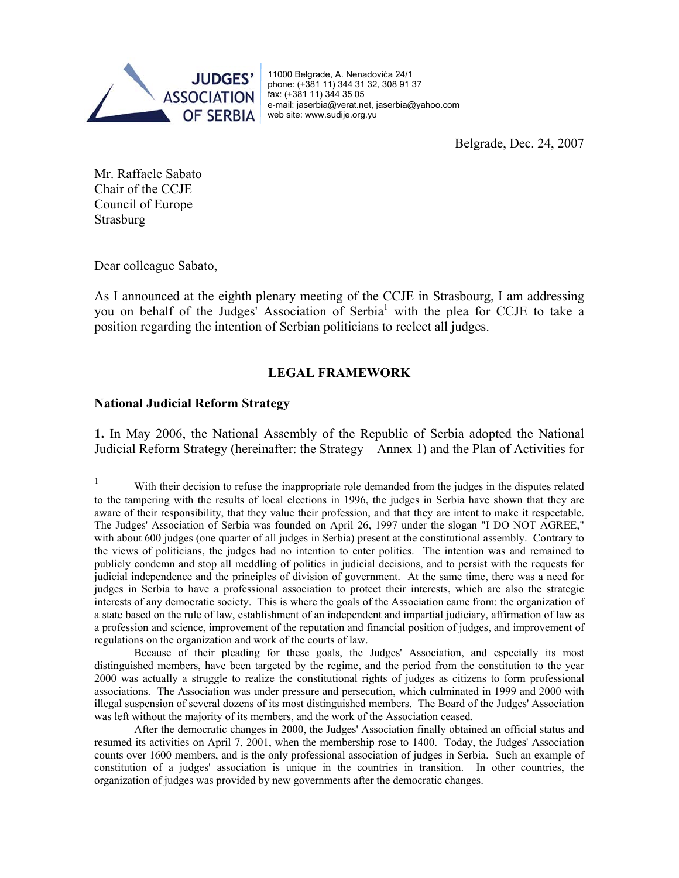

11000 Belgrade, A. Nenadovića 24/1 phone: (+381 11) 344 31 32, 308 91 37 fax: (+381 11) 344 35 05 e-mail: jaserbia@verat.net, jaserbia@yahoo.com web site: www.sudije.org.yu

Belgrade, Dec. 24, 2007

Mr. Raffaele Sabato Chair of the CCJE Council of Europe Strasburg

Dear colleague Sabato,

As I announced at the eighth plenary meeting of the CCJE in Strasbourg, I am addressing you on behalf of the Judges' Association of Serbia<sup>1</sup> with the plea for CCJE to take a position regarding the intention of Serbian politicians to reelect all judges.

## **LEGAL FRAMEWORK**

## **National Judicial Reform Strategy**

**1.** In May 2006, the National Assembly of the Republic of Serbia adopted the National Judicial Reform Strategy (hereinafter: the Strategy – Annex 1) and the Plan of Activities for

 $\frac{1}{1}$  With their decision to refuse the inappropriate role demanded from the judges in the disputes related to the tampering with the results of local elections in 1996, the judges in Serbia have shown that they are aware of their responsibility, that they value their profession, and that they are intent to make it respectable. The Judges' Association of Serbia was founded on April 26, 1997 under the slogan "I DO NOT AGREE," with about 600 judges (one quarter of all judges in Serbia) present at the constitutional assembly. Contrary to the views of politicians, the judges had no intention to enter politics. The intention was and remained to publicly condemn and stop all meddling of politics in judicial decisions, and to persist with the requests for judicial independence and the principles of division of government. At the same time, there was a need for judges in Serbia to have a professional association to protect their interests, which are also the strategic interests of any democratic society. This is where the goals of the Association came from: the organization of a state based on the rule of law, establishment of an independent and impartial judiciary, affirmation of law as a profession and science, improvement of the reputation and financial position of judges, and improvement of regulations on the organization and work of the courts of law.

Because of their pleading for these goals, the Judges' Association, and especially its most distinguished members, have been targeted by the regime, and the period from the constitution to the year 2000 was actually a struggle to realize the constitutional rights of judges as citizens to form professional associations. The Association was under pressure and persecution, which culminated in 1999 and 2000 with illegal suspension of several dozens of its most distinguished members. The Board of the Judges' Association was left without the majority of its members, and the work of the Association ceased.

After the democratic changes in 2000, the Judges' Association finally obtained an official status and resumed its activities on April 7, 2001, when the membership rose to 1400. Today, the Judges' Association counts over 1600 members, and is the only professional association of judges in Serbia. Such an example of constitution of a judges' association is unique in the countries in transition. In other countries, the organization of judges was provided by new governments after the democratic changes.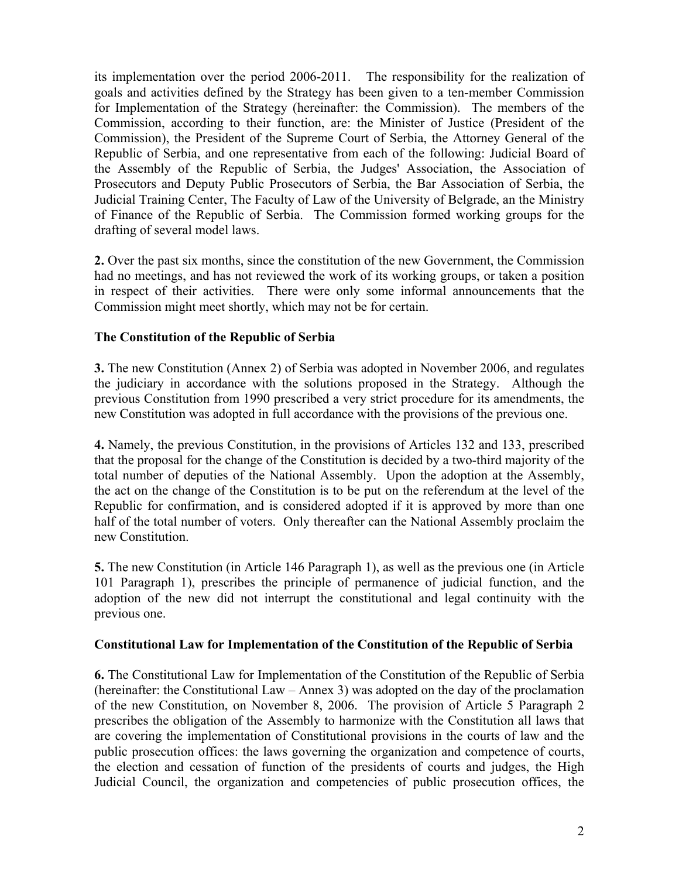its implementation over the period 2006-2011. The responsibility for the realization of goals and activities defined by the Strategy has been given to a ten-member Commission for Implementation of the Strategy (hereinafter: the Commission). The members of the Commission, according to their function, are: the Minister of Justice (President of the Commission), the President of the Supreme Court of Serbia, the Attorney General of the Republic of Serbia, and one representative from each of the following: Judicial Board of the Assembly of the Republic of Serbia, the Judges' Association, the Association of Prosecutors and Deputy Public Prosecutors of Serbia, the Bar Association of Serbia, the Judicial Training Center, The Faculty of Law of the University of Belgrade, an the Ministry of Finance of the Republic of Serbia. The Commission formed working groups for the drafting of several model laws.

**2.** Over the past six months, since the constitution of the new Government, the Commission had no meetings, and has not reviewed the work of its working groups, or taken a position in respect of their activities. There were only some informal announcements that the Commission might meet shortly, which may not be for certain.

## **The Constitution of the Republic of Serbia**

**3.** The new Constitution (Annex 2) of Serbia was adopted in November 2006, and regulates the judiciary in accordance with the solutions proposed in the Strategy. Although the previous Constitution from 1990 prescribed a very strict procedure for its amendments, the new Constitution was adopted in full accordance with the provisions of the previous one.

**4.** Namely, the previous Constitution, in the provisions of Articles 132 and 133, prescribed that the proposal for the change of the Constitution is decided by a two-third majority of the total number of deputies of the National Assembly. Upon the adoption at the Assembly, the act on the change of the Constitution is to be put on the referendum at the level of the Republic for confirmation, and is considered adopted if it is approved by more than one half of the total number of voters. Only thereafter can the National Assembly proclaim the new Constitution.

**5.** The new Constitution (in Article 146 Paragraph 1), as well as the previous one (in Article 101 Paragraph 1), prescribes the principle of permanence of judicial function, and the adoption of the new did not interrupt the constitutional and legal continuity with the previous one.

## **Constitutional Law for Implementation of the Constitution of the Republic of Serbia**

**6.** The Constitutional Law for Implementation of the Constitution of the Republic of Serbia (hereinafter: the Constitutional Law – Annex 3) was adopted on the day of the proclamation of the new Constitution, on November 8, 2006. The provision of Article 5 Paragraph 2 prescribes the obligation of the Assembly to harmonize with the Constitution all laws that are covering the implementation of Constitutional provisions in the courts of law and the public prosecution offices: the laws governing the organization and competence of courts, the election and cessation of function of the presidents of courts and judges, the High Judicial Council, the organization and competencies of public prosecution offices, the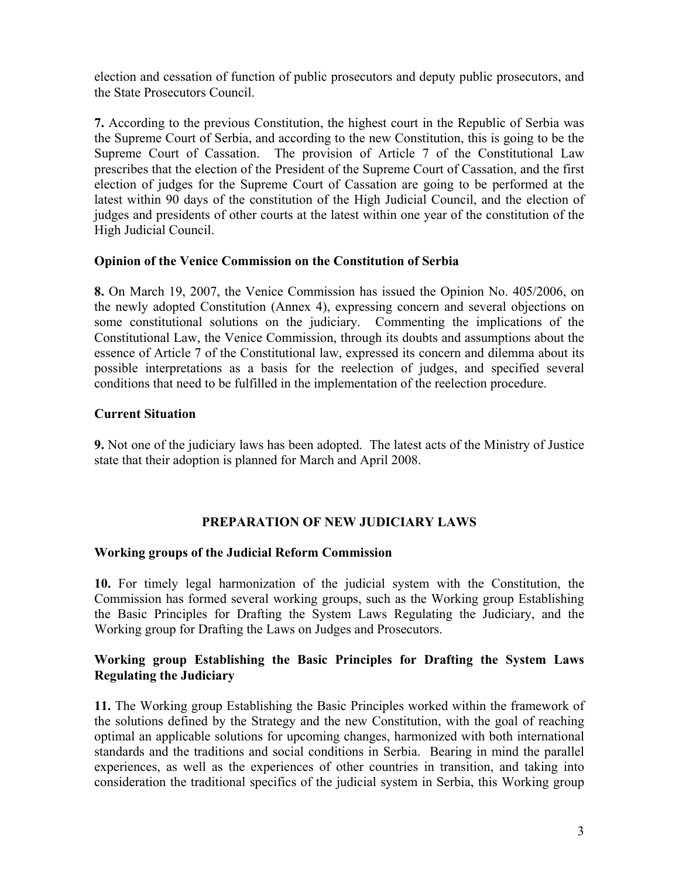election and cessation of function of public prosecutors and deputy public prosecutors, and the State Prosecutors Council.

**7.** According to the previous Constitution, the highest court in the Republic of Serbia was the Supreme Court of Serbia, and according to the new Constitution, this is going to be the Supreme Court of Cassation. The provision of Article 7 of the Constitutional Law prescribes that the election of the President of the Supreme Court of Cassation, and the first election of judges for the Supreme Court of Cassation are going to be performed at the latest within 90 days of the constitution of the High Judicial Council, and the election of judges and presidents of other courts at the latest within one year of the constitution of the High Judicial Council.

## **Opinion of the Venice Commission on the Constitution of Serbia**

**8.** On March 19, 2007, the Venice Commission has issued the Opinion No. 405/2006, on the newly adopted Constitution (Annex 4), expressing concern and several objections on some constitutional solutions on the judiciary. Commenting the implications of the Constitutional Law, the Venice Commission, through its doubts and assumptions about the essence of Article 7 of the Constitutional law, expressed its concern and dilemma about its possible interpretations as a basis for the reelection of judges, and specified several conditions that need to be fulfilled in the implementation of the reelection procedure.

## **Current Situation**

**9.** Not one of the judiciary laws has been adopted. The latest acts of the Ministry of Justice state that their adoption is planned for March and April 2008.

## **PREPARATION OF NEW JUDICIARY LAWS**

## **Working groups of the Judicial Reform Commission**

**10.** For timely legal harmonization of the judicial system with the Constitution, the Commission has formed several working groups, such as the Working group Establishing the Basic Principles for Drafting the System Laws Regulating the Judiciary, and the Working group for Drafting the Laws on Judges and Prosecutors.

## **Working group Establishing the Basic Principles for Drafting the System Laws Regulating the Judiciary**

**11.** The Working group Establishing the Basic Principles worked within the framework of the solutions defined by the Strategy and the new Constitution, with the goal of reaching optimal an applicable solutions for upcoming changes, harmonized with both international standards and the traditions and social conditions in Serbia. Bearing in mind the parallel experiences, as well as the experiences of other countries in transition, and taking into consideration the traditional specifics of the judicial system in Serbia, this Working group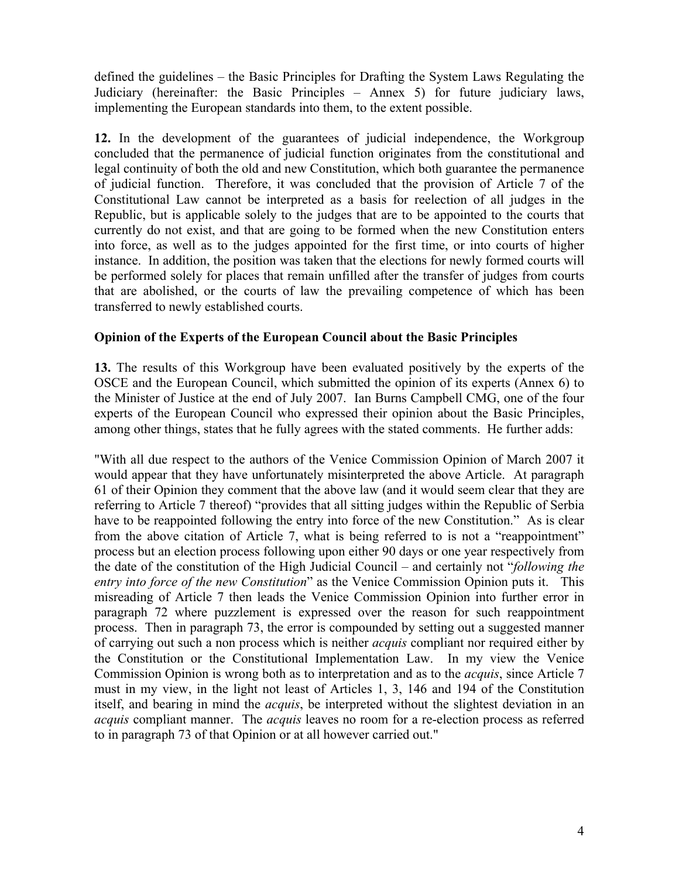defined the guidelines – the Basic Principles for Drafting the System Laws Regulating the Judiciary (hereinafter: the Basic Principles – Annex 5) for future judiciary laws, implementing the European standards into them, to the extent possible.

**12.** In the development of the guarantees of judicial independence, the Workgroup concluded that the permanence of judicial function originates from the constitutional and legal continuity of both the old and new Constitution, which both guarantee the permanence of judicial function. Therefore, it was concluded that the provision of Article 7 of the Constitutional Law cannot be interpreted as a basis for reelection of all judges in the Republic, but is applicable solely to the judges that are to be appointed to the courts that currently do not exist, and that are going to be formed when the new Constitution enters into force, as well as to the judges appointed for the first time, or into courts of higher instance. In addition, the position was taken that the elections for newly formed courts will be performed solely for places that remain unfilled after the transfer of judges from courts that are abolished, or the courts of law the prevailing competence of which has been transferred to newly established courts.

## **Opinion of the Experts of the European Council about the Basic Principles**

**13.** The results of this Workgroup have been evaluated positively by the experts of the OSCE and the European Council, which submitted the opinion of its experts (Annex 6) to the Minister of Justice at the end of July 2007. Ian Burns Campbell CMG, one of the four experts of the European Council who expressed their opinion about the Basic Principles, among other things, states that he fully agrees with the stated comments. He further adds:

"With all due respect to the authors of the Venice Commission Opinion of March 2007 it would appear that they have unfortunately misinterpreted the above Article. At paragraph 61 of their Opinion they comment that the above law (and it would seem clear that they are referring to Article 7 thereof) "provides that all sitting judges within the Republic of Serbia have to be reappointed following the entry into force of the new Constitution." As is clear from the above citation of Article 7, what is being referred to is not a "reappointment" process but an election process following upon either 90 days or one year respectively from the date of the constitution of the High Judicial Council – and certainly not "*following the entry into force of the new Constitution*" as the Venice Commission Opinion puts it. This misreading of Article 7 then leads the Venice Commission Opinion into further error in paragraph 72 where puzzlement is expressed over the reason for such reappointment process. Then in paragraph 73, the error is compounded by setting out a suggested manner of carrying out such a non process which is neither *acquis* compliant nor required either by the Constitution or the Constitutional Implementation Law. In my view the Venice Commission Opinion is wrong both as to interpretation and as to the *acquis*, since Article 7 must in my view, in the light not least of Articles 1, 3, 146 and 194 of the Constitution itself, and bearing in mind the *acquis*, be interpreted without the slightest deviation in an *acquis* compliant manner. The *acquis* leaves no room for a re-election process as referred to in paragraph 73 of that Opinion or at all however carried out."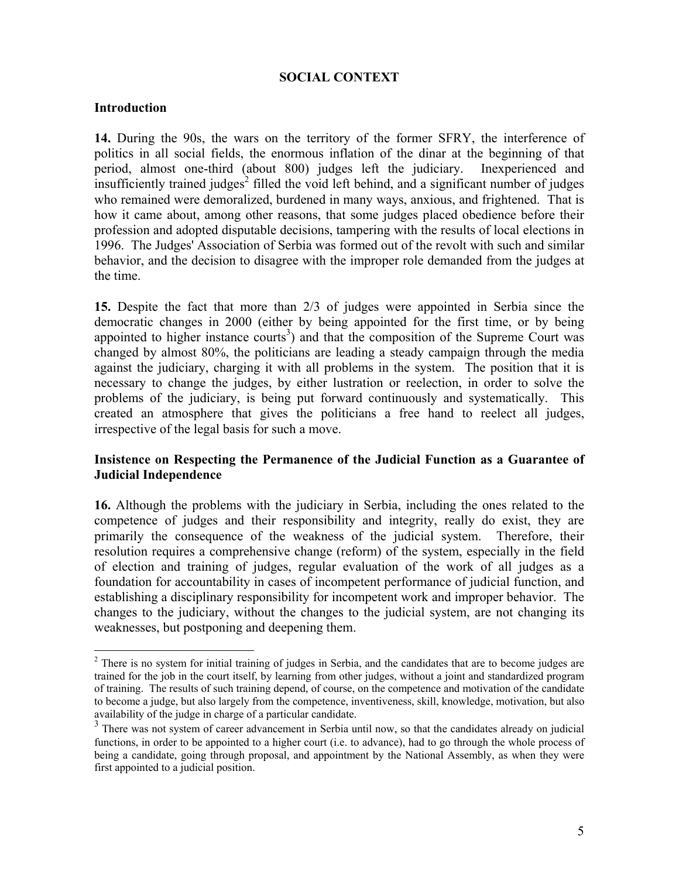## **SOCIAL CONTEXT**

#### **Introduction**

1

**14.** During the 90s, the wars on the territory of the former SFRY, the interference of politics in all social fields, the enormous inflation of the dinar at the beginning of that period, almost one-third (about 800) judges left the judiciary. Inexperienced and insufficiently trained judges<sup>2</sup> filled the void left behind, and a significant number of judges who remained were demoralized, burdened in many ways, anxious, and frightened. That is how it came about, among other reasons, that some judges placed obedience before their profession and adopted disputable decisions, tampering with the results of local elections in 1996. The Judges' Association of Serbia was formed out of the revolt with such and similar behavior, and the decision to disagree with the improper role demanded from the judges at the time.

**15.** Despite the fact that more than 2/3 of judges were appointed in Serbia since the democratic changes in 2000 (either by being appointed for the first time, or by being appointed to higher instance courts<sup>3</sup>) and that the composition of the Supreme Court was changed by almost 80%, the politicians are leading a steady campaign through the media against the judiciary, charging it with all problems in the system. The position that it is necessary to change the judges, by either lustration or reelection, in order to solve the problems of the judiciary, is being put forward continuously and systematically. This created an atmosphere that gives the politicians a free hand to reelect all judges, irrespective of the legal basis for such a move.

## **Insistence on Respecting the Permanence of the Judicial Function as a Guarantee of Judicial Independence**

**16.** Although the problems with the judiciary in Serbia, including the ones related to the competence of judges and their responsibility and integrity, really do exist, they are primarily the consequence of the weakness of the judicial system. Therefore, their resolution requires a comprehensive change (reform) of the system, especially in the field of election and training of judges, regular evaluation of the work of all judges as a foundation for accountability in cases of incompetent performance of judicial function, and establishing a disciplinary responsibility for incompetent work and improper behavior. The changes to the judiciary, without the changes to the judicial system, are not changing its weaknesses, but postponing and deepening them.

 $2$  There is no system for initial training of judges in Serbia, and the candidates that are to become judges are trained for the job in the court itself, by learning from other judges, without a joint and standardized program of training. The results of such training depend, of course, on the competence and motivation of the candidate to become a judge, but also largely from the competence, inventiveness, skill, knowledge, motivation, but also availability of the judge in charge of a particular candidate.

<sup>&</sup>lt;sup>3</sup> There was not system of career advancement in Serbia until now, so that the candidates already on judicial functions, in order to be appointed to a higher court (i.e. to advance), had to go through the whole process of being a candidate, going through proposal, and appointment by the National Assembly, as when they were first appointed to a judicial position.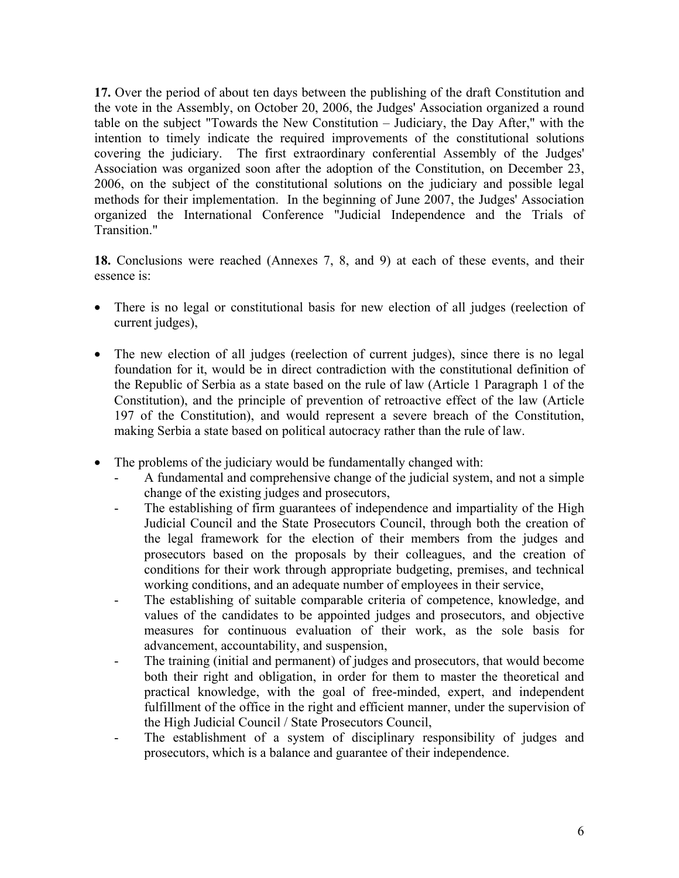**17.** Over the period of about ten days between the publishing of the draft Constitution and the vote in the Assembly, on October 20, 2006, the Judges' Association organized a round table on the subject "Towards the New Constitution – Judiciary, the Day After," with the intention to timely indicate the required improvements of the constitutional solutions covering the judiciary. The first extraordinary conferential Assembly of the Judges' Association was organized soon after the adoption of the Constitution, on December 23, 2006, on the subject of the constitutional solutions on the judiciary and possible legal methods for their implementation. In the beginning of June 2007, the Judges' Association organized the International Conference "Judicial Independence and the Trials of Transition."

**18.** Conclusions were reached (Annexes 7, 8, and 9) at each of these events, and their essence is:

- There is no legal or constitutional basis for new election of all judges (reelection of current judges),
- The new election of all judges (reelection of current judges), since there is no legal foundation for it, would be in direct contradiction with the constitutional definition of the Republic of Serbia as a state based on the rule of law (Article 1 Paragraph 1 of the Constitution), and the principle of prevention of retroactive effect of the law (Article 197 of the Constitution), and would represent a severe breach of the Constitution, making Serbia a state based on political autocracy rather than the rule of law.
- The problems of the judiciary would be fundamentally changed with:
	- A fundamental and comprehensive change of the judicial system, and not a simple change of the existing judges and prosecutors,
	- The establishing of firm guarantees of independence and impartiality of the High Judicial Council and the State Prosecutors Council, through both the creation of the legal framework for the election of their members from the judges and prosecutors based on the proposals by their colleagues, and the creation of conditions for their work through appropriate budgeting, premises, and technical working conditions, and an adequate number of employees in their service,
	- The establishing of suitable comparable criteria of competence, knowledge, and values of the candidates to be appointed judges and prosecutors, and objective measures for continuous evaluation of their work, as the sole basis for advancement, accountability, and suspension,
	- The training (initial and permanent) of judges and prosecutors, that would become both their right and obligation, in order for them to master the theoretical and practical knowledge, with the goal of free-minded, expert, and independent fulfillment of the office in the right and efficient manner, under the supervision of the High Judicial Council / State Prosecutors Council,
	- The establishment of a system of disciplinary responsibility of judges and prosecutors, which is a balance and guarantee of their independence.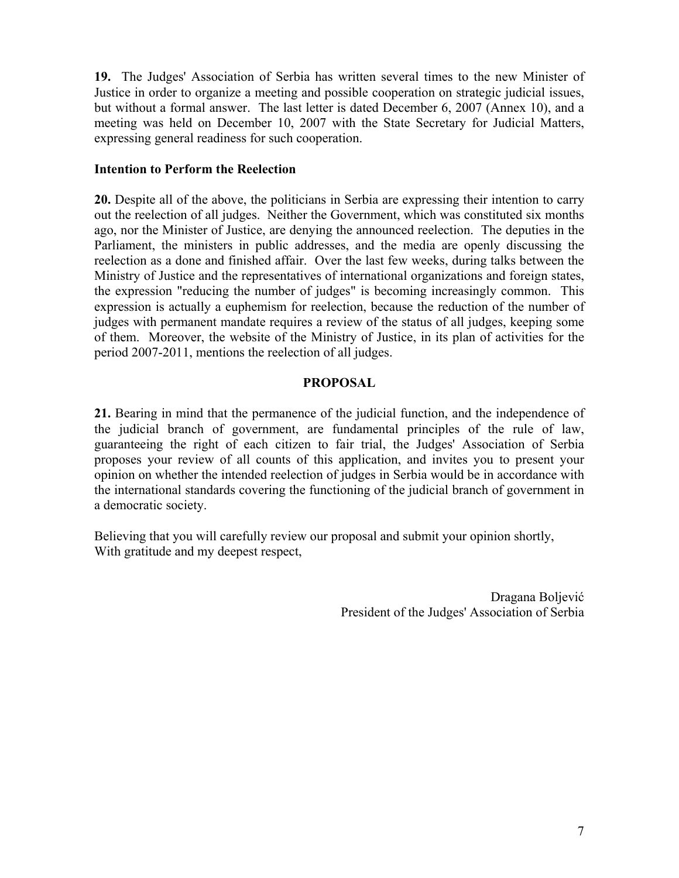**19.** The Judges' Association of Serbia has written several times to the new Minister of Justice in order to organize a meeting and possible cooperation on strategic judicial issues, but without a formal answer. The last letter is dated December 6, 2007 (Annex 10), and a meeting was held on December 10, 2007 with the State Secretary for Judicial Matters, expressing general readiness for such cooperation.

## **Intention to Perform the Reelection**

**20.** Despite all of the above, the politicians in Serbia are expressing their intention to carry out the reelection of all judges. Neither the Government, which was constituted six months ago, nor the Minister of Justice, are denying the announced reelection. The deputies in the Parliament, the ministers in public addresses, and the media are openly discussing the reelection as a done and finished affair. Over the last few weeks, during talks between the Ministry of Justice and the representatives of international organizations and foreign states, the expression "reducing the number of judges" is becoming increasingly common. This expression is actually a euphemism for reelection, because the reduction of the number of judges with permanent mandate requires a review of the status of all judges, keeping some of them. Moreover, the website of the Ministry of Justice, in its plan of activities for the period 2007-2011, mentions the reelection of all judges.

## **PROPOSAL**

**21.** Bearing in mind that the permanence of the judicial function, and the independence of the judicial branch of government, are fundamental principles of the rule of law, guaranteeing the right of each citizen to fair trial, the Judges' Association of Serbia proposes your review of all counts of this application, and invites you to present your opinion on whether the intended reelection of judges in Serbia would be in accordance with the international standards covering the functioning of the judicial branch of government in a democratic society.

Believing that you will carefully review our proposal and submit your opinion shortly, With gratitude and my deepest respect,

> Dragana Boljević President of the Judges' Association of Serbia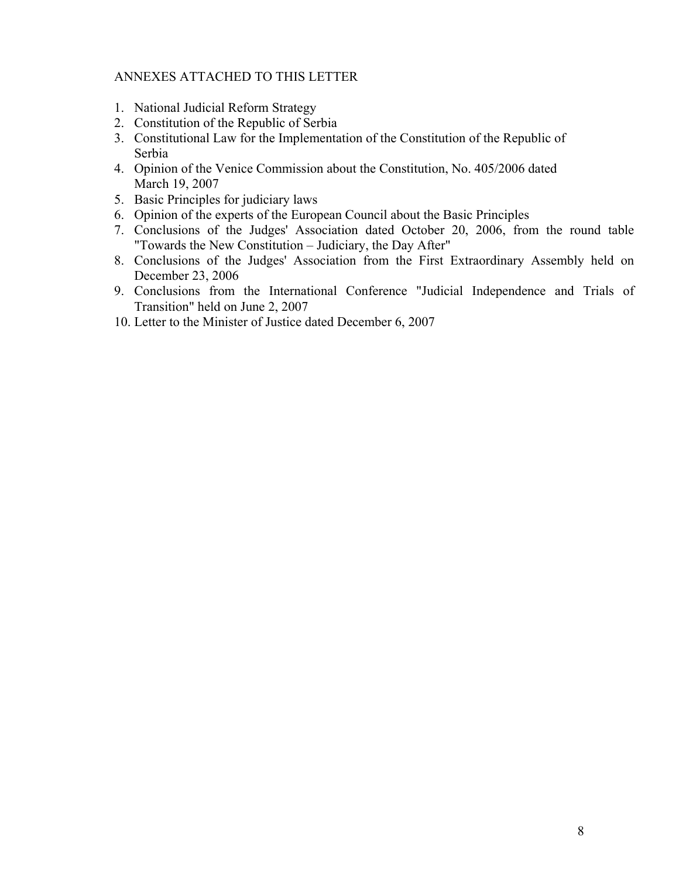## ANNEXES ATTACHED TO THIS LETTER

- 1. National Judicial Reform Strategy
- 2. Constitution of the Republic of Serbia
- 3. Constitutional Law for the Implementation of the Constitution of the Republic of Serbia
- 4. Opinion of the Venice Commission about the Constitution, No. 405/2006 dated March 19, 2007
- 5. Basic Principles for judiciary laws
- 6. Opinion of the experts of the European Council about the Basic Principles
- 7. Conclusions of the Judges' Association dated October 20, 2006, from the round table "Towards the New Constitution – Judiciary, the Day After"
- 8. Conclusions of the Judges' Association from the First Extraordinary Assembly held on December 23, 2006
- 9. Conclusions from the International Conference "Judicial Independence and Trials of Transition" held on June 2, 2007
- 10. Letter to the Minister of Justice dated December 6, 2007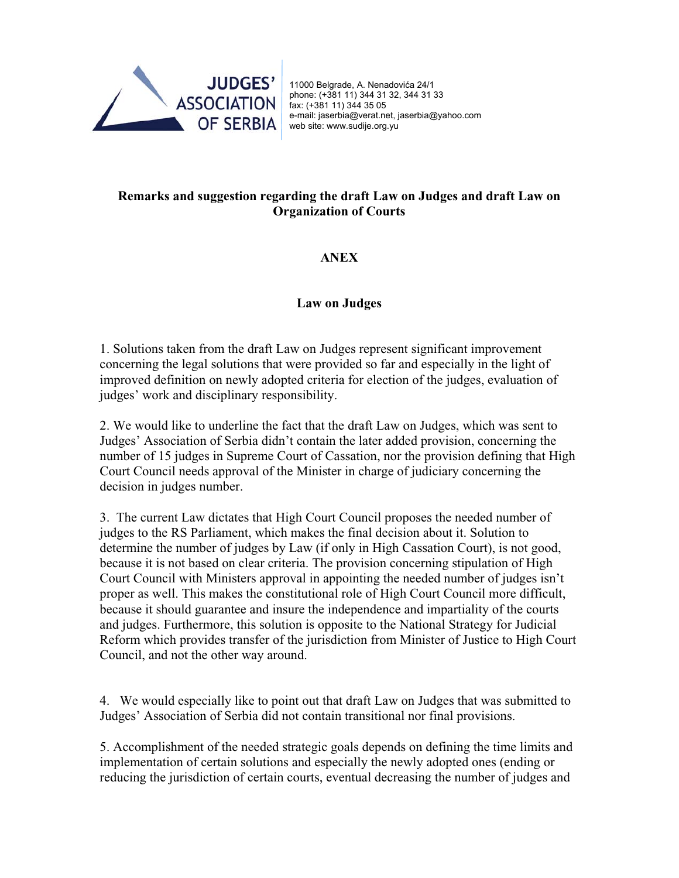

11000 Belgrade, A. Nenadovića 24/1 phone: (+381 11) 344 31 32, 344 31 33 fax: (+381 11) 344 35 05 e-mail: jaserbia@verat.net, jaserbia@yahoo.com web site: www.sudije.org.yu

## **Remarks and suggestion regarding the draft Law on Judges and draft Law on Organization of Courts**

# **ANEX**

## **Law on Judges**

1. Solutions taken from the draft Law on Judges represent significant improvement concerning the legal solutions that were provided so far and especially in the light of improved definition on newly adopted criteria for election of the judges, evaluation of judges' work and disciplinary responsibility.

2. We would like to underline the fact that the draft Law on Judges, which was sent to Judges' Association of Serbia didn't contain the later added provision, concerning the number of 15 judges in Supreme Court of Cassation, nor the provision defining that High Court Council needs approval of the Minister in charge of judiciary concerning the decision in judges number.

3. The current Law dictates that High Court Council proposes the needed number of judges to the RS Parliament, which makes the final decision about it. Solution to determine the number of judges by Law (if only in High Cassation Court), is not good, because it is not based on clear criteria. The provision concerning stipulation of High Court Council with Ministers approval in appointing the needed number of judges isn't proper as well. This makes the constitutional role of High Court Council more difficult, because it should guarantee and insure the independence and impartiality of the courts and judges. Furthermore, this solution is opposite to the National Strategy for Judicial Reform which provides transfer of the jurisdiction from Minister of Justice to High Court Council, and not the other way around.

4. We would especially like to point out that draft Law on Judges that was submitted to Judges' Association of Serbia did not contain transitional nor final provisions.

5. Accomplishment of the needed strategic goals depends on defining the time limits and implementation of certain solutions and especially the newly adopted ones (ending or reducing the jurisdiction of certain courts, eventual decreasing the number of judges and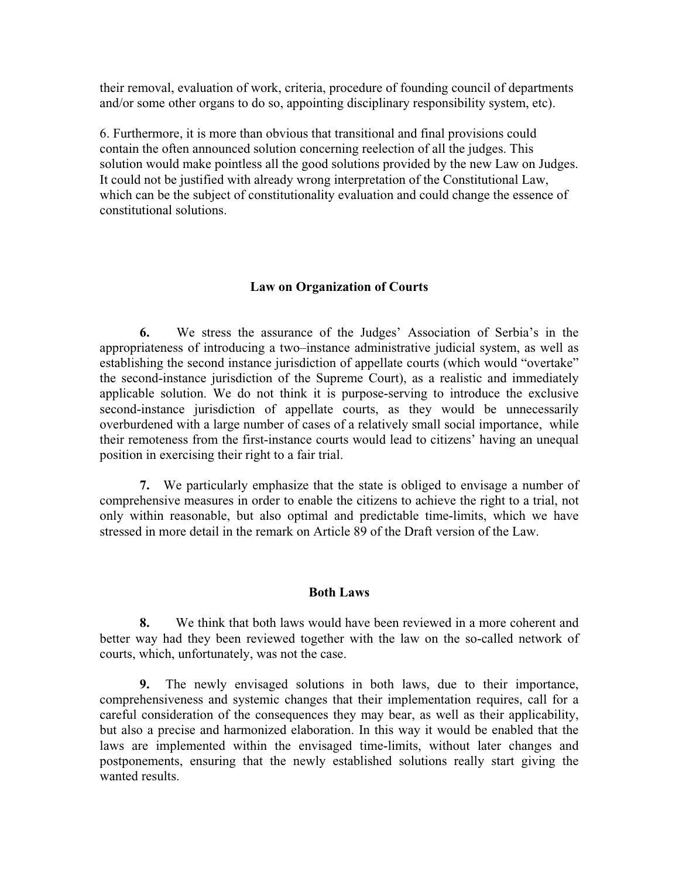their removal, evaluation of work, criteria, procedure of founding council of departments and/or some other organs to do so, appointing disciplinary responsibility system, etc).

6. Furthermore, it is more than obvious that transitional and final provisions could contain the often announced solution concerning reelection of all the judges. This solution would make pointless all the good solutions provided by the new Law on Judges. It could not be justified with already wrong interpretation of the Constitutional Law, which can be the subject of constitutionality evaluation and could change the essence of constitutional solutions.

#### **Law on Organization of Courts**

**6.** We stress the assurance of the Judges' Association of Serbia's in the appropriateness of introducing a two-instance administrative judicial system, as well as establishing the second instance jurisdiction of appellate courts (which would "overtake" the second-instance jurisdiction of the Supreme Court), as a realistic and immediately applicable solution. We do not think it is purpose-serving to introduce the exclusive second-instance jurisdiction of appellate courts, as they would be unnecessarily overburdened with a large number of cases of a relatively small social importance, while their remoteness from the first-instance courts would lead to citizens' having an unequal position in exercising their right to a fair trial.

**7.** We particularly emphasize that the state is obliged to envisage a number of comprehensive measures in order to enable the citizens to achieve the right to a trial, not only within reasonable, but also optimal and predictable time-limits, which we have stressed in more detail in the remark on Article 89 of the Draft version of the Law.

#### **Both Laws**

**8.** We think that both laws would have been reviewed in a more coherent and better way had they been reviewed together with the law on the so-called network of courts, which, unfortunately, was not the case.

**9.** The newly envisaged solutions in both laws, due to their importance, comprehensiveness and systemic changes that their implementation requires, call for a careful consideration of the consequences they may bear, as well as their applicability, but also a precise and harmonized elaboration. In this way it would be enabled that the laws are implemented within the envisaged time-limits, without later changes and postponements, ensuring that the newly established solutions really start giving the wanted results.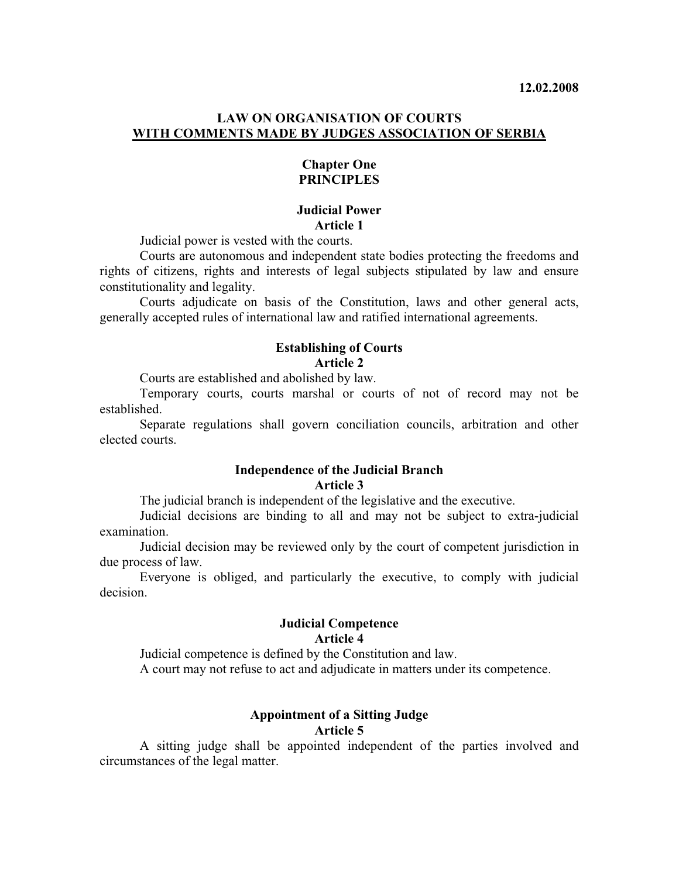## **LAW ON ORGANISATION OF COURTS WITH COMMENTS MADE BY JUDGES ASSOCIATION OF SERBIA**

#### **Chapter One PRINCIPLES**

## **Judicial Power Article 1**

Judicial power is vested with the courts.

 Courts are autonomous and independent state bodies protecting the freedoms and rights of citizens, rights and interests of legal subjects stipulated by law and ensure constitutionality and legality.

 Courts adjudicate on basis of the Constitution, laws and other general acts, generally accepted rules of international law and ratified international agreements.

#### **Establishing of Courts Article 2**

Courts are established and abolished by law.

 Temporary courts, courts marshal or courts of not of record may not be established.

 Separate regulations shall govern conciliation councils, arbitration and other elected courts.

# **Independence of the Judicial Branch**

#### **Article 3**

The judicial branch is independent of the legislative and the executive.

 Judicial decisions are binding to all and may not be subject to extra-judicial examination.

 Judicial decision may be reviewed only by the court of competent jurisdiction in due process of law.

 Everyone is obliged, and particularly the executive, to comply with judicial decision.

#### **Judicial Competence Article 4**

Judicial competence is defined by the Constitution and law.

A court may not refuse to act and adjudicate in matters under its competence.

# **Appointment of a Sitting Judge**

## **Article 5**

 A sitting judge shall be appointed independent of the parties involved and circumstances of the legal matter.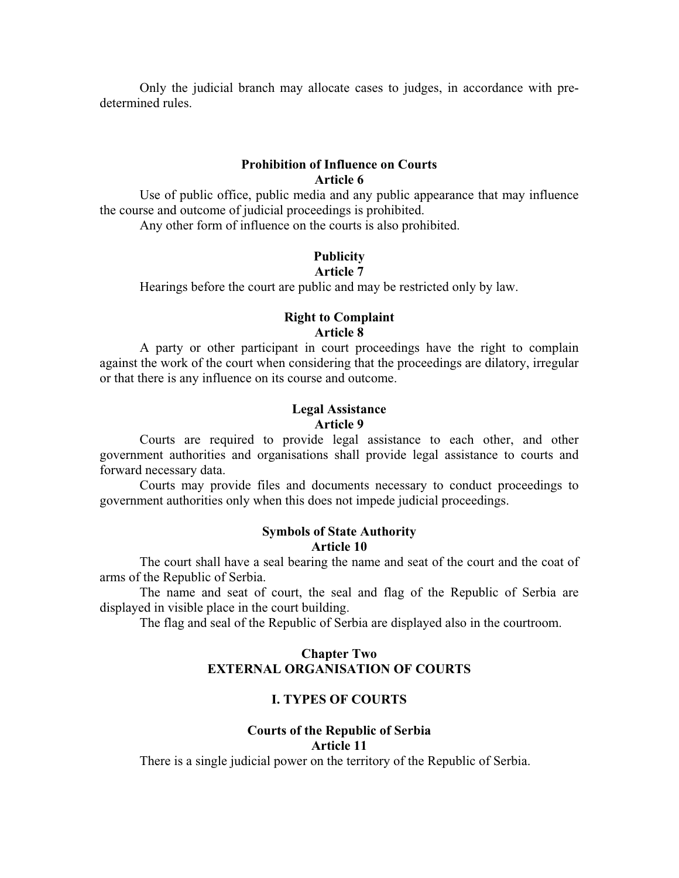Only the judicial branch may allocate cases to judges, in accordance with predetermined rules.

#### **Prohibition of Influence on Courts Article 6**

 Use of public office, public media and any public appearance that may influence the course and outcome of judicial proceedings is prohibited.

Any other form of influence on the courts is also prohibited.

## **Publicity**

### **Article 7**

Hearings before the court are public and may be restricted only by law.

## **Right to Complaint Article 8**

 A party or other participant in court proceedings have the right to complain against the work of the court when considering that the proceedings are dilatory, irregular or that there is any influence on its course and outcome.

## **Legal Assistance Article 9**

 Courts are required to provide legal assistance to each other, and other government authorities and organisations shall provide legal assistance to courts and forward necessary data.

 Courts may provide files and documents necessary to conduct proceedings to government authorities only when this does not impede judicial proceedings.

#### **Symbols of State Authority Article 10**

 The court shall have a seal bearing the name and seat of the court and the coat of arms of the Republic of Serbia.

 The name and seat of court, the seal and flag of the Republic of Serbia are displayed in visible place in the court building.

The flag and seal of the Republic of Serbia are displayed also in the courtroom.

## **Chapter Two EXTERNAL ORGANISATION OF COURTS**

## **I. TYPES OF COURTS**

#### **Courts of the Republic of Serbia Article 11**

There is a single judicial power on the territory of the Republic of Serbia.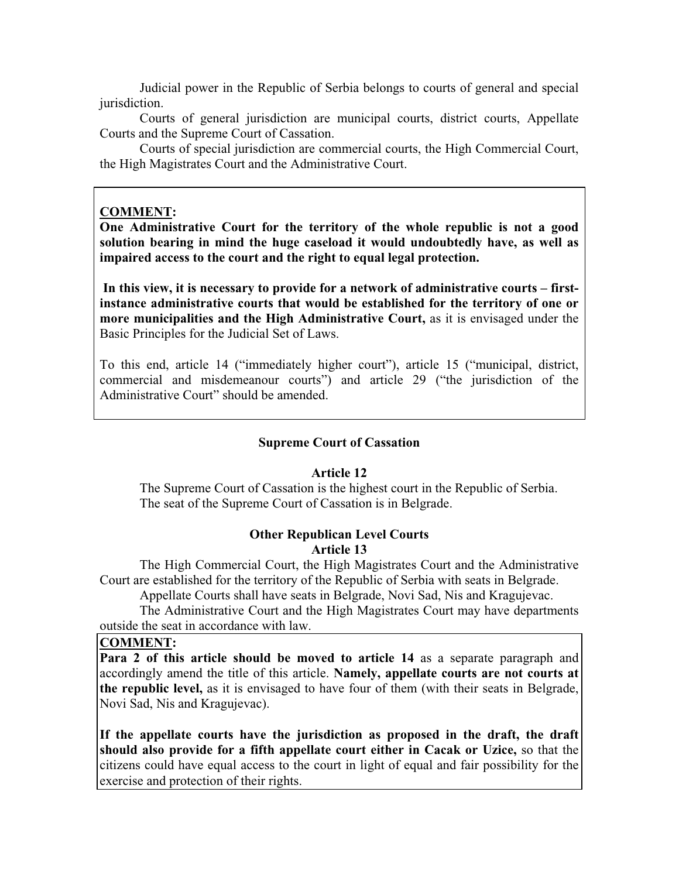Judicial power in the Republic of Serbia belongs to courts of general and special jurisdiction.

 Courts of general jurisdiction are municipal courts, district courts, Appellate Courts and the Supreme Court of Cassation.

 Courts of special jurisdiction are commercial courts, the High Commercial Court, the High Magistrates Court and the Administrative Court.

## **COMMENT:**

**One Administrative Court for the territory of the whole republic is not a good solution bearing in mind the huge caseload it would undoubtedly have, as well as impaired access to the court and the right to equal legal protection.** 

In this view, it is necessary to provide for a network of administrative courts – first**instance administrative courts that would be established for the territory of one or more municipalities and the High Administrative Court,** as it is envisaged under the Basic Principles for the Judicial Set of Laws.

To this end, article 14 ("immediately higher court"), article 15 ("municipal, district, commercial and misdemeanour courts") and article 29 ("the jurisdiction of the Administrative Court" should be amended.

## **Supreme Court of Cassation**

## **Article 12**

 The Supreme Court of Cassation is the highest court in the Republic of Serbia. The seat of the Supreme Court of Cassation is in Belgrade.

## **Other Republican Level Courts Article 13**

 The High Commercial Court, the High Magistrates Court and the Administrative Court are established for the territory of the Republic of Serbia with seats in Belgrade.

Appellate Courts shall have seats in Belgrade, Novi Sad, Nis and Kragujevac.

 The Administrative Court and the High Magistrates Court may have departments outside the seat in accordance with law.

## **COMMENT:**

**Para 2 of this article should be moved to article 14** as a separate paragraph and accordingly amend the title of this article. **Namely, appellate courts are not courts at the republic level,** as it is envisaged to have four of them (with their seats in Belgrade, Novi Sad, Nis and Kragujevac).

**If the appellate courts have the jurisdiction as proposed in the draft, the draft should also provide for a fifth appellate court either in Cacak or Uzice,** so that the citizens could have equal access to the court in light of equal and fair possibility for the exercise and protection of their rights.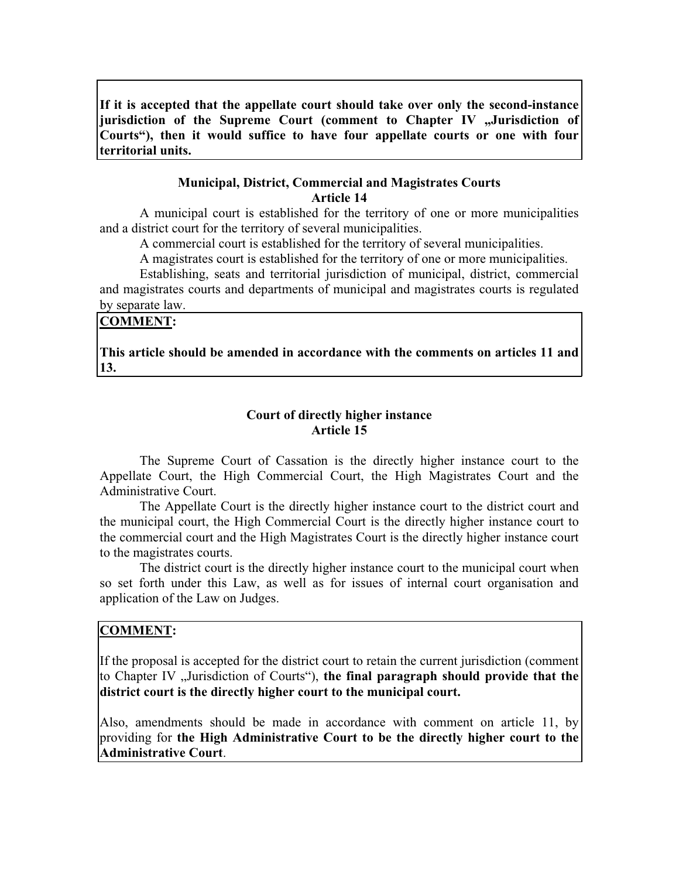**If it is accepted that the appellate court should take over only the second-instance**  jurisdiction of the Supreme Court (comment to Chapter IV "Jurisdiction of Courts"), then it would suffice to have four appellate courts or one with four **territorial units.** 

## **Municipal, District, Commercial and Magistrates Courts Article 14**

 A municipal court is established for the territory of one or more municipalities and a district court for the territory of several municipalities.

A commercial court is established for the territory of several municipalities.

A magistrates court is established for the territory of one or more municipalities.

 Establishing, seats and territorial jurisdiction of municipal, district, commercial and magistrates courts and departments of municipal and magistrates courts is regulated by separate law.

#### **COMMENT:**

**This article should be amended in accordance with the comments on articles 11 and 13.** 

## **Court of directly higher instance Article 15**

 The Supreme Court of Cassation is the directly higher instance court to the Appellate Court, the High Commercial Court, the High Magistrates Court and the Administrative Court.

 The Appellate Court is the directly higher instance court to the district court and the municipal court, the High Commercial Court is the directly higher instance court to the commercial court and the High Magistrates Court is the directly higher instance court to the magistrates courts.

 The district court is the directly higher instance court to the municipal court when so set forth under this Law, as well as for issues of internal court organisation and application of the Law on Judges.

## **COMMENT:**

If the proposal is accepted for the district court to retain the current jurisdiction (comment to Chapter IV "Jurisdiction of Courts"), the final paragraph should provide that the **district court is the directly higher court to the municipal court.** 

Also, amendments should be made in accordance with comment on article 11, by providing for **the High Administrative Court to be the directly higher court to the Administrative Court**.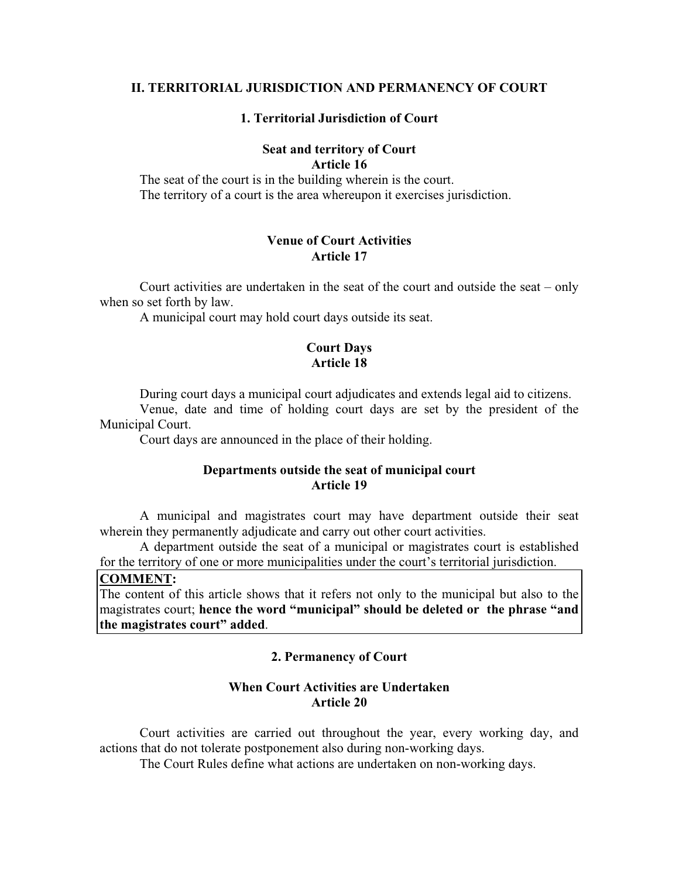#### **II. TERRITORIAL JURISDICTION AND PERMANENCY OF COURT**

#### **1. Territorial Jurisdiction of Court**

#### **Seat and territory of Court Article 16**

 The seat of the court is in the building wherein is the court. The territory of a court is the area whereupon it exercises jurisdiction.

#### **Venue of Court Activities Article 17**

Court activities are undertaken in the seat of the court and outside the seat  $-$  only when so set forth by law.

A municipal court may hold court days outside its seat.

## **Court Days Article 18**

During court days a municipal court adjudicates and extends legal aid to citizens.

 Venue, date and time of holding court days are set by the president of the Municipal Court.

Court days are announced in the place of their holding.

### **Departments outside the seat of municipal court Article 19**

 A municipal and magistrates court may have department outside their seat wherein they permanently adjudicate and carry out other court activities.

 A department outside the seat of a municipal or magistrates court is established for the territory of one or more municipalities under the court's territorial jurisdiction.

#### **COMMENT:**

The content of this article shows that it refers not only to the municipal but also to the magistrates court; hence the word "municipal" should be deleted or the phrase "and the magistrates court" added.

#### **2. Permanency of Court**

### **When Court Activities are Undertaken Article 20**

 Court activities are carried out throughout the year, every working day, and actions that do not tolerate postponement also during non-working days.

The Court Rules define what actions are undertaken on non-working days.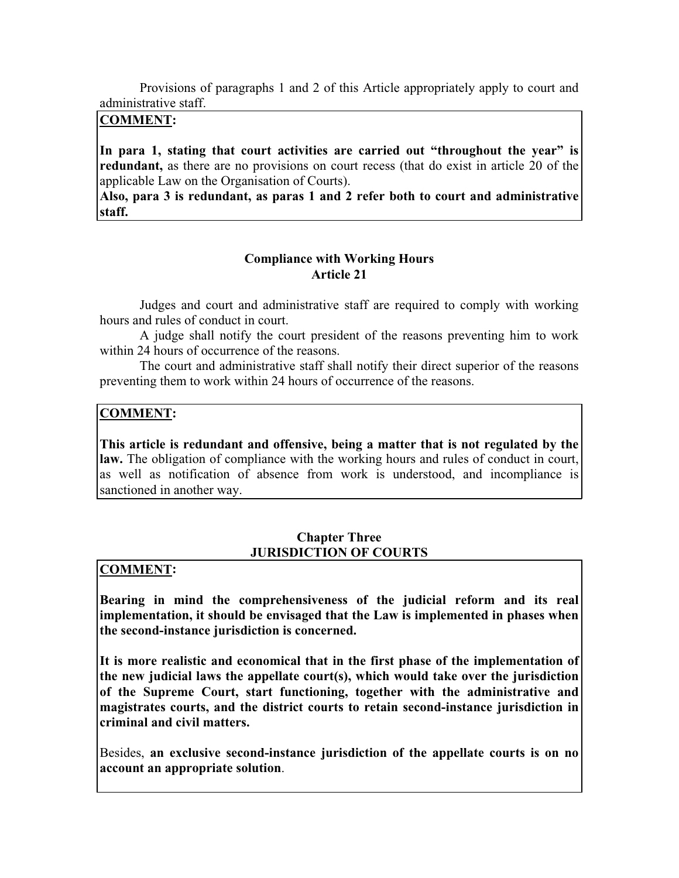Provisions of paragraphs 1 and 2 of this Article appropriately apply to court and administrative staff.

## **COMMENT:**

In para 1, stating that court activities are carried out "throughout the year" is **redundant,** as there are no provisions on court recess (that do exist in article 20 of the applicable Law on the Organisation of Courts).

**Also, para 3 is redundant, as paras 1 and 2 refer both to court and administrative staff.** 

## **Compliance with Working Hours Article 21**

Judges and court and administrative staff are required to comply with working hours and rules of conduct in court.

 A judge shall notify the court president of the reasons preventing him to work within 24 hours of occurrence of the reasons.

 The court and administrative staff shall notify their direct superior of the reasons preventing them to work within 24 hours of occurrence of the reasons.

#### **COMMENT:**

**This article is redundant and offensive, being a matter that is not regulated by the law.** The obligation of compliance with the working hours and rules of conduct in court, as well as notification of absence from work is understood, and incompliance is sanctioned in another way.

#### **Chapter Three JURISDICTION OF COURTS**

## **COMMENT:**

**Bearing in mind the comprehensiveness of the judicial reform and its real implementation, it should be envisaged that the Law is implemented in phases when the second-instance jurisdiction is concerned.** 

**It is more realistic and economical that in the first phase of the implementation of the new judicial laws the appellate court(s), which would take over the jurisdiction of the Supreme Court, start functioning, together with the administrative and magistrates courts, and the district courts to retain second-instance jurisdiction in criminal and civil matters.** 

Besides, **an exclusive second-instance jurisdiction of the appellate courts is on no account an appropriate solution**.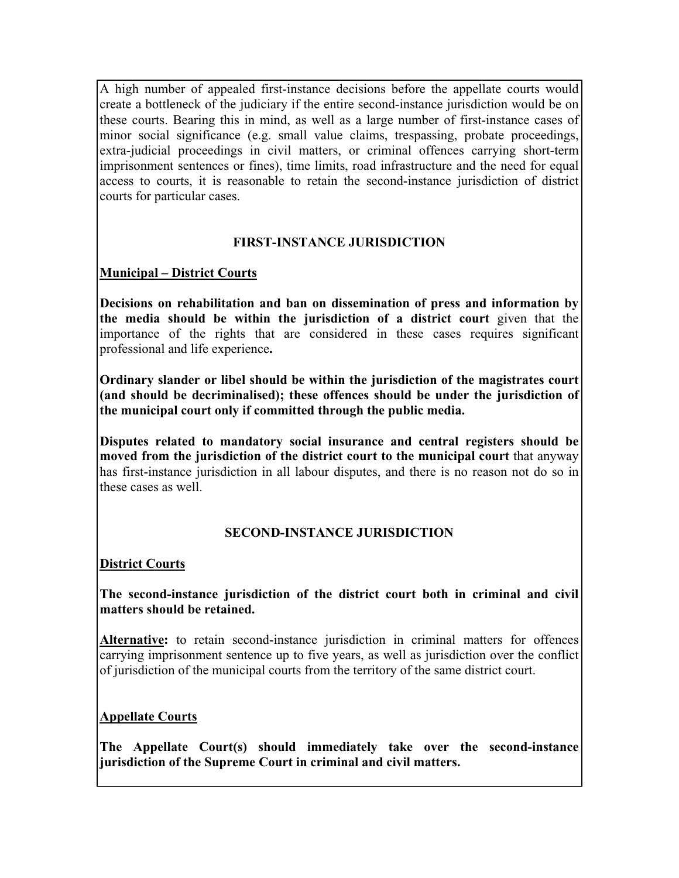A high number of appealed first-instance decisions before the appellate courts would create a bottleneck of the judiciary if the entire second-instance jurisdiction would be on these courts. Bearing this in mind, as well as a large number of first-instance cases of minor social significance (e.g. small value claims, trespassing, probate proceedings, extra-judicial proceedings in civil matters, or criminal offences carrying short-term imprisonment sentences or fines), time limits, road infrastructure and the need for equal access to courts, it is reasonable to retain the second-instance jurisdiction of district courts for particular cases.

## **FIRST-INSTANCE JURISDICTION**

## **Municipal – District Courts**

**Decisions on rehabilitation and ban on dissemination of press and information by the media should be within the jurisdiction of a district court** given that the importance of the rights that are considered in these cases requires significant professional and life experience**.** 

**Ordinary slander or libel should be within the jurisdiction of the magistrates court (and should be decriminalised); these offences should be under the jurisdiction of the municipal court only if committed through the public media.** 

**Disputes related to mandatory social insurance and central registers should be moved from the jurisdiction of the district court to the municipal court** that anyway has first-instance jurisdiction in all labour disputes, and there is no reason not do so in these cases as well.

## **SECOND-INSTANCE JURISDICTION**

## **District Courts**

**The second-instance jurisdiction of the district court both in criminal and civil matters should be retained.** 

**Alternative:** to retain second-instance jurisdiction in criminal matters for offences carrying imprisonment sentence up to five years, as well as jurisdiction over the conflict of jurisdiction of the municipal courts from the territory of the same district court.

## **Appellate Courts**

**The Appellate Court(s) should immediately take over the second-instance jurisdiction of the Supreme Court in criminal and civil matters.**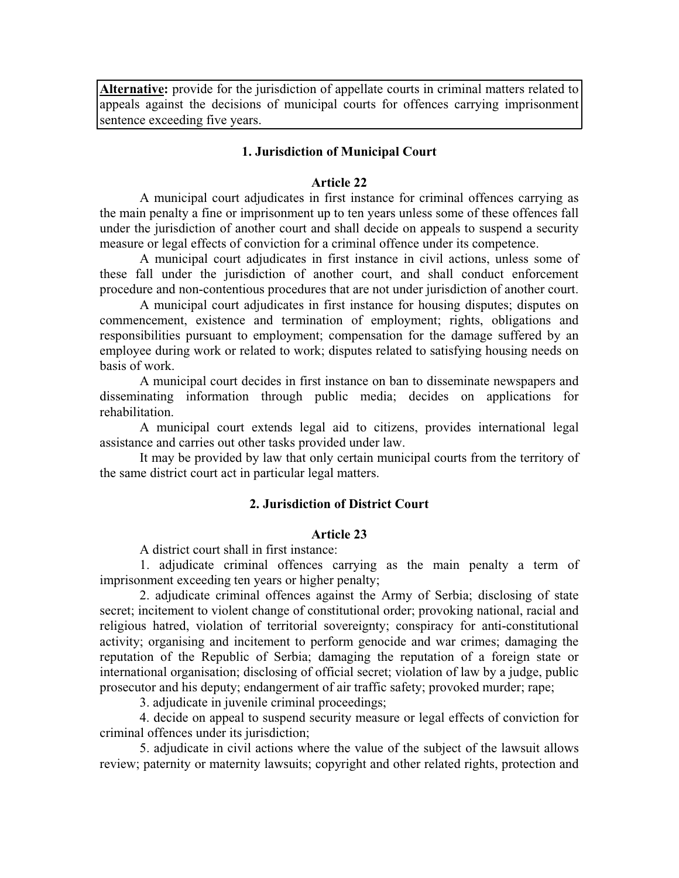**Alternative:** provide for the jurisdiction of appellate courts in criminal matters related to appeals against the decisions of municipal courts for offences carrying imprisonment sentence exceeding five years.

#### **1. Jurisdiction of Municipal Court**

## **Article 22**

 A municipal court adjudicates in first instance for criminal offences carrying as the main penalty a fine or imprisonment up to ten years unless some of these offences fall under the jurisdiction of another court and shall decide on appeals to suspend a security measure or legal effects of conviction for a criminal offence under its competence.

 A municipal court adjudicates in first instance in civil actions, unless some of these fall under the jurisdiction of another court, and shall conduct enforcement procedure and non-contentious procedures that are not under jurisdiction of another court.

 A municipal court adjudicates in first instance for housing disputes; disputes on commencement, existence and termination of employment; rights, obligations and responsibilities pursuant to employment; compensation for the damage suffered by an employee during work or related to work; disputes related to satisfying housing needs on basis of work.

A municipal court decides in first instance on ban to disseminate newspapers and disseminating information through public media; decides on applications for rehabilitation.

 A municipal court extends legal aid to citizens, provides international legal assistance and carries out other tasks provided under law.

 It may be provided by law that only certain municipal courts from the territory of the same district court act in particular legal matters.

#### **2. Jurisdiction of District Court**

#### **Article 23**

A district court shall in first instance:

 1. adjudicate criminal offences carrying as the main penalty a term of imprisonment exceeding ten years or higher penalty;

 2. adjudicate criminal offences against the Army of Serbia; disclosing of state secret; incitement to violent change of constitutional order; provoking national, racial and religious hatred, violation of territorial sovereignty; conspiracy for anti-constitutional activity; organising and incitement to perform genocide and war crimes; damaging the reputation of the Republic of Serbia; damaging the reputation of a foreign state or international organisation; disclosing of official secret; violation of law by a judge, public prosecutor and his deputy; endangerment of air traffic safety; provoked murder; rape;

3. adjudicate in juvenile criminal proceedings;

 4. decide on appeal to suspend security measure or legal effects of conviction for criminal offences under its jurisdiction;

 5. adjudicate in civil actions where the value of the subject of the lawsuit allows review; paternity or maternity lawsuits; copyright and other related rights, protection and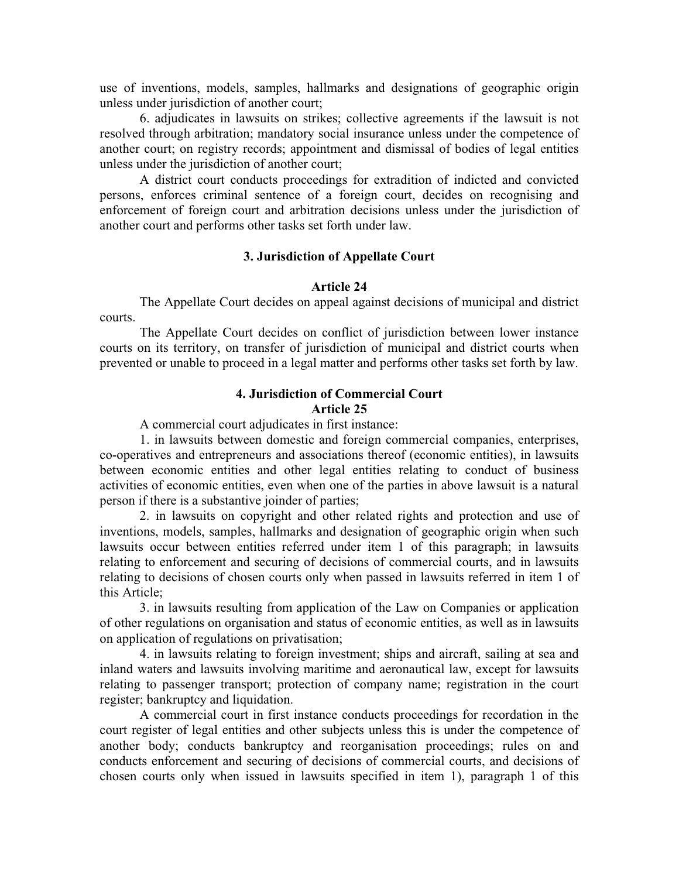use of inventions, models, samples, hallmarks and designations of geographic origin unless under jurisdiction of another court;

 6. adjudicates in lawsuits on strikes; collective agreements if the lawsuit is not resolved through arbitration; mandatory social insurance unless under the competence of another court; on registry records; appointment and dismissal of bodies of legal entities unless under the jurisdiction of another court;

 A district court conducts proceedings for extradition of indicted and convicted persons, enforces criminal sentence of a foreign court, decides on recognising and enforcement of foreign court and arbitration decisions unless under the jurisdiction of another court and performs other tasks set forth under law.

#### **3. Jurisdiction of Appellate Court**

#### **Article 24**

 The Appellate Court decides on appeal against decisions of municipal and district courts.

 The Appellate Court decides on conflict of jurisdiction between lower instance courts on its territory, on transfer of jurisdiction of municipal and district courts when prevented or unable to proceed in a legal matter and performs other tasks set forth by law.

#### **4. Jurisdiction of Commercial Court Article 25**

A commercial court adjudicates in first instance:

 1. in lawsuits between domestic and foreign commercial companies, enterprises, co-operatives and entrepreneurs and associations thereof (economic entities), in lawsuits between economic entities and other legal entities relating to conduct of business activities of economic entities, even when one of the parties in above lawsuit is a natural person if there is a substantive joinder of parties;

 2. in lawsuits on copyright and other related rights and protection and use of inventions, models, samples, hallmarks and designation of geographic origin when such lawsuits occur between entities referred under item 1 of this paragraph; in lawsuits relating to enforcement and securing of decisions of commercial courts, and in lawsuits relating to decisions of chosen courts only when passed in lawsuits referred in item 1 of this Article;

 3. in lawsuits resulting from application of the Law on Companies or application of other regulations on organisation and status of economic entities, as well as in lawsuits on application of regulations on privatisation;

 4. in lawsuits relating to foreign investment; ships and aircraft, sailing at sea and inland waters and lawsuits involving maritime and aeronautical law, except for lawsuits relating to passenger transport; protection of company name; registration in the court register; bankruptcy and liquidation.

 A commercial court in first instance conducts proceedings for recordation in the court register of legal entities and other subjects unless this is under the competence of another body; conducts bankruptcy and reorganisation proceedings; rules on and conducts enforcement and securing of decisions of commercial courts, and decisions of chosen courts only when issued in lawsuits specified in item 1), paragraph 1 of this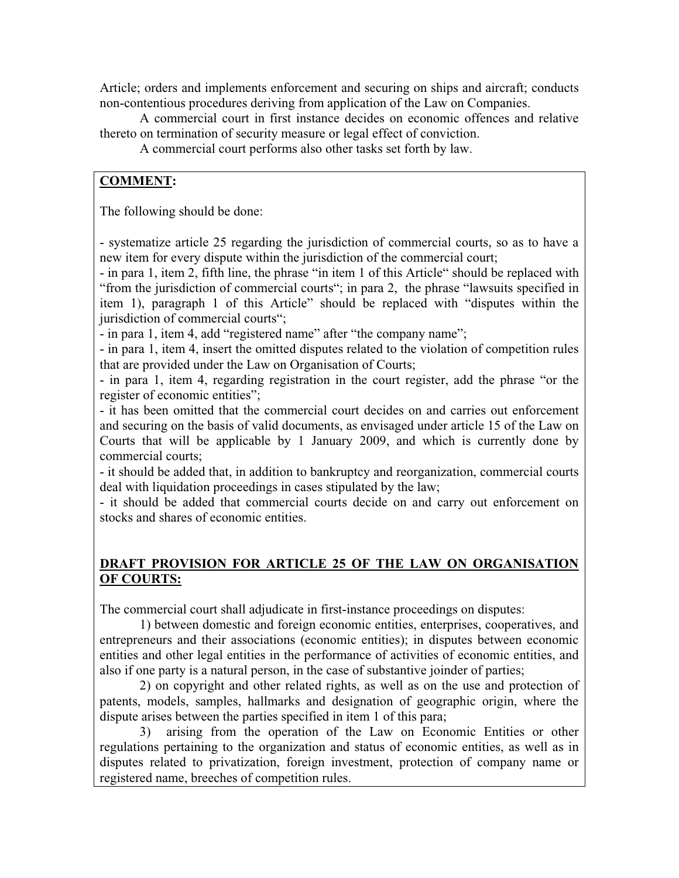Article; orders and implements enforcement and securing on ships and aircraft; conducts non-contentious procedures deriving from application of the Law on Companies.

 A commercial court in first instance decides on economic offences and relative thereto on termination of security measure or legal effect of conviction.

A commercial court performs also other tasks set forth by law.

## **COMMENT:**

The following should be done:

- systematize article 25 regarding the jurisdiction of commercial courts, so as to have a new item for every dispute within the jurisdiction of the commercial court;

- in para 1, item 2, fifth line, the phrase "in item 1 of this Article" should be replaced with "from the jurisdiction of commercial courts"; in para 2, the phrase "lawsuits specified in item 1), paragraph 1 of this Article" should be replaced with "disputes within the jurisdiction of commercial courts";

- in para 1, item 4, add "registered name" after "the company name";

- in para 1, item 4, insert the omitted disputes related to the violation of competition rules that are provided under the Law on Organisation of Courts;

- in para 1, item 4, regarding registration in the court register, add the phrase "or the register of economic entities";

- it has been omitted that the commercial court decides on and carries out enforcement and securing on the basis of valid documents, as envisaged under article 15 of the Law on Courts that will be applicable by 1 January 2009, and which is currently done by commercial courts;

- it should be added that, in addition to bankruptcy and reorganization, commercial courts deal with liquidation proceedings in cases stipulated by the law;

- it should be added that commercial courts decide on and carry out enforcement on stocks and shares of economic entities.

## **DRAFT PROVISION FOR ARTICLE 25 OF THE LAW ON ORGANISATION OF COURTS:**

The commercial court shall adjudicate in first-instance proceedings on disputes:

1) between domestic and foreign economic entities, enterprises, cooperatives, and entrepreneurs and their associations (economic entities); in disputes between economic entities and other legal entities in the performance of activities of economic entities, and also if one party is a natural person, in the case of substantive joinder of parties;

2) on copyright and other related rights, as well as on the use and protection of patents, models, samples, hallmarks and designation of geographic origin, where the dispute arises between the parties specified in item 1 of this para;

3) arising from the operation of the Law on Economic Entities or other regulations pertaining to the organization and status of economic entities, as well as in disputes related to privatization, foreign investment, protection of company name or registered name, breeches of competition rules.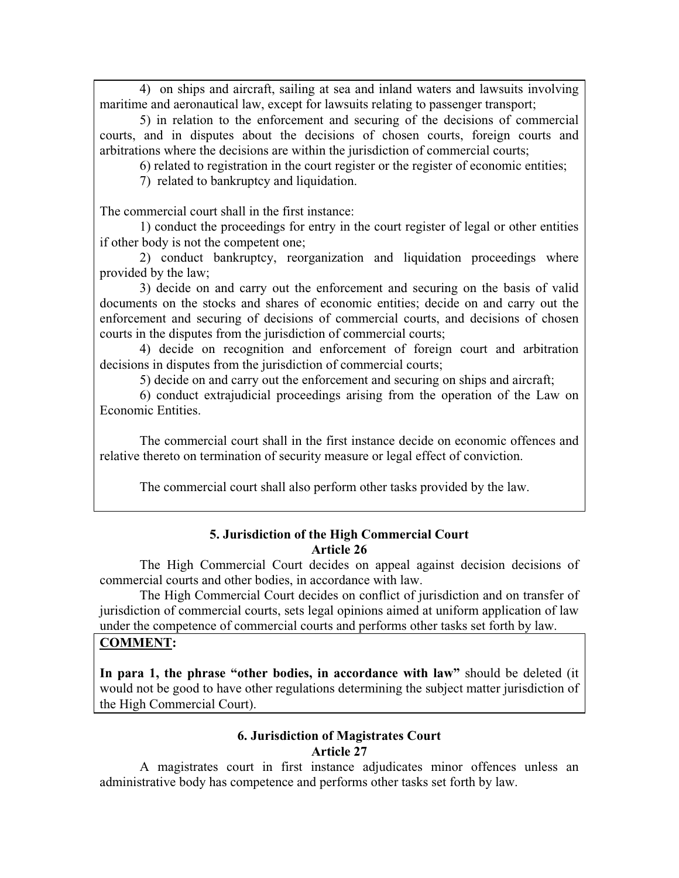4) on ships and aircraft, sailing at sea and inland waters and lawsuits involving maritime and aeronautical law, except for lawsuits relating to passenger transport;

 5) in relation to the enforcement and securing of the decisions of commercial courts, and in disputes about the decisions of chosen courts, foreign courts and arbitrations where the decisions are within the jurisdiction of commercial courts;

6) related to registration in the court register or the register of economic entities;

7) related to bankruptcy and liquidation.

The commercial court shall in the first instance:

1) conduct the proceedings for entry in the court register of legal or other entities if other body is not the competent one;

2) conduct bankruptcy, reorganization and liquidation proceedings where provided by the law;

3) decide on and carry out the enforcement and securing on the basis of valid documents on the stocks and shares of economic entities; decide on and carry out the enforcement and securing of decisions of commercial courts, and decisions of chosen courts in the disputes from the jurisdiction of commercial courts;

4) decide on recognition and enforcement of foreign court and arbitration decisions in disputes from the jurisdiction of commercial courts;

5) decide on and carry out the enforcement and securing on ships and aircraft;

6) conduct extrajudicial proceedings arising from the operation of the Law on Economic Entities.

The commercial court shall in the first instance decide on economic offences and relative thereto on termination of security measure or legal effect of conviction.

The commercial court shall also perform other tasks provided by the law.

## **5. Jurisdiction of the High Commercial Court Article 26**

 The High Commercial Court decides on appeal against decision decisions of commercial courts and other bodies, in accordance with law.

 The High Commercial Court decides on conflict of jurisdiction and on transfer of jurisdiction of commercial courts, sets legal opinions aimed at uniform application of law under the competence of commercial courts and performs other tasks set forth by law.

## **COMMENT:**

In para 1, the phrase "other bodies, in accordance with law" should be deleted (it would not be good to have other regulations determining the subject matter jurisdiction of the High Commercial Court).

## **6. Jurisdiction of Magistrates Court Article 27**

 A magistrates court in first instance adjudicates minor offences unless an administrative body has competence and performs other tasks set forth by law.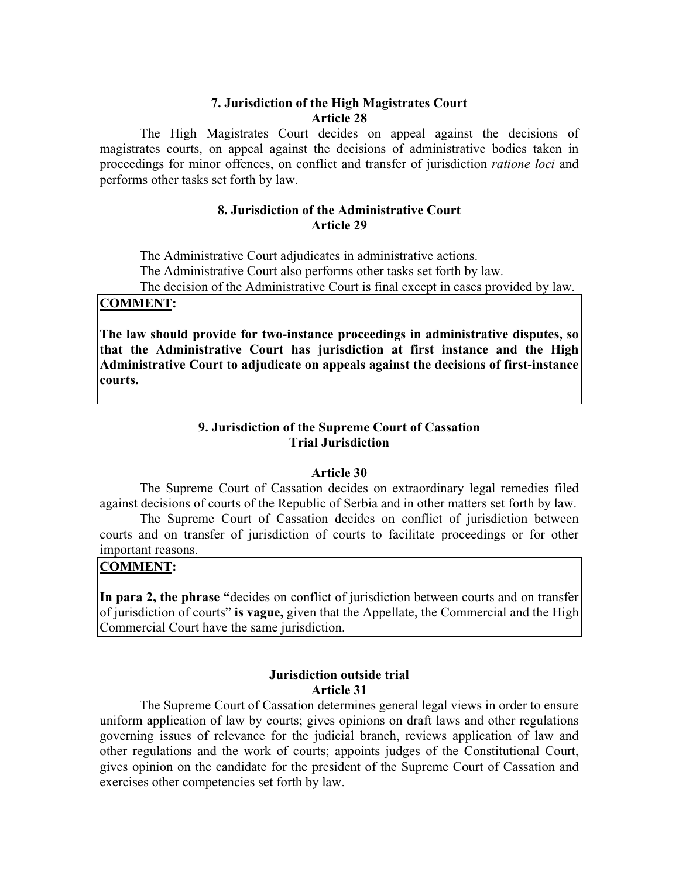## **7. Jurisdiction of the High Magistrates Court Article 28**

 The High Magistrates Court decides on appeal against the decisions of magistrates courts, on appeal against the decisions of administrative bodies taken in proceedings for minor offences, on conflict and transfer of jurisdiction *ratione loci* and performs other tasks set forth by law.

#### **8. Jurisdiction of the Administrative Court Article 29**

The Administrative Court adjudicates in administrative actions.

The Administrative Court also performs other tasks set forth by law.

The decision of the Administrative Court is final except in cases provided by law.

## **COMMENT:**

**The law should provide for two-instance proceedings in administrative disputes, so that the Administrative Court has jurisdiction at first instance and the High Administrative Court to adjudicate on appeals against the decisions of first-instance courts.** 

## **9. Jurisdiction of the Supreme Court of Cassation Trial Jurisdiction**

## **Article 30**

 The Supreme Court of Cassation decides on extraordinary legal remedies filed against decisions of courts of the Republic of Serbia and in other matters set forth by law.

 The Supreme Court of Cassation decides on conflict of jurisdiction between courts and on transfer of jurisdiction of courts to facilitate proceedings or for other important reasons.

## **COMMENT:**

In para 2, the phrase "decides on conflict of jurisdiction between courts and on transfer of jurisdiction of courts **is vague,** given that the Appellate, the Commercial and the High Commercial Court have the same jurisdiction.

#### **Jurisdiction outside trial Article 31**

 The Supreme Court of Cassation determines general legal views in order to ensure uniform application of law by courts; gives opinions on draft laws and other regulations governing issues of relevance for the judicial branch, reviews application of law and other regulations and the work of courts; appoints judges of the Constitutional Court, gives opinion on the candidate for the president of the Supreme Court of Cassation and exercises other competencies set forth by law.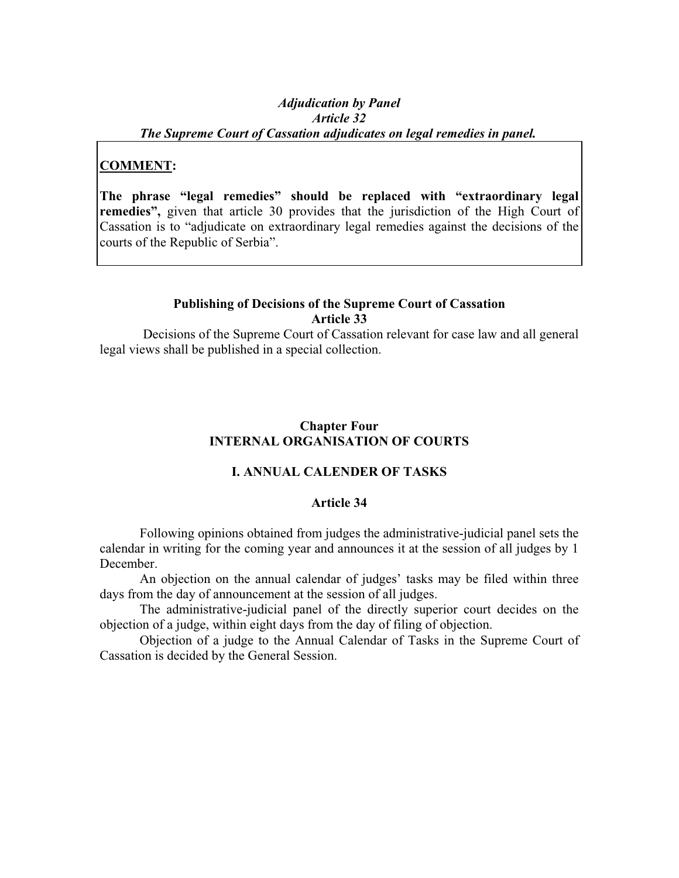## *Adjudication by Panel Article 32 The Supreme Court of Cassation adjudicates on legal remedies in panel.*

#### **COMMENT:**

The phrase "legal remedies" should be replaced with "extraordinary legal remedies", given that article 30 provides that the jurisdiction of the High Court of Cassation is to "adjudicate on extraordinary legal remedies against the decisions of the courts of the Republic of Serbia".

#### **Publishing of Decisions of the Supreme Court of Cassation Article 33**

 Decisions of the Supreme Court of Cassation relevant for case law and all general legal views shall be published in a special collection.

## **Chapter Four INTERNAL ORGANISATION OF COURTS**

## **I. ANNUAL CALENDER OF TASKS**

#### **Article 34**

 Following opinions obtained from judges the administrative-judicial panel sets the calendar in writing for the coming year and announces it at the session of all judges by 1 December.

An objection on the annual calendar of judges' tasks may be filed within three days from the day of announcement at the session of all judges.

The administrative-judicial panel of the directly superior court decides on the objection of a judge, within eight days from the day of filing of objection.

 Objection of a judge to the Annual Calendar of Tasks in the Supreme Court of Cassation is decided by the General Session.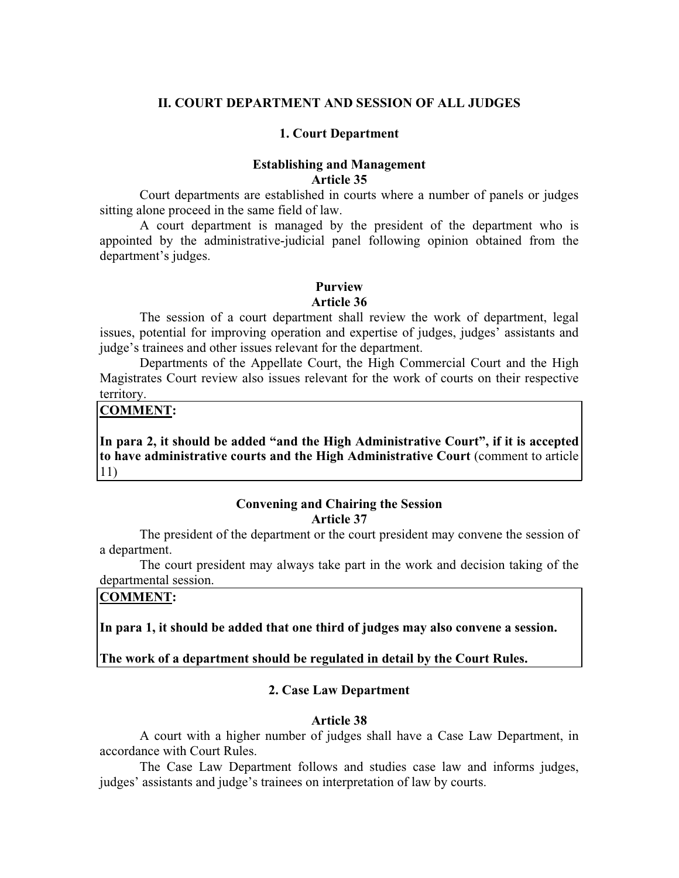#### **II. COURT DEPARTMENT AND SESSION OF ALL JUDGES**

#### **1. Court Department**

#### **Establishing and Management Article 35**

 Court departments are established in courts where a number of panels or judges sitting alone proceed in the same field of law.

 A court department is managed by the president of the department who is appointed by the administrative-judicial panel following opinion obtained from the department's judges.

#### **Purview**

#### **Article 36**

 The session of a court department shall review the work of department, legal issues, potential for improving operation and expertise of judges, judges' assistants and judge's trainees and other issues relevant for the department.

 Departments of the Appellate Court, the High Commercial Court and the High Magistrates Court review also issues relevant for the work of courts on their respective territory.

### **COMMENT:**

In para 2, it should be added "and the High Administrative Court", if it is accepted **to have administrative courts and the High Administrative Court** (comment to article 11)

# **Convening and Chairing the Session**

**Article 37** 

 The president of the department or the court president may convene the session of a department.

 The court president may always take part in the work and decision taking of the departmental session.

## **COMMENT:**

**In para 1, it should be added that one third of judges may also convene a session.** 

**The work of a department should be regulated in detail by the Court Rules.** 

#### **2. Case Law Department**

#### **Article 38**

 A court with a higher number of judges shall have a Case Law Department, in accordance with Court Rules.

 The Case Law Department follows and studies case law and informs judges, judges' assistants and judge's trainees on interpretation of law by courts.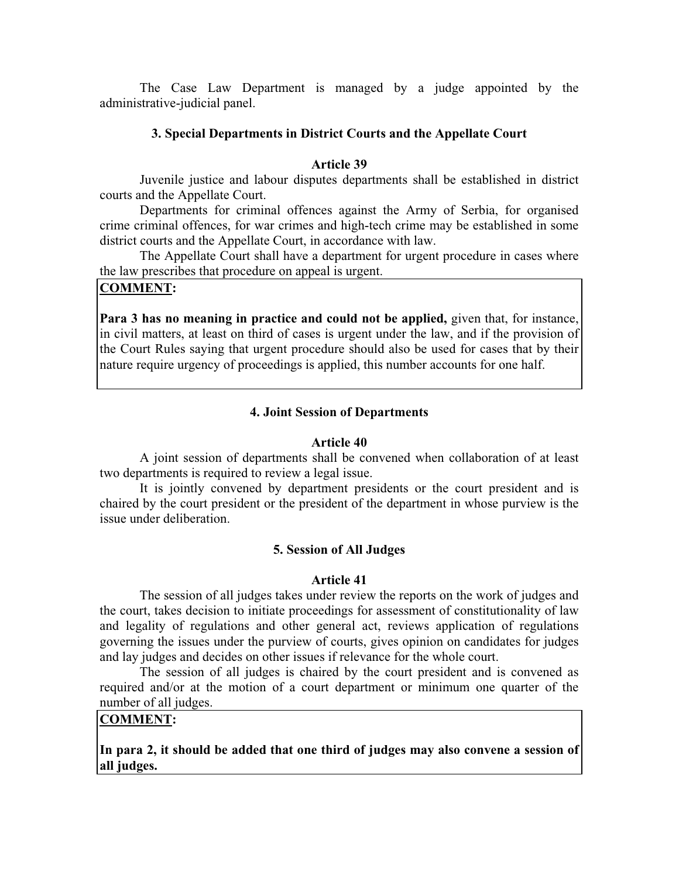The Case Law Department is managed by a judge appointed by the administrative-judicial panel.

## **3. Special Departments in District Courts and the Appellate Court**

## **Article 39**

 Juvenile justice and labour disputes departments shall be established in district courts and the Appellate Court.

 Departments for criminal offences against the Army of Serbia, for organised crime criminal offences, for war crimes and high-tech crime may be established in some district courts and the Appellate Court, in accordance with law.

 The Appellate Court shall have a department for urgent procedure in cases where the law prescribes that procedure on appeal is urgent.

#### **COMMENT:**

**Para 3 has no meaning in practice and could not be applied,** given that, for instance, in civil matters, at least on third of cases is urgent under the law, and if the provision of the Court Rules saying that urgent procedure should also be used for cases that by their nature require urgency of proceedings is applied, this number accounts for one half.

#### **4. Joint Session of Departments**

#### **Article 40**

 A joint session of departments shall be convened when collaboration of at least two departments is required to review a legal issue.

 It is jointly convened by department presidents or the court president and is chaired by the court president or the president of the department in whose purview is the issue under deliberation.

#### **5. Session of All Judges**

#### **Article 41**

 The session of all judges takes under review the reports on the work of judges and the court, takes decision to initiate proceedings for assessment of constitutionality of law and legality of regulations and other general act, reviews application of regulations governing the issues under the purview of courts, gives opinion on candidates for judges and lay judges and decides on other issues if relevance for the whole court.

 The session of all judges is chaired by the court president and is convened as required and/or at the motion of a court department or minimum one quarter of the number of all judges.

#### **COMMENT:**

**In para 2, it should be added that one third of judges may also convene a session of all judges.**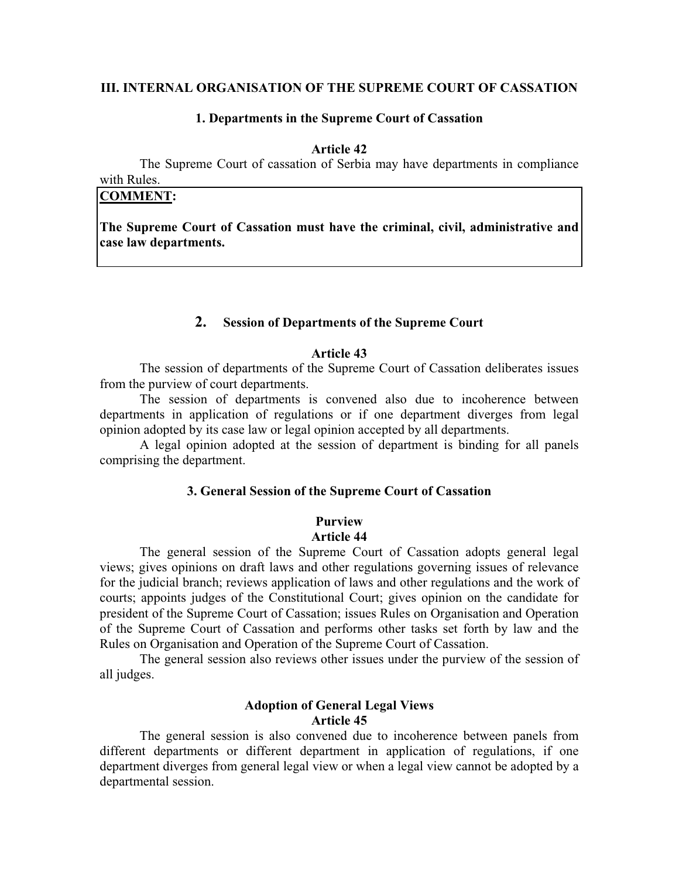#### **III. INTERNAL ORGANISATION OF THE SUPREME COURT OF CASSATION**

#### **1. Departments in the Supreme Court of Cassation**

**Article 42** 

 The Supreme Court of cassation of Serbia may have departments in compliance with Rules.

## **COMMENT:**

**The Supreme Court of Cassation must have the criminal, civil, administrative and case law departments.** 

## **2. Session of Departments of the Supreme Court**

#### **Article 43**

 The session of departments of the Supreme Court of Cassation deliberates issues from the purview of court departments.

 The session of departments is convened also due to incoherence between departments in application of regulations or if one department diverges from legal opinion adopted by its case law or legal opinion accepted by all departments.

 A legal opinion adopted at the session of department is binding for all panels comprising the department.

#### **3. General Session of the Supreme Court of Cassation**

#### **Purview Article 44**

 The general session of the Supreme Court of Cassation adopts general legal views; gives opinions on draft laws and other regulations governing issues of relevance for the judicial branch; reviews application of laws and other regulations and the work of courts; appoints judges of the Constitutional Court; gives opinion on the candidate for president of the Supreme Court of Cassation; issues Rules on Organisation and Operation of the Supreme Court of Cassation and performs other tasks set forth by law and the Rules on Organisation and Operation of the Supreme Court of Cassation.

 The general session also reviews other issues under the purview of the session of all judges.

## **Adoption of General Legal Views Article 45**

 The general session is also convened due to incoherence between panels from different departments or different department in application of regulations, if one department diverges from general legal view or when a legal view cannot be adopted by a departmental session.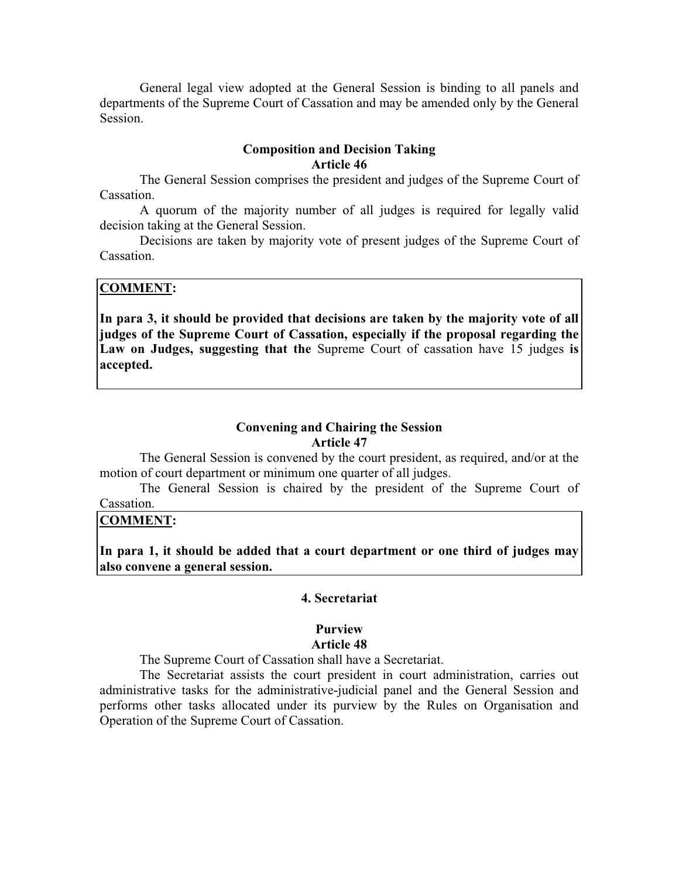General legal view adopted at the General Session is binding to all panels and departments of the Supreme Court of Cassation and may be amended only by the General Session.

#### **Composition and Decision Taking Article 46**

 The General Session comprises the president and judges of the Supreme Court of Cassation.

 A quorum of the majority number of all judges is required for legally valid decision taking at the General Session.

 Decisions are taken by majority vote of present judges of the Supreme Court of Cassation.

#### **COMMENT:**

**In para 3, it should be provided that decisions are taken by the majority vote of all judges of the Supreme Court of Cassation, especially if the proposal regarding the Law on Judges, suggesting that the** Supreme Court of cassation have 15 judges **is accepted.** 

#### **Convening and Chairing the Session Article 47**

 The General Session is convened by the court president, as required, and/or at the motion of court department or minimum one quarter of all judges.

 The General Session is chaired by the president of the Supreme Court of Cassation.

## **COMMENT:**

**In para 1, it should be added that a court department or one third of judges may also convene a general session.** 

#### **4. Secretariat**

#### **Purview Article 48**

The Supreme Court of Cassation shall have a Secretariat.

 The Secretariat assists the court president in court administration, carries out administrative tasks for the administrative-judicial panel and the General Session and performs other tasks allocated under its purview by the Rules on Organisation and Operation of the Supreme Court of Cassation.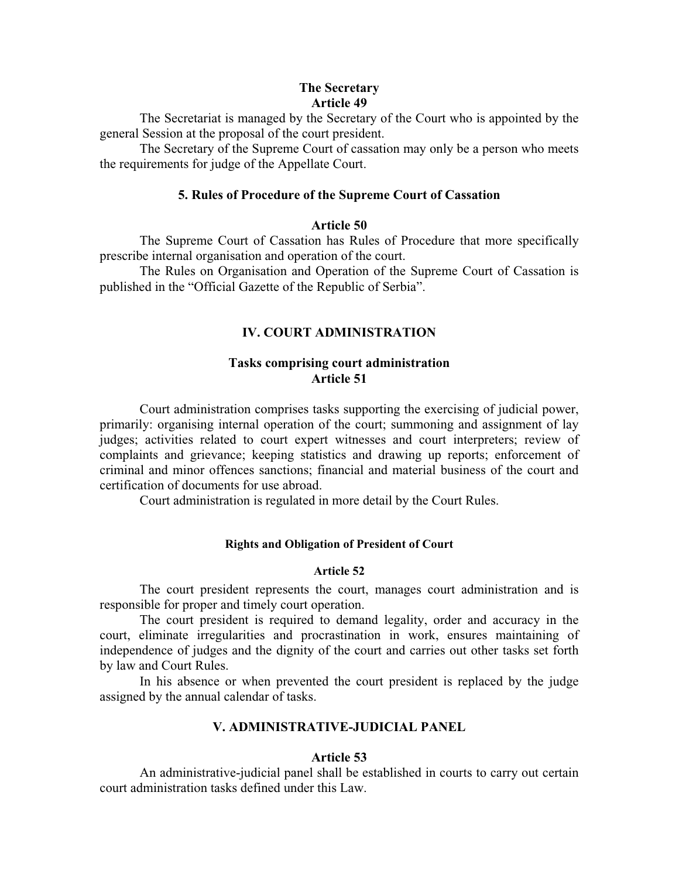## **The Secretary Article 49**

 The Secretariat is managed by the Secretary of the Court who is appointed by the general Session at the proposal of the court president.

 The Secretary of the Supreme Court of cassation may only be a person who meets the requirements for judge of the Appellate Court.

## **5. Rules of Procedure of the Supreme Court of Cassation**

## **Article 50**

 The Supreme Court of Cassation has Rules of Procedure that more specifically prescribe internal organisation and operation of the court.

 The Rules on Organisation and Operation of the Supreme Court of Cassation is published in the "Official Gazette of the Republic of Serbia".

## **IV. COURT ADMINISTRATION**

## **Tasks comprising court administration Article 51**

 Court administration comprises tasks supporting the exercising of judicial power, primarily: organising internal operation of the court; summoning and assignment of lay judges; activities related to court expert witnesses and court interpreters; review of complaints and grievance; keeping statistics and drawing up reports; enforcement of criminal and minor offences sanctions; financial and material business of the court and certification of documents for use abroad.

Court administration is regulated in more detail by the Court Rules.

## **Rights and Obligation of President of Court**

## **Article 52**

 The court president represents the court, manages court administration and is responsible for proper and timely court operation.

 The court president is required to demand legality, order and accuracy in the court, eliminate irregularities and procrastination in work, ensures maintaining of independence of judges and the dignity of the court and carries out other tasks set forth by law and Court Rules.

 In his absence or when prevented the court president is replaced by the judge assigned by the annual calendar of tasks.

## **V. ADMINISTRATIVE-JUDICIAL PANEL**

## **Article 53**

 An administrative-judicial panel shall be established in courts to carry out certain court administration tasks defined under this Law.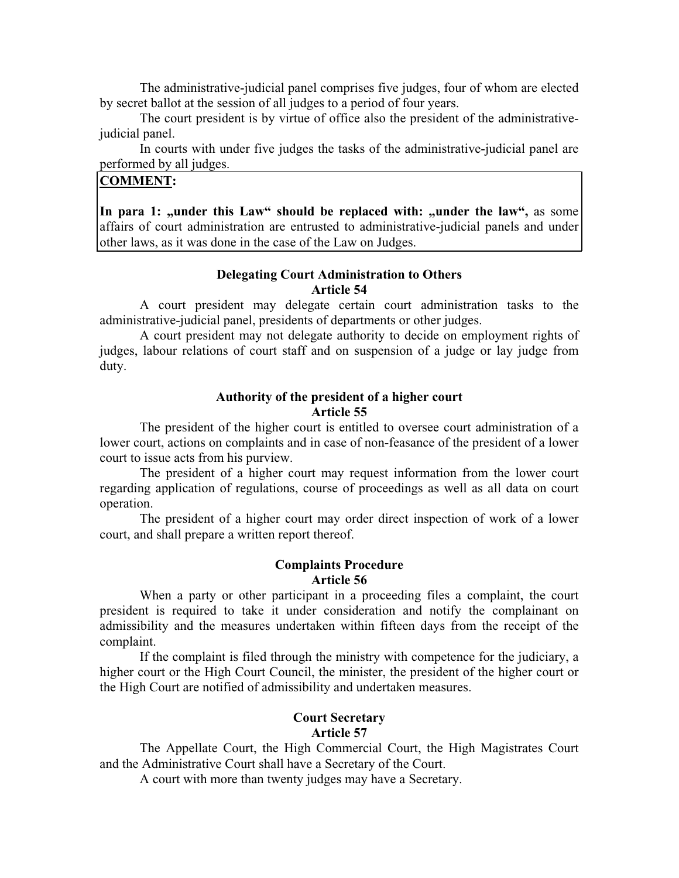The administrative-judicial panel comprises five judges, four of whom are elected by secret ballot at the session of all judges to a period of four years.

 The court president is by virtue of office also the president of the administrativejudicial panel.

 In courts with under five judges the tasks of the administrative-judicial panel are performed by all judges.

## **COMMENT:**

In para 1: "under this Law" should be replaced with: "under the law", as some affairs of court administration are entrusted to administrative-judicial panels and under other laws, as it was done in the case of the Law on Judges.

#### **Delegating Court Administration to Others Article 54**

 A court president may delegate certain court administration tasks to the administrative-judicial panel, presidents of departments or other judges.

 A court president may not delegate authority to decide on employment rights of judges, labour relations of court staff and on suspension of a judge or lay judge from duty.

#### **Authority of the president of a higher court Article 55**

 The president of the higher court is entitled to oversee court administration of a lower court, actions on complaints and in case of non-feasance of the president of a lower court to issue acts from his purview.

 The president of a higher court may request information from the lower court regarding application of regulations, course of proceedings as well as all data on court operation.

 The president of a higher court may order direct inspection of work of a lower court, and shall prepare a written report thereof.

#### **Complaints Procedure Article 56**

 When a party or other participant in a proceeding files a complaint, the court president is required to take it under consideration and notify the complainant on admissibility and the measures undertaken within fifteen days from the receipt of the complaint.

 If the complaint is filed through the ministry with competence for the judiciary, a higher court or the High Court Council, the minister, the president of the higher court or the High Court are notified of admissibility and undertaken measures.

# **Court Secretary**

## **Article 57**

 The Appellate Court, the High Commercial Court, the High Magistrates Court and the Administrative Court shall have a Secretary of the Court.

A court with more than twenty judges may have a Secretary.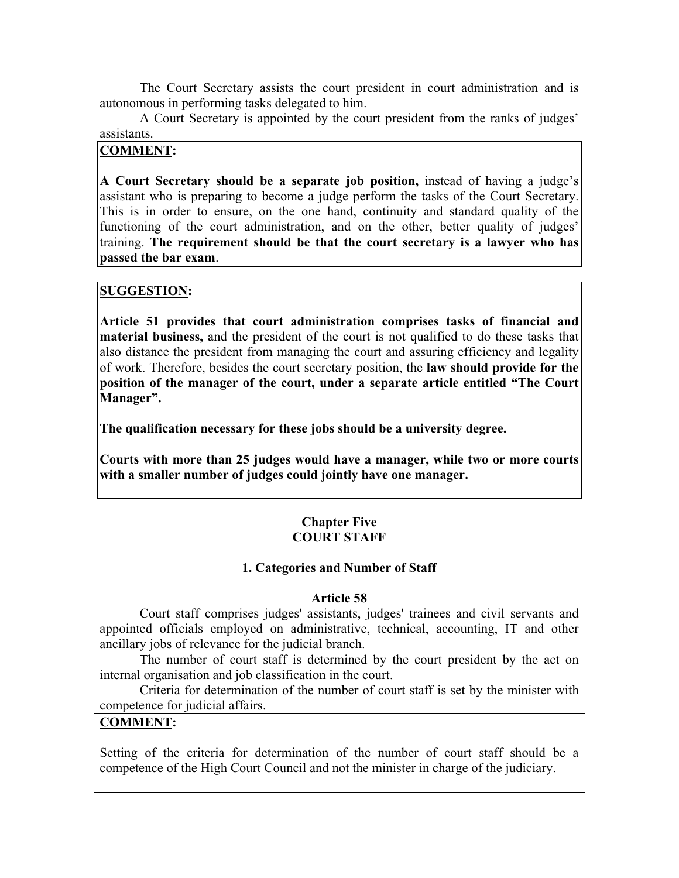The Court Secretary assists the court president in court administration and is autonomous in performing tasks delegated to him.

 A Court Secretary is appointed by the court president from the ranks of judges assistants.

## **COMMENT:**

A Court Secretary should be a separate job position, instead of having a judge's assistant who is preparing to become a judge perform the tasks of the Court Secretary. This is in order to ensure, on the one hand, continuity and standard quality of the functioning of the court administration, and on the other, better quality of judges' training. **The requirement should be that the court secretary is a lawyer who has passed the bar exam**.

## **SUGGESTION:**

**Article 51 provides that court administration comprises tasks of financial and material business,** and the president of the court is not qualified to do these tasks that also distance the president from managing the court and assuring efficiency and legality of work. Therefore, besides the court secretary position, the **law should provide for the**  position of the manager of the court, under a separate article entitled "The Court Manager".

**The qualification necessary for these jobs should be a university degree.** 

**Courts with more than 25 judges would have a manager, while two or more courts with a smaller number of judges could jointly have one manager.** 

## **Chapter Five COURT STAFF**

## **1. Categories and Number of Staff**

## **Article 58**

 Court staff comprises judges' assistants, judges' trainees and civil servants and appointed officials employed on administrative, technical, accounting, IT and other ancillary jobs of relevance for the judicial branch.

 The number of court staff is determined by the court president by the act on internal organisation and job classification in the court.

 Criteria for determination of the number of court staff is set by the minister with competence for judicial affairs.

## **COMMENT:**

Setting of the criteria for determination of the number of court staff should be a competence of the High Court Council and not the minister in charge of the judiciary.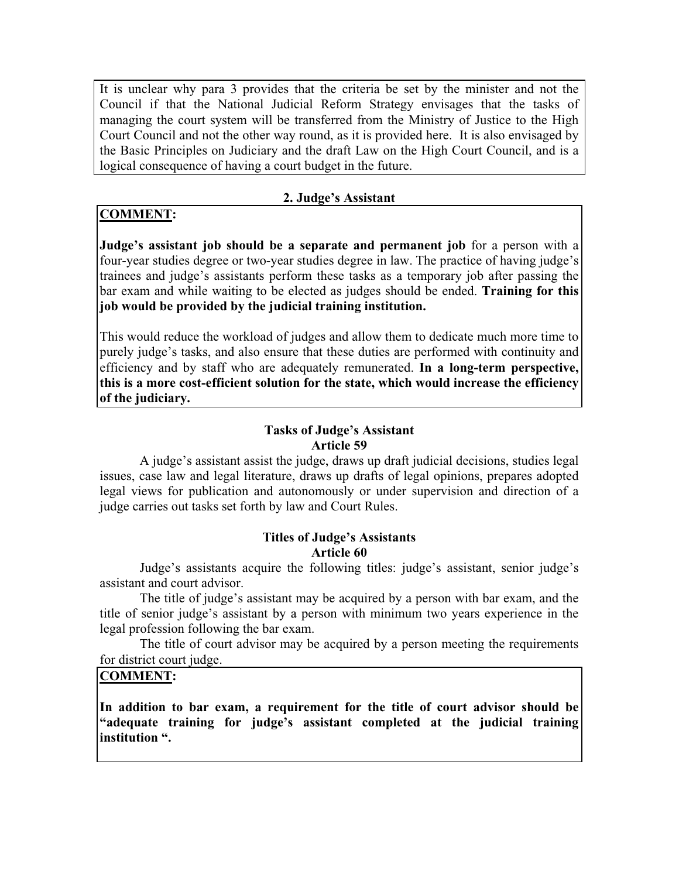It is unclear why para 3 provides that the criteria be set by the minister and not the Council if that the National Judicial Reform Strategy envisages that the tasks of managing the court system will be transferred from the Ministry of Justice to the High Court Council and not the other way round, as it is provided here. It is also envisaged by the Basic Principles on Judiciary and the draft Law on the High Court Council, and is a logical consequence of having a court budget in the future.

## **2. Judge's Assistant**

## **COMMENT:**

**Judge's assistant job should be a separate and permanent job** for a person with a four-year studies degree or two-year studies degree in law. The practice of having judge's trainees and judge's assistants perform these tasks as a temporary job after passing the bar exam and while waiting to be elected as judges should be ended. **Training for this job would be provided by the judicial training institution.** 

This would reduce the workload of judges and allow them to dedicate much more time to purely judge's tasks, and also ensure that these duties are performed with continuity and efficiency and by staff who are adequately remunerated. **In a long-term perspective, this is a more cost-efficient solution for the state, which would increase the efficiency of the judiciary.** 

## **Tasks of Judge's Assistant Article 59**

A judge's assistant assist the judge, draws up draft judicial decisions, studies legal issues, case law and legal literature, draws up drafts of legal opinions, prepares adopted legal views for publication and autonomously or under supervision and direction of a judge carries out tasks set forth by law and Court Rules.

## **Titles of Judge's Assistants Article 60**

Judge's assistants acquire the following titles: judge's assistant, senior judge's assistant and court advisor.

The title of judge's assistant may be acquired by a person with bar exam, and the title of senior judge's assistant by a person with minimum two years experience in the legal profession following the bar exam.

 The title of court advisor may be acquired by a person meeting the requirements for district court judge.

## **COMMENT:**

**In addition to bar exam, a requirement for the title of court advisor should be**  "adequate training for judge's assistant completed at the judicial training **institution ".**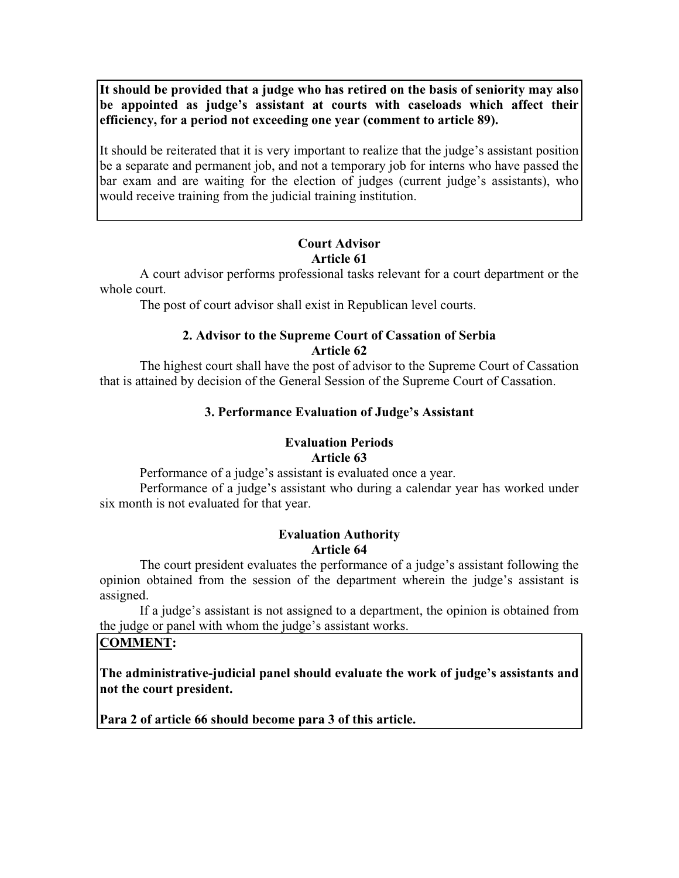**It should be provided that a judge who has retired on the basis of seniority may also**  be appointed as judge's assistant at courts with caseloads which affect their **efficiency, for a period not exceeding one year (comment to article 89).** 

It should be reiterated that it is very important to realize that the judge's assistant position be a separate and permanent job, and not a temporary job for interns who have passed the bar exam and are waiting for the election of judges (current judge's assistants), who would receive training from the judicial training institution.

## **Court Advisor Article 61**

 A court advisor performs professional tasks relevant for a court department or the whole court.

The post of court advisor shall exist in Republican level courts.

## **2. Advisor to the Supreme Court of Cassation of Serbia Article 62**

 The highest court shall have the post of advisor to the Supreme Court of Cassation that is attained by decision of the General Session of the Supreme Court of Cassation.

## **3. Performance Evaluation of Judge's Assistant**

## **Evaluation Periods Article 63**

Performance of a judge's assistant is evaluated once a year.

Performance of a judge's assistant who during a calendar year has worked under six month is not evaluated for that year.

## **Evaluation Authority Article 64**

The court president evaluates the performance of a judge's assistant following the opinion obtained from the session of the department wherein the judge's assistant is assigned.

If a judge's assistant is not assigned to a department, the opinion is obtained from the judge or panel with whom the judge's assistant works.

## **COMMENT:**

The administrative-judicial panel should evaluate the work of judge's assistants and **not the court president.** 

**Para 2 of article 66 should become para 3 of this article.**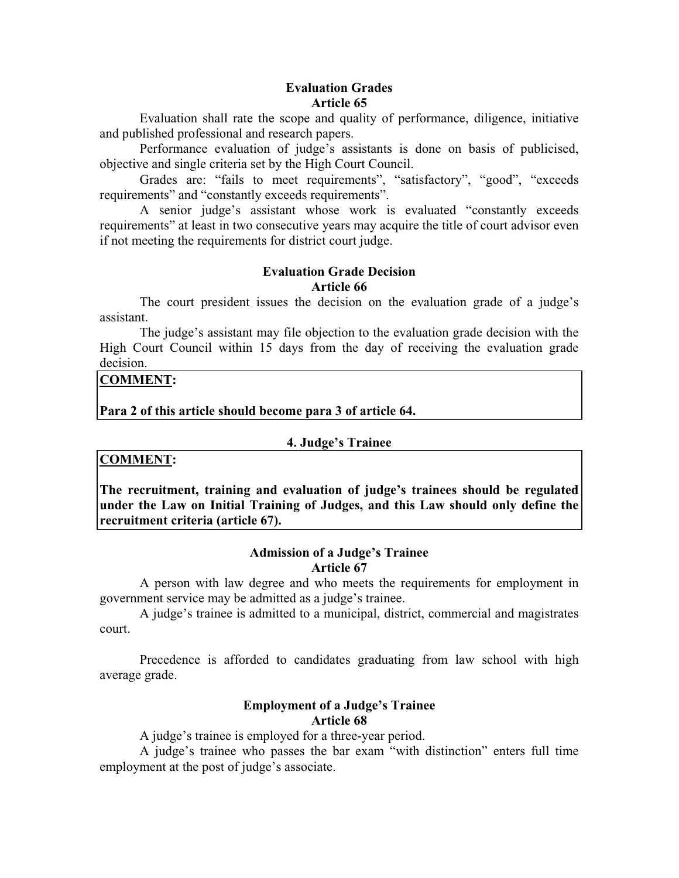## **Evaluation Grades Article 65**

 Evaluation shall rate the scope and quality of performance, diligence, initiative and published professional and research papers.

Performance evaluation of judge's assistants is done on basis of publicised, objective and single criteria set by the High Court Council.

Grades are: "fails to meet requirements", "satisfactory", "good", "exceeds requirements" and "constantly exceeds requirements".

A senior judge's assistant whose work is evaluated "constantly exceeds requirements" at least in two consecutive years may acquire the title of court advisor even if not meeting the requirements for district court judge.

#### **Evaluation Grade Decision Article 66**

The court president issues the decision on the evaluation grade of a judge's assistant.

The judge's assistant may file objection to the evaluation grade decision with the High Court Council within 15 days from the day of receiving the evaluation grade decision.

## **COMMENT:**

**Para 2 of this article should become para 3 of article 64.** 

#### **4. Judge's Trainee**

## **COMMENT:**

The recruitment, training and evaluation of judge's trainees should be regulated **under the Law on Initial Training of Judges, and this Law should only define the recruitment criteria (article 67).** 

#### Admission of a Judge's Trainee **Article 67**

 A person with law degree and who meets the requirements for employment in government service may be admitted as a judge's trainee.

A judge's trainee is admitted to a municipal, district, commercial and magistrates court.

 Precedence is afforded to candidates graduating from law school with high average grade.

## **Employment of a Judge's Trainee Article 68**

A judge's trainee is employed for a three-year period.

A judge's trainee who passes the bar exam "with distinction" enters full time employment at the post of judge's associate.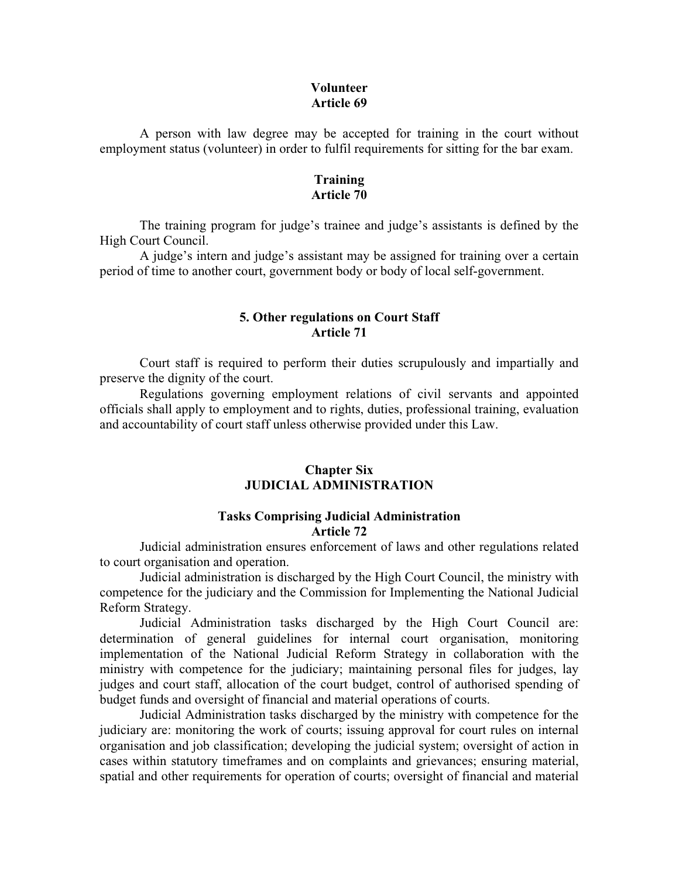#### **Volunteer Article 69**

 A person with law degree may be accepted for training in the court without employment status (volunteer) in order to fulfil requirements for sitting for the bar exam.

#### **Training Article 70**

The training program for judge's trainee and judge's assistants is defined by the High Court Council.

A judge's intern and judge's assistant may be assigned for training over a certain period of time to another court, government body or body of local self-government.

## **5. Other regulations on Court Staff Article 71**

 Court staff is required to perform their duties scrupulously and impartially and preserve the dignity of the court.

 Regulations governing employment relations of civil servants and appointed officials shall apply to employment and to rights, duties, professional training, evaluation and accountability of court staff unless otherwise provided under this Law.

### **Chapter Six JUDICIAL ADMINISTRATION**

#### **Tasks Comprising Judicial Administration Article 72**

 Judicial administration ensures enforcement of laws and other regulations related to court organisation and operation.

Judicial administration is discharged by the High Court Council, the ministry with competence for the judiciary and the Commission for Implementing the National Judicial Reform Strategy.

Judicial Administration tasks discharged by the High Court Council are: determination of general guidelines for internal court organisation, monitoring implementation of the National Judicial Reform Strategy in collaboration with the ministry with competence for the judiciary; maintaining personal files for judges, lay judges and court staff, allocation of the court budget, control of authorised spending of budget funds and oversight of financial and material operations of courts.

Judicial Administration tasks discharged by the ministry with competence for the judiciary are: monitoring the work of courts; issuing approval for court rules on internal organisation and job classification; developing the judicial system; oversight of action in cases within statutory timeframes and on complaints and grievances; ensuring material, spatial and other requirements for operation of courts; oversight of financial and material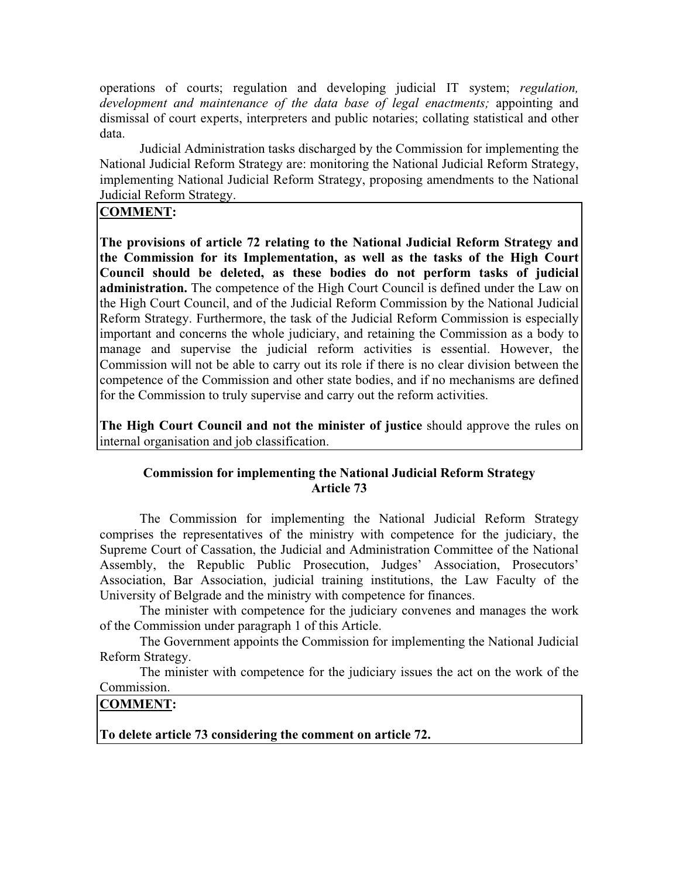operations of courts; regulation and developing judicial IT system; *regulation, development and maintenance of the data base of legal enactments;* appointing and dismissal of court experts, interpreters and public notaries; collating statistical and other data.

Judicial Administration tasks discharged by the Commission for implementing the National Judicial Reform Strategy are: monitoring the National Judicial Reform Strategy, implementing National Judicial Reform Strategy, proposing amendments to the National Judicial Reform Strategy.

## **COMMENT:**

**The provisions of article 72 relating to the National Judicial Reform Strategy and the Commission for its Implementation, as well as the tasks of the High Court Council should be deleted, as these bodies do not perform tasks of judicial administration.** The competence of the High Court Council is defined under the Law on the High Court Council, and of the Judicial Reform Commission by the National Judicial Reform Strategy. Furthermore, the task of the Judicial Reform Commission is especially important and concerns the whole judiciary, and retaining the Commission as a body to manage and supervise the judicial reform activities is essential. However, the Commission will not be able to carry out its role if there is no clear division between the competence of the Commission and other state bodies, and if no mechanisms are defined for the Commission to truly supervise and carry out the reform activities.

**The High Court Council and not the minister of justice** should approve the rules on internal organisation and job classification.

## **Commission for implementing the National Judicial Reform Strategy Article 73**

 The Commission for implementing the National Judicial Reform Strategy comprises the representatives of the ministry with competence for the judiciary, the Supreme Court of Cassation, the Judicial and Administration Committee of the National Assembly, the Republic Public Prosecution, Judges' Association, Prosecutors' Association, Bar Association, judicial training institutions, the Law Faculty of the University of Belgrade and the ministry with competence for finances.

The minister with competence for the judiciary convenes and manages the work of the Commission under paragraph 1 of this Article.

 The Government appoints the Commission for implementing the National Judicial Reform Strategy.

 The minister with competence for the judiciary issues the act on the work of the Commission.

## **COMMENT:**

**To delete article 73 considering the comment on article 72.**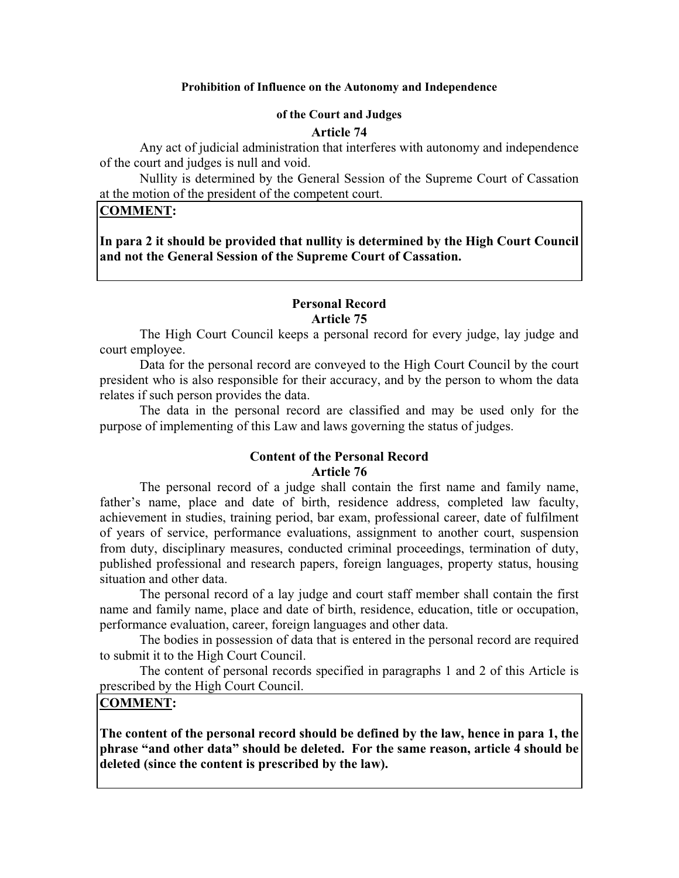#### **Prohibition of Influence on the Autonomy and Independence**

#### **of the Court and Judges**

### **Article 74**

 Any act of judicial administration that interferes with autonomy and independence of the court and judges is null and void.

 Nullity is determined by the General Session of the Supreme Court of Cassation at the motion of the president of the competent court.

# **COMMENT:**

**In para 2 it should be provided that nullity is determined by the High Court Council and not the General Session of the Supreme Court of Cassation.** 

# **Personal Record Article 75**

 The High Court Council keeps a personal record for every judge, lay judge and court employee.

 Data for the personal record are conveyed to the High Court Council by the court president who is also responsible for their accuracy, and by the person to whom the data relates if such person provides the data.

 The data in the personal record are classified and may be used only for the purpose of implementing of this Law and laws governing the status of judges.

#### **Content of the Personal Record Article 76**

 The personal record of a judge shall contain the first name and family name, father's name, place and date of birth, residence address, completed law faculty, achievement in studies, training period, bar exam, professional career, date of fulfilment of years of service, performance evaluations, assignment to another court, suspension from duty, disciplinary measures, conducted criminal proceedings, termination of duty, published professional and research papers, foreign languages, property status, housing situation and other data.

 The personal record of a lay judge and court staff member shall contain the first name and family name, place and date of birth, residence, education, title or occupation, performance evaluation, career, foreign languages and other data.

The bodies in possession of data that is entered in the personal record are required to submit it to the High Court Council.

 The content of personal records specified in paragraphs 1 and 2 of this Article is prescribed by the High Court Council.

# **COMMENT:**

**The content of the personal record should be defined by the law, hence in para 1, the**  phrase "and other data" should be deleted. For the same reason, article 4 should be **deleted (since the content is prescribed by the law).**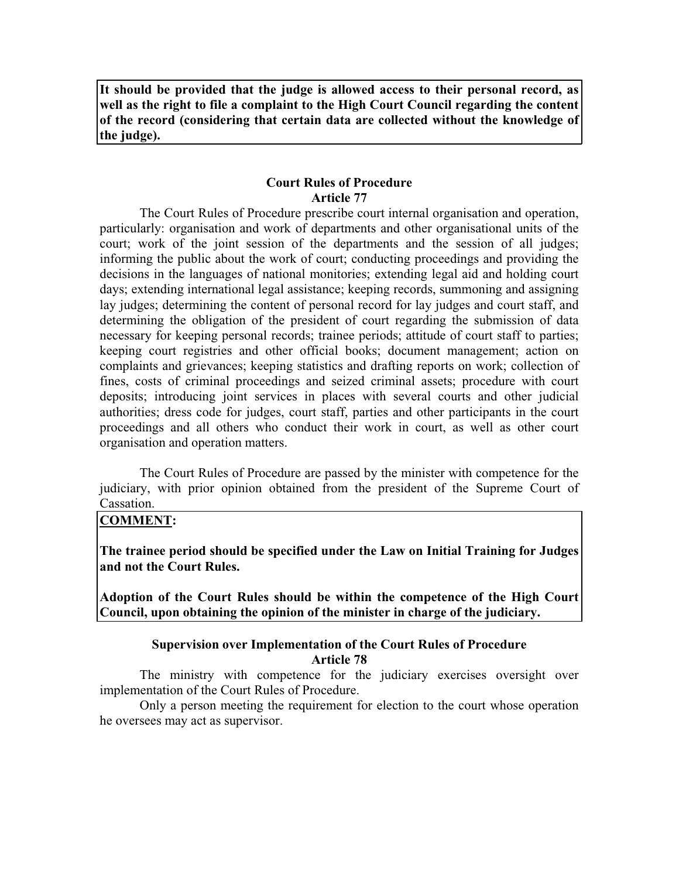**It should be provided that the judge is allowed access to their personal record, as well as the right to file a complaint to the High Court Council regarding the content of the record (considering that certain data are collected without the knowledge of the judge).** 

### **Court Rules of Procedure Article 77**

 The Court Rules of Procedure prescribe court internal organisation and operation, particularly: organisation and work of departments and other organisational units of the court; work of the joint session of the departments and the session of all judges; informing the public about the work of court; conducting proceedings and providing the decisions in the languages of national monitories; extending legal aid and holding court days; extending international legal assistance; keeping records, summoning and assigning lay judges; determining the content of personal record for lay judges and court staff, and determining the obligation of the president of court regarding the submission of data necessary for keeping personal records; trainee periods; attitude of court staff to parties; keeping court registries and other official books; document management; action on complaints and grievances; keeping statistics and drafting reports on work; collection of fines, costs of criminal proceedings and seized criminal assets; procedure with court deposits; introducing joint services in places with several courts and other judicial authorities; dress code for judges, court staff, parties and other participants in the court proceedings and all others who conduct their work in court, as well as other court organisation and operation matters.

 The Court Rules of Procedure are passed by the minister with competence for the judiciary, with prior opinion obtained from the president of the Supreme Court of Cassation.

#### **COMMENT:**

**The trainee period should be specified under the Law on Initial Training for Judges and not the Court Rules.** 

**Adoption of the Court Rules should be within the competence of the High Court Council, upon obtaining the opinion of the minister in charge of the judiciary.** 

#### **Supervision over Implementation of the Court Rules of Procedure**

**Article 78** 

 The ministry with competence for the judiciary exercises oversight over implementation of the Court Rules of Procedure.

 Only a person meeting the requirement for election to the court whose operation he oversees may act as supervisor.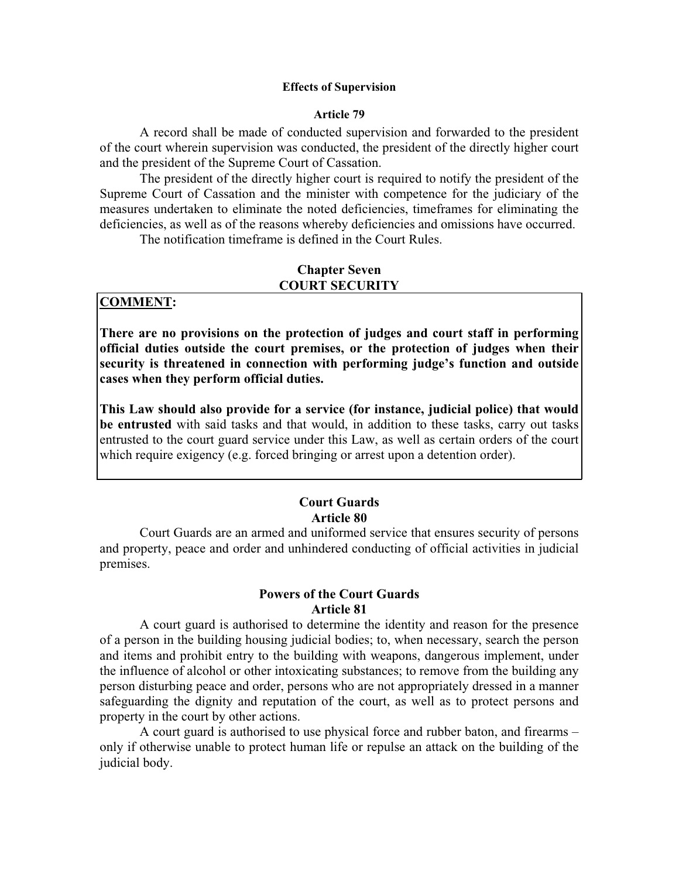#### **Effects of Supervision**

#### **Article 79**

 A record shall be made of conducted supervision and forwarded to the president of the court wherein supervision was conducted, the president of the directly higher court and the president of the Supreme Court of Cassation.

 The president of the directly higher court is required to notify the president of the Supreme Court of Cassation and the minister with competence for the judiciary of the measures undertaken to eliminate the noted deficiencies, timeframes for eliminating the deficiencies, as well as of the reasons whereby deficiencies and omissions have occurred.

The notification timeframe is defined in the Court Rules.

## **Chapter Seven COURT SECURITY**

#### **COMMENT:**

**There are no provisions on the protection of judges and court staff in performing official duties outside the court premises, or the protection of judges when their**  security is threatened in connection with performing judge's function and outside **cases when they perform official duties.** 

**This Law should also provide for a service (for instance, judicial police) that would be entrusted** with said tasks and that would, in addition to these tasks, carry out tasks entrusted to the court guard service under this Law, as well as certain orders of the court which require exigency (e.g. forced bringing or arrest upon a detention order).

#### **Court Guards Article 80**

 Court Guards are an armed and uniformed service that ensures security of persons and property, peace and order and unhindered conducting of official activities in judicial premises.

### **Powers of the Court Guards Article 81**

 A court guard is authorised to determine the identity and reason for the presence of a person in the building housing judicial bodies; to, when necessary, search the person and items and prohibit entry to the building with weapons, dangerous implement, under the influence of alcohol or other intoxicating substances; to remove from the building any person disturbing peace and order, persons who are not appropriately dressed in a manner safeguarding the dignity and reputation of the court, as well as to protect persons and property in the court by other actions.

 A court guard is authorised to use physical force and rubber baton, and firearms only if otherwise unable to protect human life or repulse an attack on the building of the judicial body.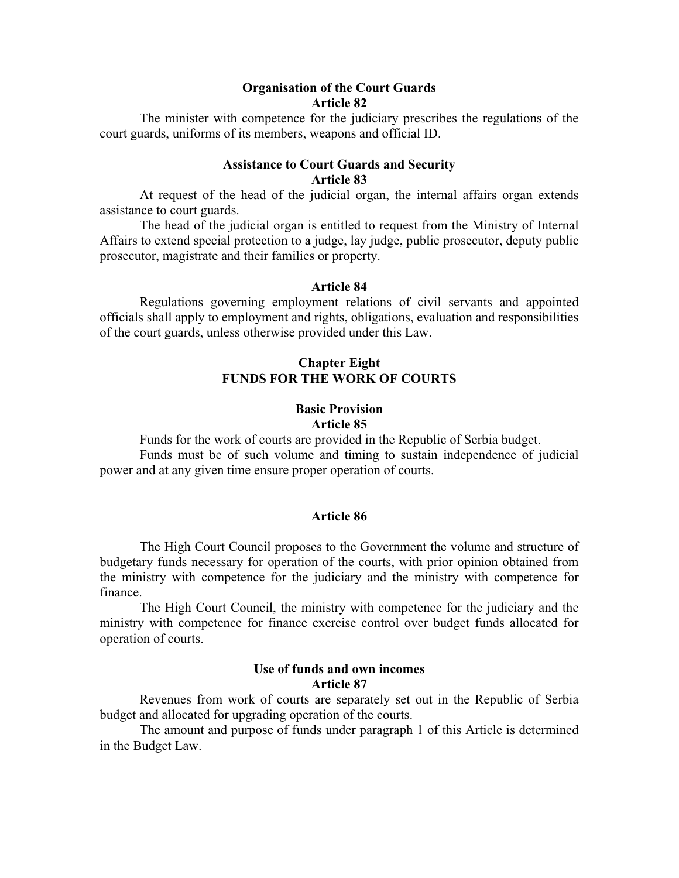### **Organisation of the Court Guards Article 82**

 The minister with competence for the judiciary prescribes the regulations of the court guards, uniforms of its members, weapons and official ID.

### **Assistance to Court Guards and Security Article 83**

 At request of the head of the judicial organ, the internal affairs organ extends assistance to court guards.

 The head of the judicial organ is entitled to request from the Ministry of Internal Affairs to extend special protection to a judge, lay judge, public prosecutor, deputy public prosecutor, magistrate and their families or property.

#### **Article 84**

 Regulations governing employment relations of civil servants and appointed officials shall apply to employment and rights, obligations, evaluation and responsibilities of the court guards, unless otherwise provided under this Law.

### **Chapter Eight FUNDS FOR THE WORK OF COURTS**

# **Basic Provision Article 85**

 Funds for the work of courts are provided in the Republic of Serbia budget. Funds must be of such volume and timing to sustain independence of judicial power and at any given time ensure proper operation of courts.

#### **Article 86**

 The High Court Council proposes to the Government the volume and structure of budgetary funds necessary for operation of the courts, with prior opinion obtained from the ministry with competence for the judiciary and the ministry with competence for finance.

 The High Court Council, the ministry with competence for the judiciary and the ministry with competence for finance exercise control over budget funds allocated for operation of courts.

### **Use of funds and own incomes Article 87**

 Revenues from work of courts are separately set out in the Republic of Serbia budget and allocated for upgrading operation of the courts.

 The amount and purpose of funds under paragraph 1 of this Article is determined in the Budget Law.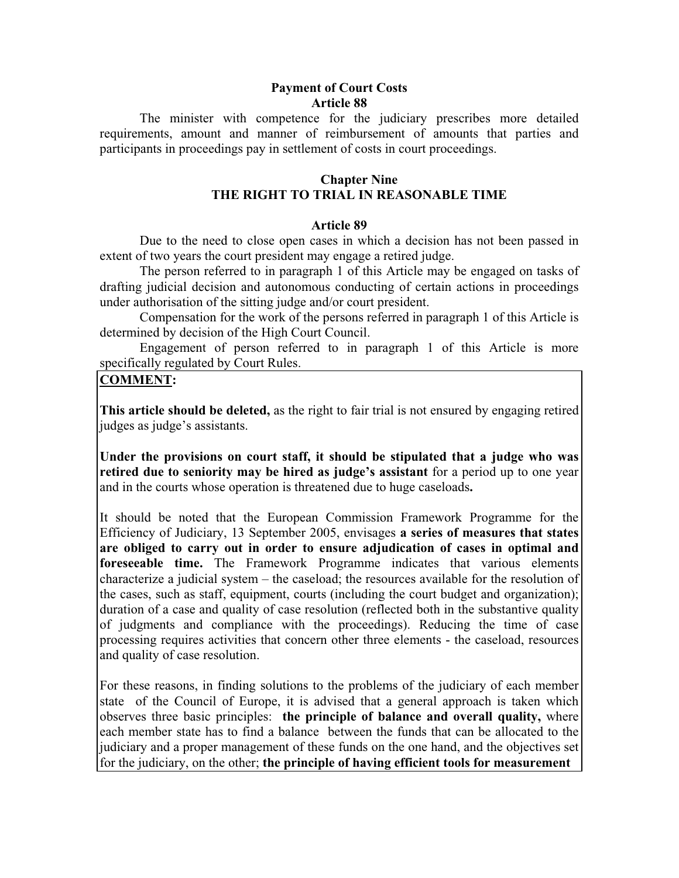# **Payment of Court Costs Article 88**

 The minister with competence for the judiciary prescribes more detailed requirements, amount and manner of reimbursement of amounts that parties and participants in proceedings pay in settlement of costs in court proceedings.

# **Chapter Nine THE RIGHT TO TRIAL IN REASONABLE TIME**

# **Article 89**

Due to the need to close open cases in which a decision has not been passed in extent of two years the court president may engage a retired judge.

 The person referred to in paragraph 1 of this Article may be engaged on tasks of drafting judicial decision and autonomous conducting of certain actions in proceedings under authorisation of the sitting judge and/or court president.

Compensation for the work of the persons referred in paragraph 1 of this Article is determined by decision of the High Court Council.

Engagement of person referred to in paragraph 1 of this Article is more specifically regulated by Court Rules.

# **COMMENT:**

**This article should be deleted,** as the right to fair trial is not ensured by engaging retired judges as judge's assistants.

**Under the provisions on court staff, it should be stipulated that a judge who was retired due to seniority may be hired as judge's assistant** for a period up to one year and in the courts whose operation is threatened due to huge caseloads**.** 

It should be noted that the European Commission Framework Programme for the Efficiency of Judiciary, 13 September 2005, envisages **a series of measures that states are obliged to carry out in order to ensure adjudication of cases in optimal and foreseeable time.** The Framework Programme indicates that various elements characterize a judicial system  $-$  the caseload; the resources available for the resolution of the cases, such as staff, equipment, courts (including the court budget and organization); duration of a case and quality of case resolution (reflected both in the substantive quality of judgments and compliance with the proceedings). Reducing the time of case processing requires activities that concern other three elements - the caseload, resources and quality of case resolution.

For these reasons, in finding solutions to the problems of the judiciary of each member state of the Council of Europe, it is advised that a general approach is taken which observes three basic principles: **the principle of balance and overall quality,** where each member state has to find a balance between the funds that can be allocated to the judiciary and a proper management of these funds on the one hand, and the objectives set for the judiciary, on the other; **the principle of having efficient tools for measurement**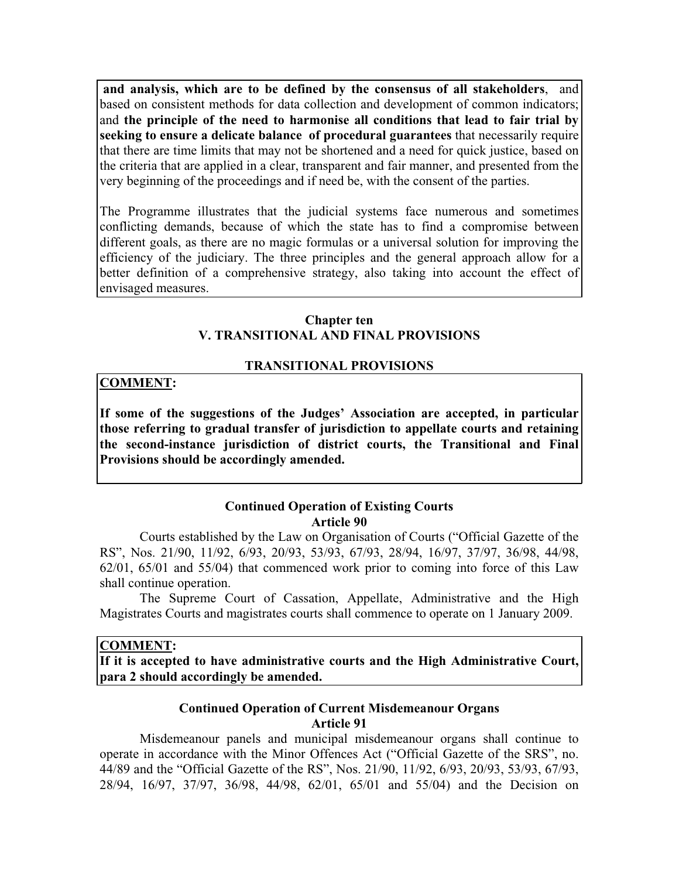**and analysis, which are to be defined by the consensus of all stakeholders**, and based on consistent methods for data collection and development of common indicators; and **the principle of the need to harmonise all conditions that lead to fair trial by seeking to ensure a delicate balance of procedural guarantees** that necessarily require that there are time limits that may not be shortened and a need for quick justice, based on the criteria that are applied in a clear, transparent and fair manner, and presented from the very beginning of the proceedings and if need be, with the consent of the parties.

The Programme illustrates that the judicial systems face numerous and sometimes conflicting demands, because of which the state has to find a compromise between different goals, as there are no magic formulas or a universal solution for improving the efficiency of the judiciary. The three principles and the general approach allow for a better definition of a comprehensive strategy, also taking into account the effect of envisaged measures.

# **Chapter ten V. TRANSITIONAL AND FINAL PROVISIONS**

# **TRANSITIONAL PROVISIONS**

### **COMMENT:**

**If some of the suggestions of the Judges Association are accepted, in particular those referring to gradual transfer of jurisdiction to appellate courts and retaining the second-instance jurisdiction of district courts, the Transitional and Final Provisions should be accordingly amended.** 

### **Continued Operation of Existing Courts Article 90**

Courts established by the Law on Organisation of Courts ("Official Gazette of the RS, Nos. 21/90, 11/92, 6/93, 20/93, 53/93, 67/93, 28/94, 16/97, 37/97, 36/98, 44/98, 62/01, 65/01 and 55/04) that commenced work prior to coming into force of this Law shall continue operation.

The Supreme Court of Cassation, Appellate, Administrative and the High Magistrates Courts and magistrates courts shall commence to operate on 1 January 2009.

#### **COMMENT:**

**If it is accepted to have administrative courts and the High Administrative Court, para 2 should accordingly be amended.** 

# **Continued Operation of Current Misdemeanour Organs Article 91**

 Misdemeanour panels and municipal misdemeanour organs shall continue to operate in accordance with the Minor Offences Act ("Official Gazette of the SRS", no. 44/89 and the "Official Gazette of the RS", Nos. 21/90, 11/92, 6/93, 20/93, 53/93, 67/93, 28/94, 16/97, 37/97, 36/98, 44/98, 62/01, 65/01 and 55/04) and the Decision on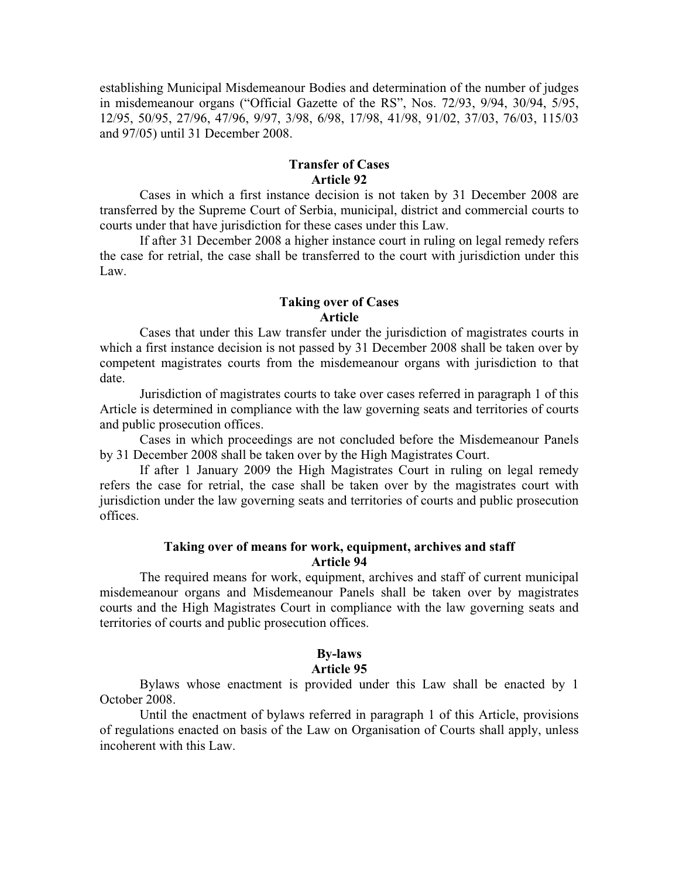establishing Municipal Misdemeanour Bodies and determination of the number of judges in misdemeanour organs ("Official Gazette of the RS", Nos. 72/93, 9/94, 30/94, 5/95, 12/95, 50/95, 27/96, 47/96, 9/97, 3/98, 6/98, 17/98, 41/98, 91/02, 37/03, 76/03, 115/03 and 97/05) until 31 December 2008.

#### **Transfer of Cases Article 92**

 Cases in which a first instance decision is not taken by 31 December 2008 are transferred by the Supreme Court of Serbia, municipal, district and commercial courts to courts under that have jurisdiction for these cases under this Law.

 If after 31 December 2008 a higher instance court in ruling on legal remedy refers the case for retrial, the case shall be transferred to the court with jurisdiction under this Law.

#### **Taking over of Cases Article**

 Cases that under this Law transfer under the jurisdiction of magistrates courts in which a first instance decision is not passed by 31 December 2008 shall be taken over by competent magistrates courts from the misdemeanour organs with jurisdiction to that date.

 Jurisdiction of magistrates courts to take over cases referred in paragraph 1 of this Article is determined in compliance with the law governing seats and territories of courts and public prosecution offices.

 Cases in which proceedings are not concluded before the Misdemeanour Panels by 31 December 2008 shall be taken over by the High Magistrates Court.

 If after 1 January 2009 the High Magistrates Court in ruling on legal remedy refers the case for retrial, the case shall be taken over by the magistrates court with jurisdiction under the law governing seats and territories of courts and public prosecution offices.

#### **Taking over of means for work, equipment, archives and staff Article 94**

 The required means for work, equipment, archives and staff of current municipal misdemeanour organs and Misdemeanour Panels shall be taken over by magistrates courts and the High Magistrates Court in compliance with the law governing seats and territories of courts and public prosecution offices.

# **By-laws**

#### **Article 95**

 Bylaws whose enactment is provided under this Law shall be enacted by 1 October 2008.

Until the enactment of bylaws referred in paragraph 1 of this Article, provisions of regulations enacted on basis of the Law on Organisation of Courts shall apply, unless incoherent with this Law.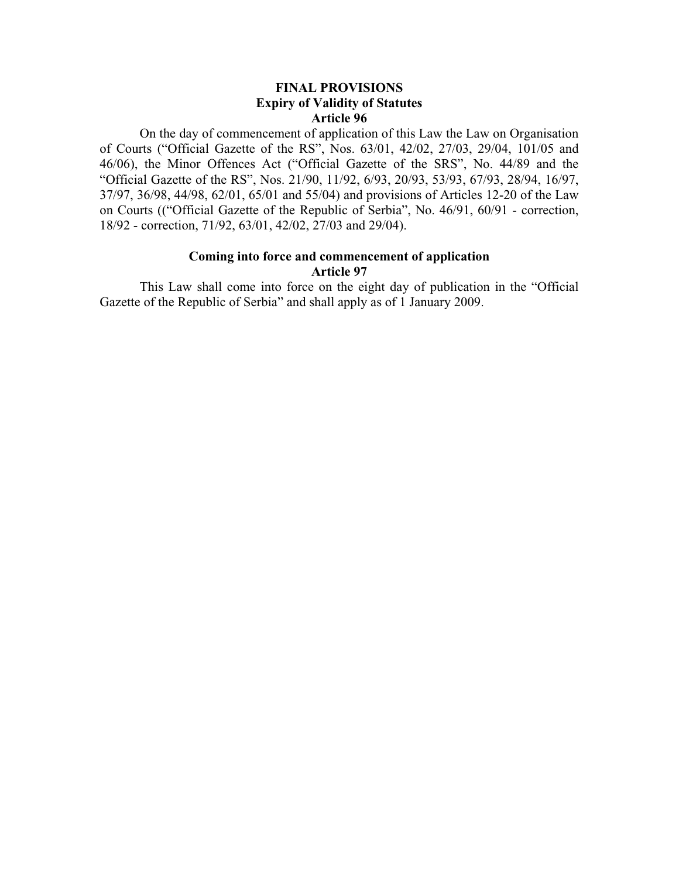## **FINAL PROVISIONS Expiry of Validity of Statutes Article 96**

 On the day of commencement of application of this Law the Law on Organisation of Courts ("Official Gazette of the RS", Nos. 63/01, 42/02, 27/03, 29/04, 101/05 and 46/06), the Minor Offences Act ("Official Gazette of the SRS", No. 44/89 and the "Official Gazette of the RS", Nos. 21/90, 11/92, 6/93, 20/93, 53/93, 67/93, 28/94, 16/97, 37/97, 36/98, 44/98, 62/01, 65/01 and 55/04) and provisions of Articles 12-20 of the Law on Courts (("Official Gazette of the Republic of Serbia", No. 46/91, 60/91 - correction, 18/92 - correction, 71/92, 63/01, 42/02, 27/03 and 29/04).

#### **Coming into force and commencement of application Article 97**

This Law shall come into force on the eight day of publication in the "Official" Gazette of the Republic of Serbia" and shall apply as of 1 January 2009.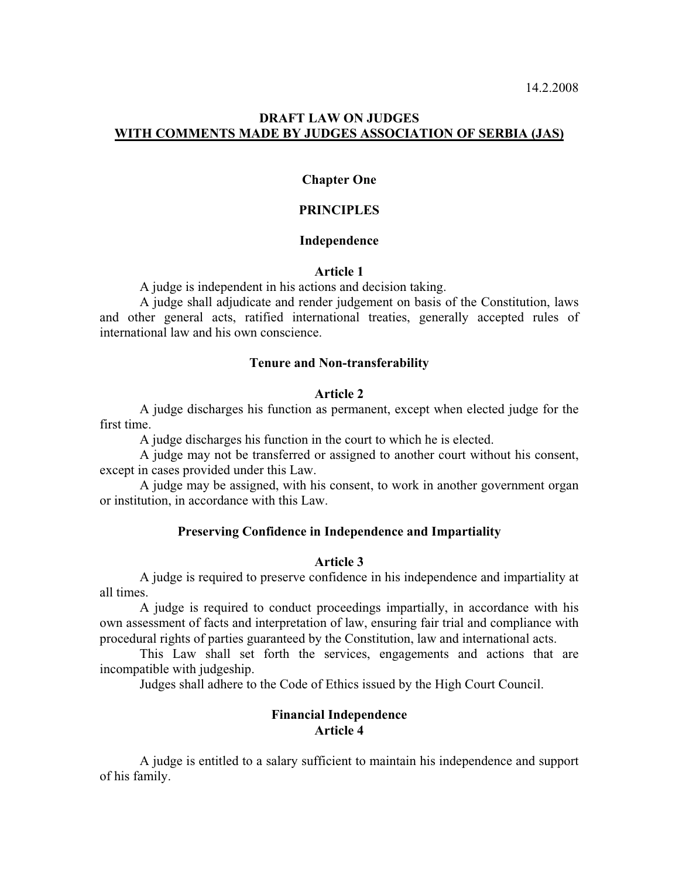# **DRAFT LAW ON JUDGES WITH COMMENTS MADE BY JUDGES ASSOCIATION OF SERBIA (JAS)**

### **Chapter One**

# **PRINCIPLES**

#### **Independence**

#### **Article 1**

A judge is independent in his actions and decision taking.

 A judge shall adjudicate and render judgement on basis of the Constitution, laws and other general acts, ratified international treaties, generally accepted rules of international law and his own conscience.

#### **Tenure and Non-transferability**

#### **Article 2**

 A judge discharges his function as permanent, except when elected judge for the first time.

A judge discharges his function in the court to which he is elected.

 A judge may not be transferred or assigned to another court without his consent, except in cases provided under this Law.

 A judge may be assigned, with his consent, to work in another government organ or institution, in accordance with this Law.

#### **Preserving Confidence in Independence and Impartiality**

#### **Article 3**

 A judge is required to preserve confidence in his independence and impartiality at all times.

 A judge is required to conduct proceedings impartially, in accordance with his own assessment of facts and interpretation of law, ensuring fair trial and compliance with procedural rights of parties guaranteed by the Constitution, law and international acts.

 This Law shall set forth the services, engagements and actions that are incompatible with judgeship.

Judges shall adhere to the Code of Ethics issued by the High Court Council.

### **Financial Independence Article 4**

 A judge is entitled to a salary sufficient to maintain his independence and support of his family.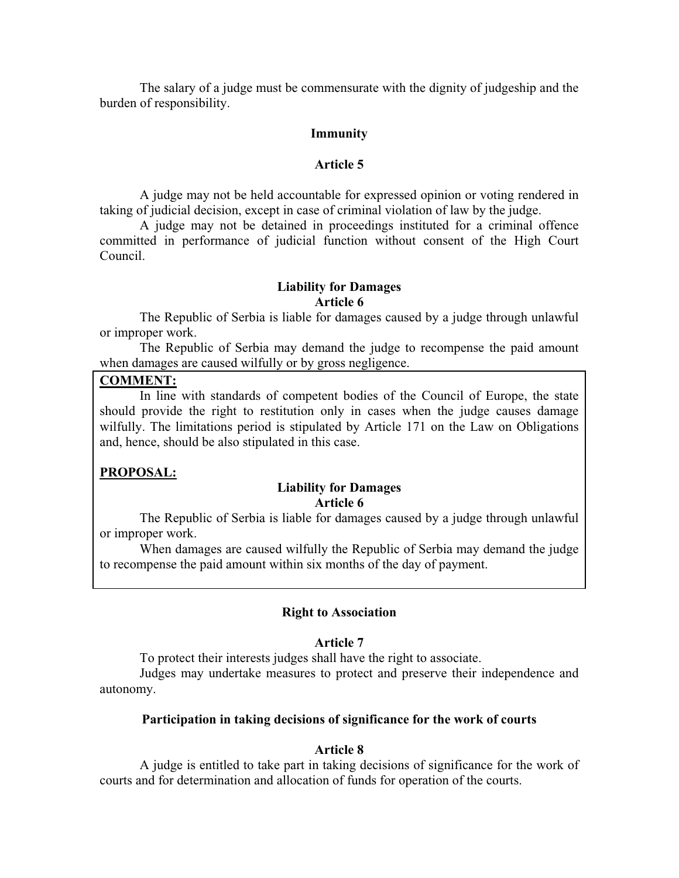The salary of a judge must be commensurate with the dignity of judgeship and the burden of responsibility.

#### **Immunity**

# **Article 5**

 A judge may not be held accountable for expressed opinion or voting rendered in taking of judicial decision, except in case of criminal violation of law by the judge.

 A judge may not be detained in proceedings instituted for a criminal offence committed in performance of judicial function without consent of the High Court Council.

## **Liability for Damages Article 6**

 The Republic of Serbia is liable for damages caused by a judge through unlawful or improper work.

 The Republic of Serbia may demand the judge to recompense the paid amount when damages are caused wilfully or by gross negligence.

## **COMMENT:**

 In line with standards of competent bodies of the Council of Europe, the state should provide the right to restitution only in cases when the judge causes damage wilfully. The limitations period is stipulated by Article 171 on the Law on Obligations and, hence, should be also stipulated in this case.

#### **PROPOSAL:**

#### **Liability for Damages Article 6**

 The Republic of Serbia is liable for damages caused by a judge through unlawful or improper work.

 When damages are caused wilfully the Republic of Serbia may demand the judge to recompense the paid amount within six months of the day of payment.

#### **Right to Association**

## **Article 7**

To protect their interests judges shall have the right to associate.

 Judges may undertake measures to protect and preserve their independence and autonomy.

#### **Participation in taking decisions of significance for the work of courts**

# **Article 8**

 A judge is entitled to take part in taking decisions of significance for the work of courts and for determination and allocation of funds for operation of the courts.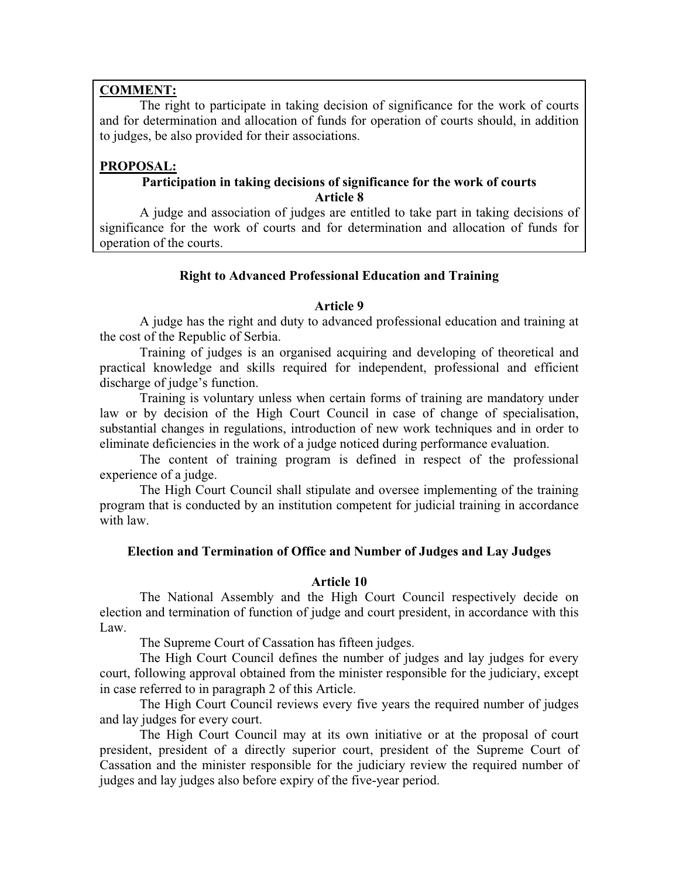# **COMMENT:**

 The right to participate in taking decision of significance for the work of courts and for determination and allocation of funds for operation of courts should, in addition to judges, be also provided for their associations.

# **PROPOSAL:**

# **Participation in taking decisions of significance for the work of courts Article 8**

 A judge and association of judges are entitled to take part in taking decisions of significance for the work of courts and for determination and allocation of funds for operation of the courts.

# **Right to Advanced Professional Education and Training**

# **Article 9**

 A judge has the right and duty to advanced professional education and training at the cost of the Republic of Serbia.

 Training of judges is an organised acquiring and developing of theoretical and practical knowledge and skills required for independent, professional and efficient discharge of judge's function.

 Training is voluntary unless when certain forms of training are mandatory under law or by decision of the High Court Council in case of change of specialisation, substantial changes in regulations, introduction of new work techniques and in order to eliminate deficiencies in the work of a judge noticed during performance evaluation.

 The content of training program is defined in respect of the professional experience of a judge.

 The High Court Council shall stipulate and oversee implementing of the training program that is conducted by an institution competent for judicial training in accordance with law.

# **Election and Termination of Office and Number of Judges and Lay Judges**

#### **Article 10**

 The National Assembly and the High Court Council respectively decide on election and termination of function of judge and court president, in accordance with this Law.

The Supreme Court of Cassation has fifteen judges.

 The High Court Council defines the number of judges and lay judges for every court, following approval obtained from the minister responsible for the judiciary, except in case referred to in paragraph 2 of this Article.

 The High Court Council reviews every five years the required number of judges and lay judges for every court.

 The High Court Council may at its own initiative or at the proposal of court president, president of a directly superior court, president of the Supreme Court of Cassation and the minister responsible for the judiciary review the required number of judges and lay judges also before expiry of the five-year period.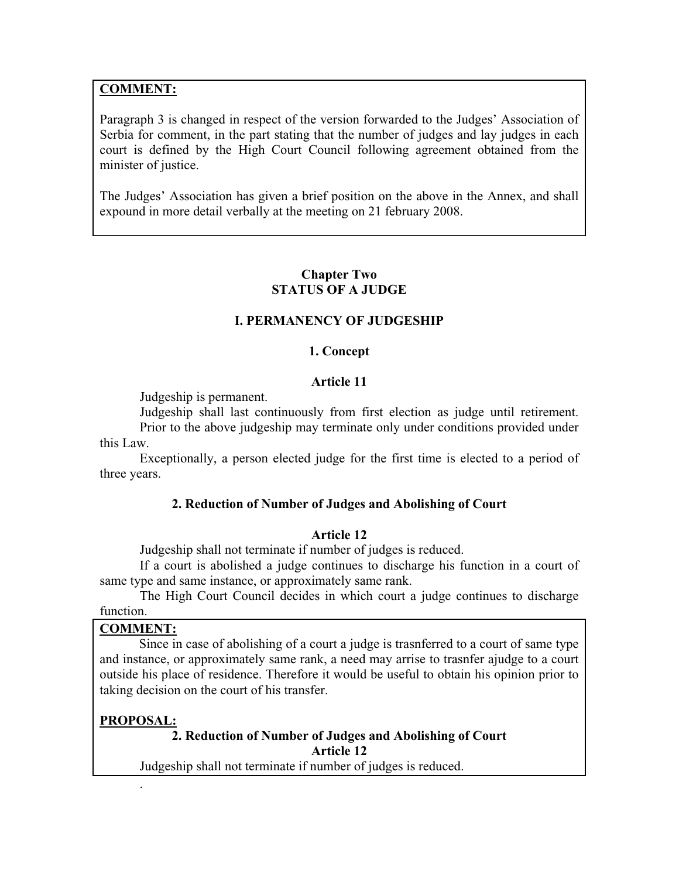# **COMMENT:**

Paragraph 3 is changed in respect of the version forwarded to the Judges' Association of Serbia for comment, in the part stating that the number of judges and lay judges in each court is defined by the High Court Council following agreement obtained from the minister of justice.

The Judges' Association has given a brief position on the above in the Annex, and shall expound in more detail verbally at the meeting on 21 february 2008.

# **Chapter Two STATUS OF A JUDGE**

# **I. PERMANENCY OF JUDGESHIP**

# **1. Concept**

#### **Article 11**

Judgeship is permanent.

 Judgeship shall last continuously from first election as judge until retirement. Prior to the above judgeship may terminate only under conditions provided under

this Law.

 Exceptionally, a person elected judge for the first time is elected to a period of three years.

#### **2. Reduction of Number of Judges and Abolishing of Court**

#### **Article 12**

Judgeship shall not terminate if number of judges is reduced.

 If a court is abolished a judge continues to discharge his function in a court of same type and same instance, or approximately same rank.

 The High Court Council decides in which court a judge continues to discharge function.

#### **COMMENT:**

Since in case of abolishing of a court a judge is trasnferred to a court of same type and instance, or approximately same rank, a need may arrise to trasnfer ajudge to a court outside his place of residence. Therefore it would be useful to obtain his opinion prior to taking decision on the court of his transfer.

#### **PROPOSAL:**

.

**2. Reduction of Number of Judges and Abolishing of Court Article 12** 

Judgeship shall not terminate if number of judges is reduced.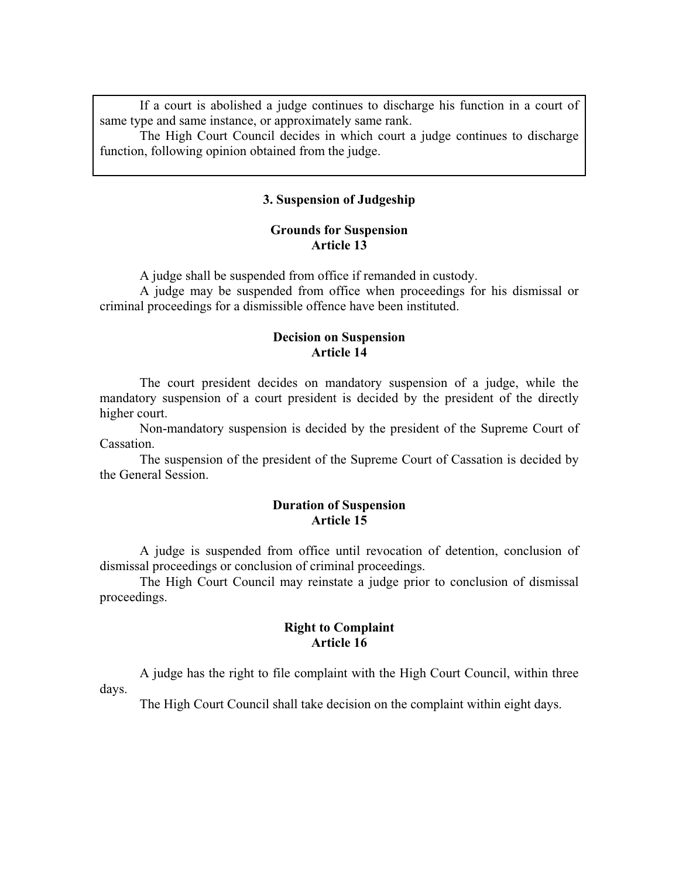If a court is abolished a judge continues to discharge his function in a court of same type and same instance, or approximately same rank.

 The High Court Council decides in which court a judge continues to discharge function, following opinion obtained from the judge.

#### **3. Suspension of Judgeship**

#### **Grounds for Suspension Article 13**

A judge shall be suspended from office if remanded in custody.

 A judge may be suspended from office when proceedings for his dismissal or criminal proceedings for a dismissible offence have been instituted.

#### **Decision on Suspension Article 14**

 The court president decides on mandatory suspension of a judge, while the mandatory suspension of a court president is decided by the president of the directly higher court.

 Non-mandatory suspension is decided by the president of the Supreme Court of Cassation.

 The suspension of the president of the Supreme Court of Cassation is decided by the General Session.

### **Duration of Suspension Article 15**

 A judge is suspended from office until revocation of detention, conclusion of dismissal proceedings or conclusion of criminal proceedings.

 The High Court Council may reinstate a judge prior to conclusion of dismissal proceedings.

# **Right to Complaint Article 16**

 A judge has the right to file complaint with the High Court Council, within three days.

The High Court Council shall take decision on the complaint within eight days.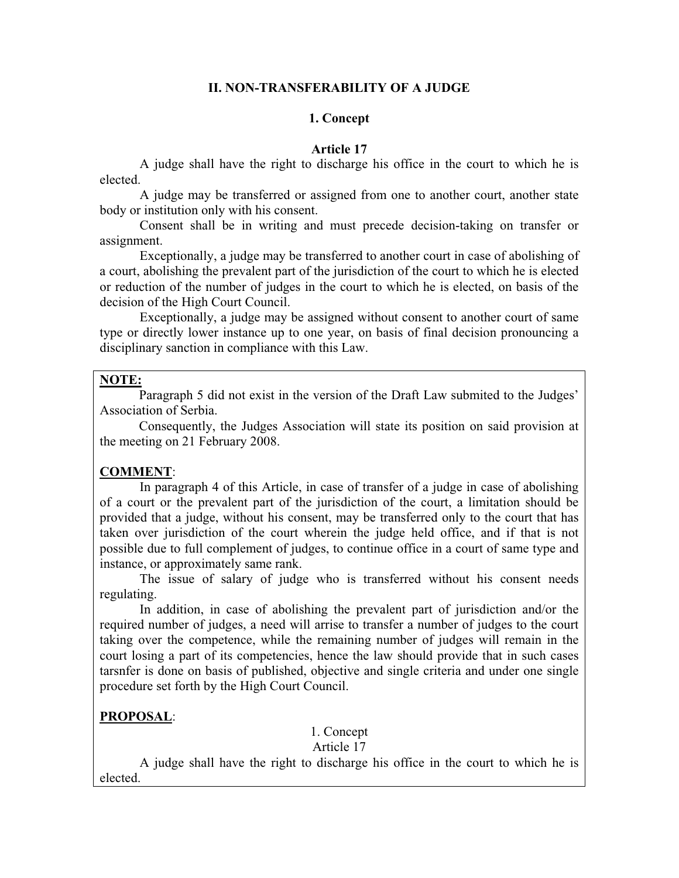## **II. NON-TRANSFERABILITY OF A JUDGE**

## **1. Concept**

### **Article 17**

 A judge shall have the right to discharge his office in the court to which he is elected.

 A judge may be transferred or assigned from one to another court, another state body or institution only with his consent.

 Consent shall be in writing and must precede decision-taking on transfer or assignment.

 Exceptionally, a judge may be transferred to another court in case of abolishing of a court, abolishing the prevalent part of the jurisdiction of the court to which he is elected or reduction of the number of judges in the court to which he is elected, on basis of the decision of the High Court Council.

 Exceptionally, a judge may be assigned without consent to another court of same type or directly lower instance up to one year, on basis of final decision pronouncing a disciplinary sanction in compliance with this Law.

### **NOTE:**

Paragraph 5 did not exist in the version of the Draft Law submited to the Judges' Association of Serbia.

Consequently, the Judges Association will state its position on said provision at the meeting on 21 February 2008.

# **COMMENT**:

 In paragraph 4 of this Article, in case of transfer of a judge in case of abolishing of a court or the prevalent part of the jurisdiction of the court, a limitation should be provided that a judge, without his consent, may be transferred only to the court that has taken over jurisdiction of the court wherein the judge held office, and if that is not possible due to full complement of judges, to continue office in a court of same type and instance, or approximately same rank.

The issue of salary of judge who is transferred without his consent needs regulating.

In addition, in case of abolishing the prevalent part of jurisdiction and/or the required number of judges, a need will arrise to transfer a number of judges to the court taking over the competence, while the remaining number of judges will remain in the court losing a part of its competencies, hence the law should provide that in such cases tarsnfer is done on basis of published, objective and single criteria and under one single procedure set forth by the High Court Council.

# **PROPOSAL**:

1. Concept

Article 17

 A judge shall have the right to discharge his office in the court to which he is elected.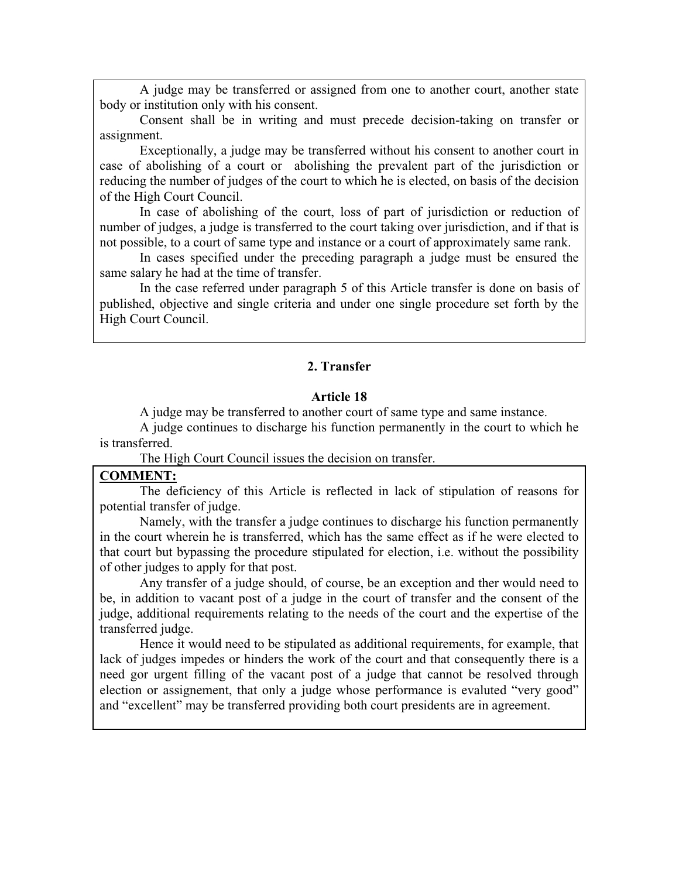A judge may be transferred or assigned from one to another court, another state body or institution only with his consent.

 Consent shall be in writing and must precede decision-taking on transfer or assignment.

 Exceptionally, a judge may be transferred without his consent to another court in case of abolishing of a court or abolishing the prevalent part of the jurisdiction or reducing the number of judges of the court to which he is elected, on basis of the decision of the High Court Council.

In case of abolishing of the court, loss of part of jurisdiction or reduction of number of judges, a judge is transferred to the court taking over jurisdiction, and if that is not possible, to a court of same type and instance or a court of approximately same rank.

In cases specified under the preceding paragraph a judge must be ensured the same salary he had at the time of transfer.

In the case referred under paragraph 5 of this Article transfer is done on basis of published, objective and single criteria and under one single procedure set forth by the High Court Council.

## **2. Transfer**

#### **Article 18**

A judge may be transferred to another court of same type and same instance.

 A judge continues to discharge his function permanently in the court to which he is transferred.

The High Court Council issues the decision on transfer.

#### **COMMENT:**

 The deficiency of this Article is reflected in lack of stipulation of reasons for potential transfer of judge.

Namely, with the transfer a judge continues to discharge his function permanently in the court wherein he is transferred, which has the same effect as if he were elected to that court but bypassing the procedure stipulated for election, i.e. without the possibility of other judges to apply for that post.

Any transfer of a judge should, of course, be an exception and ther would need to be, in addition to vacant post of a judge in the court of transfer and the consent of the judge, additional requirements relating to the needs of the court and the expertise of the transferred judge.

Hence it would need to be stipulated as additional requirements, for example, that lack of judges impedes or hinders the work of the court and that consequently there is a need gor urgent filling of the vacant post of a judge that cannot be resolved through election or assignement, that only a judge whose performance is evaluted "very good" and "excellent" may be transferred providing both court presidents are in agreement.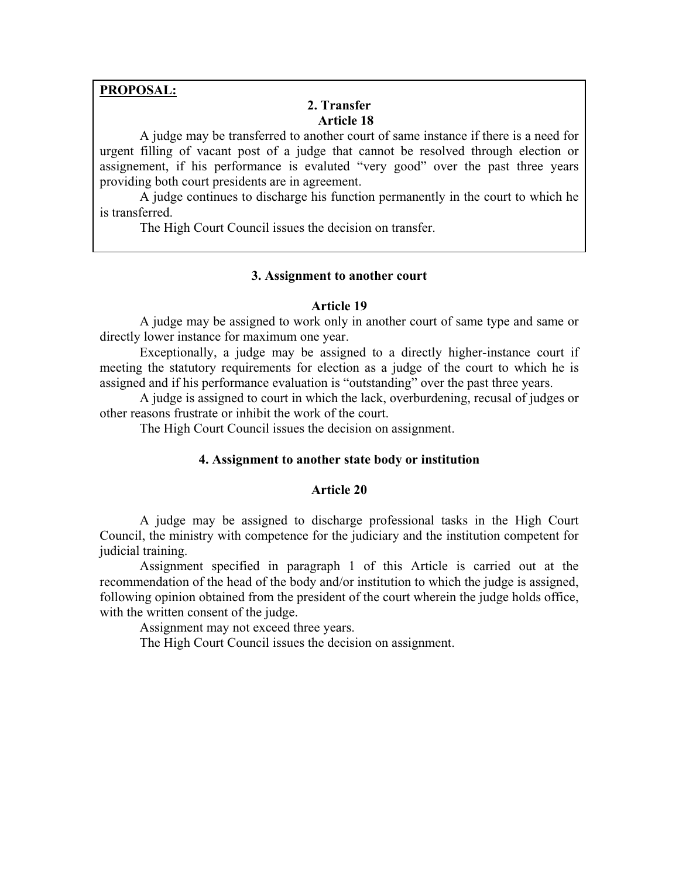# **PROPOSAL:**

#### **2. Transfer Article 18**

 A judge may be transferred to another court of same instance if there is a need for urgent filling of vacant post of a judge that cannot be resolved through election or assignement, if his performance is evaluted "very good" over the past three years providing both court presidents are in agreement.

 A judge continues to discharge his function permanently in the court to which he is transferred.

The High Court Council issues the decision on transfer.

#### **3. Assignment to another court**

#### **Article 19**

 A judge may be assigned to work only in another court of same type and same or directly lower instance for maximum one year.

 Exceptionally, a judge may be assigned to a directly higher-instance court if meeting the statutory requirements for election as a judge of the court to which he is assigned and if his performance evaluation is "outstanding" over the past three years.

 A judge is assigned to court in which the lack, overburdening, recusal of judges or other reasons frustrate or inhibit the work of the court.

The High Court Council issues the decision on assignment.

### **4. Assignment to another state body or institution**

#### **Article 20**

 A judge may be assigned to discharge professional tasks in the High Court Council, the ministry with competence for the judiciary and the institution competent for judicial training.

 Assignment specified in paragraph 1 of this Article is carried out at the recommendation of the head of the body and/or institution to which the judge is assigned, following opinion obtained from the president of the court wherein the judge holds office, with the written consent of the judge.

Assignment may not exceed three years.

The High Court Council issues the decision on assignment.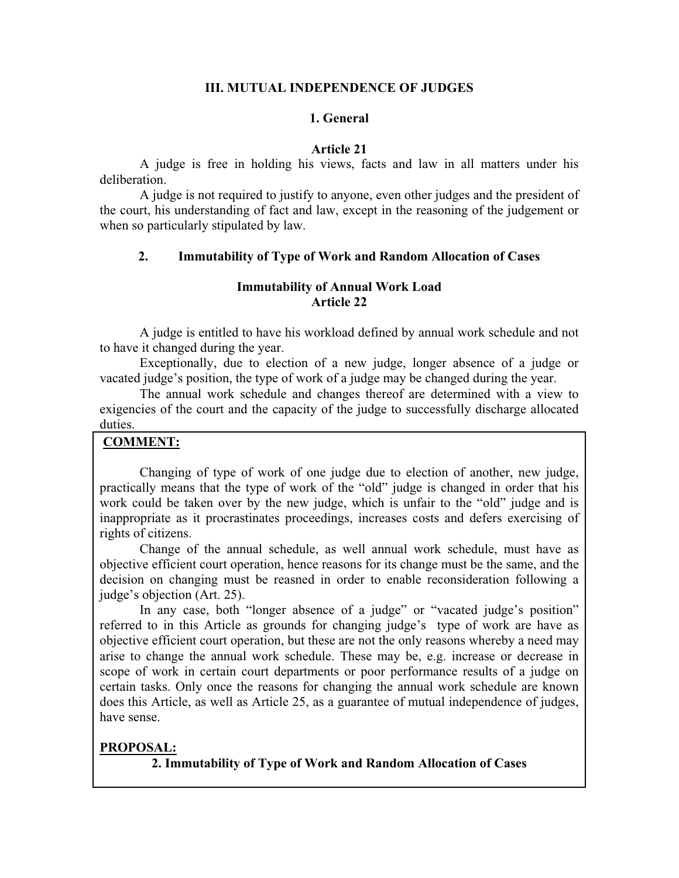#### **III. MUTUAL INDEPENDENCE OF JUDGES**

### **1. General**

#### **Article 21**

 A judge is free in holding his views, facts and law in all matters under his deliberation.

 A judge is not required to justify to anyone, even other judges and the president of the court, his understanding of fact and law, except in the reasoning of the judgement or when so particularly stipulated by law.

# **2. Immutability of Type of Work and Random Allocation of Cases**

#### **Immutability of Annual Work Load Article 22**

 A judge is entitled to have his workload defined by annual work schedule and not to have it changed during the year.

 Exceptionally, due to election of a new judge, longer absence of a judge or vacated judge's position, the type of work of a judge may be changed during the year.

 The annual work schedule and changes thereof are determined with a view to exigencies of the court and the capacity of the judge to successfully discharge allocated duties.

# **COMMENT:**

 Changing of type of work of one judge due to election of another, new judge, practically means that the type of work of the "old" judge is changed in order that his work could be taken over by the new judge, which is unfair to the "old" judge and is inappropriate as it procrastinates proceedings, increases costs and defers exercising of rights of citizens.

Change of the annual schedule, as well annual work schedule, must have as objective efficient court operation, hence reasons for its change must be the same, and the decision on changing must be reasned in order to enable reconsideration following a judge's objection (Art. 25).

In any case, both "longer absence of a judge" or "vacated judge's position" referred to in this Article as grounds for changing judge's type of work are have as objective efficient court operation, but these are not the only reasons whereby a need may arise to change the annual work schedule. These may be, e.g. increase or decrease in scope of work in certain court departments or poor performance results of a judge on certain tasks. Only once the reasons for changing the annual work schedule are known does this Article, as well as Article 25, as a guarantee of mutual independence of judges, have sense.

# **PROPOSAL:**

**2. Immutability of Type of Work and Random Allocation of Cases**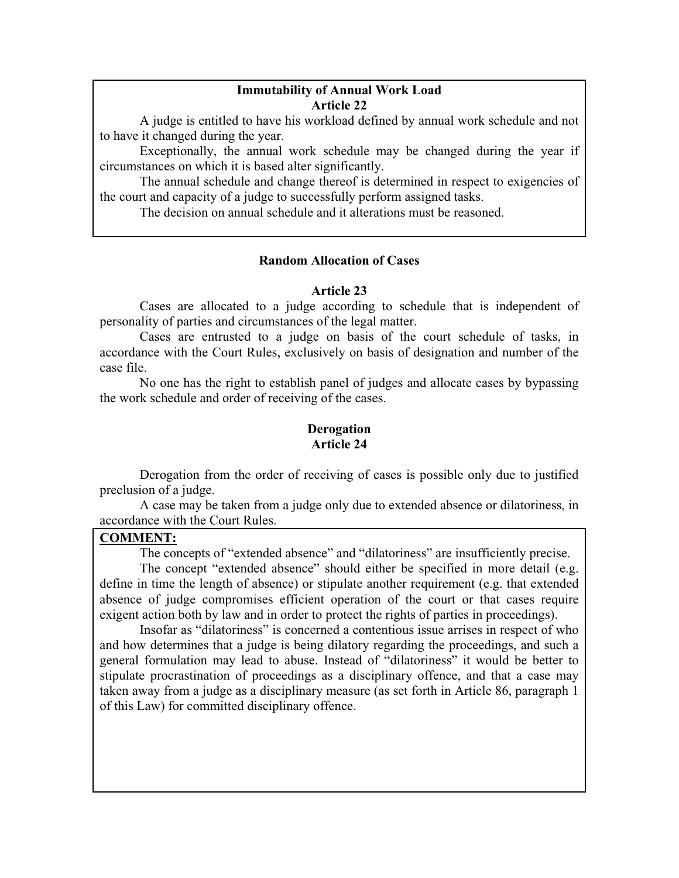#### **Immutability of Annual Work Load Article 22**

 A judge is entitled to have his workload defined by annual work schedule and not to have it changed during the year.

 Exceptionally, the annual work schedule may be changed during the year if circumstances on which it is based alter significantly.

 The annual schedule and change thereof is determined in respect to exigencies of the court and capacity of a judge to successfully perform assigned tasks.

The decision on annual schedule and it alterations must be reasoned.

#### **Random Allocation of Cases**

#### **Article 23**

 Cases are allocated to a judge according to schedule that is independent of personality of parties and circumstances of the legal matter.

 Cases are entrusted to a judge on basis of the court schedule of tasks, in accordance with the Court Rules, exclusively on basis of designation and number of the case file.

 No one has the right to establish panel of judges and allocate cases by bypassing the work schedule and order of receiving of the cases.

# **Derogation Article 24**

Derogation from the order of receiving of cases is possible only due to justified preclusion of a judge.

 A case may be taken from a judge only due to extended absence or dilatoriness, in accordance with the Court Rules.

# **COMMENT:**

The concepts of "extended absence" and "dilatoriness" are insufficiently precise.

The concept "extended absence" should either be specified in more detail (e.g. define in time the length of absence) or stipulate another requirement (e.g. that extended absence of judge compromises efficient operation of the court or that cases require exigent action both by law and in order to protect the rights of parties in proceedings).

Insofar as "dilatoriness" is concerned a contentious issue arrises in respect of who and how determines that a judge is being dilatory regarding the proceedings, and such a general formulation may lead to abuse. Instead of "dilatoriness" it would be better to stipulate procrastination of proceedings as a disciplinary offence, and that a case may taken away from a judge as a disciplinary measure (as set forth in Article 86, paragraph 1 of this Law) for committed disciplinary offence.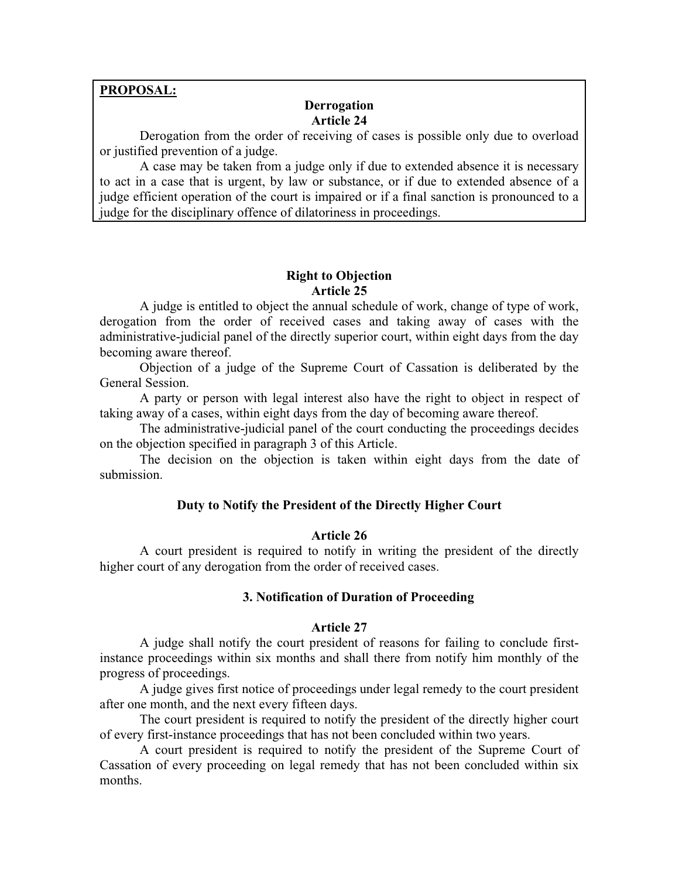# **PROPOSAL:**

#### **Derrogation Article 24**

 Derogation from the order of receiving of cases is possible only due to overload or justified prevention of a judge.

 A case may be taken from a judge only if due to extended absence it is necessary to act in a case that is urgent, by law or substance, or if due to extended absence of a judge efficient operation of the court is impaired or if a final sanction is pronounced to a judge for the disciplinary offence of dilatoriness in proceedings.

#### **Right to Objection Article 25**

 A judge is entitled to object the annual schedule of work, change of type of work, derogation from the order of received cases and taking away of cases with the administrative-judicial panel of the directly superior court, within eight days from the day becoming aware thereof.

 Objection of a judge of the Supreme Court of Cassation is deliberated by the General Session.

A party or person with legal interest also have the right to object in respect of taking away of a cases, within eight days from the day of becoming aware thereof.

 The administrative-judicial panel of the court conducting the proceedings decides on the objection specified in paragraph 3 of this Article.

 The decision on the objection is taken within eight days from the date of submission.

#### **Duty to Notify the President of the Directly Higher Court**

### **Article 26**

 A court president is required to notify in writing the president of the directly higher court of any derogation from the order of received cases.

#### **3. Notification of Duration of Proceeding**

#### **Article 27**

 A judge shall notify the court president of reasons for failing to conclude firstinstance proceedings within six months and shall there from notify him monthly of the progress of proceedings.

 A judge gives first notice of proceedings under legal remedy to the court president after one month, and the next every fifteen days.

 The court president is required to notify the president of the directly higher court of every first-instance proceedings that has not been concluded within two years.

A court president is required to notify the president of the Supreme Court of Cassation of every proceeding on legal remedy that has not been concluded within six months.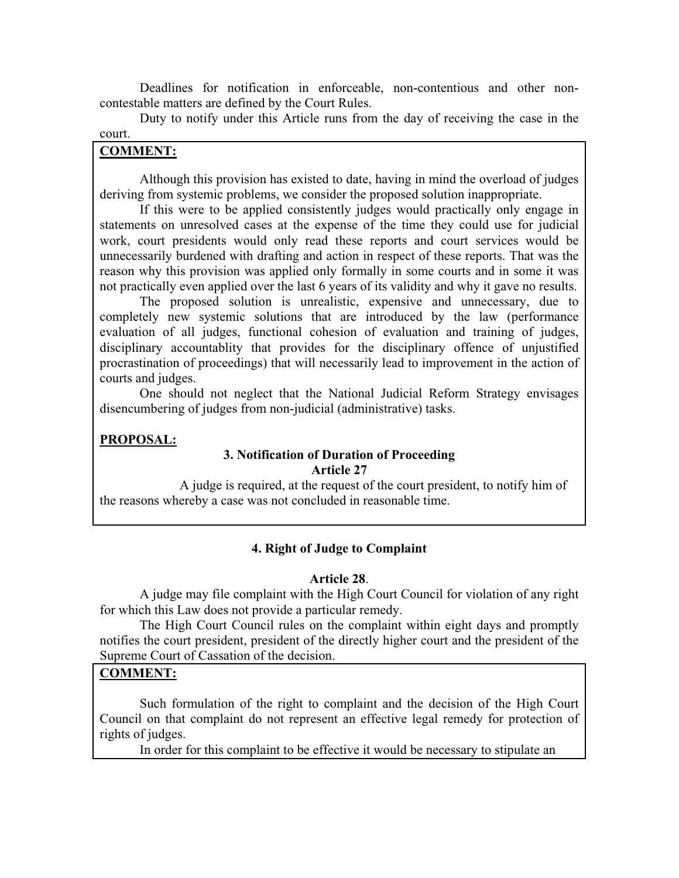Deadlines for notification in enforceable, non-contentious and other noncontestable matters are defined by the Court Rules.

 Duty to notify under this Article runs from the day of receiving the case in the court.

#### **COMMENT:**

 Although this provision has existed to date, having in mind the overload of judges deriving from systemic problems, we consider the proposed solution inappropriate.

If this were to be applied consistently judges would practically only engage in statements on unresolved cases at the expense of the time they could use for judicial work, court presidents would only read these reports and court services would be unnecessarily burdened with drafting and action in respect of these reports. That was the reason why this provision was applied only formally in some courts and in some it was not practically even applied over the last 6 years of its validity and why it gave no results.

The proposed solution is unrealistic, expensive and unnecessary, due to completely new systemic solutions that are introduced by the law (performance evaluation of all judges, functional cohesion of evaluation and training of judges, disciplinary accountablity that provides for the disciplinary offence of unjustified procrastination of proceedings) that will necessarily lead to improvement in the action of courts and judges.

One should not neglect that the National Judicial Reform Strategy envisages disencumbering of judges from non-judicial (administrative) tasks.

#### **PROPOSAL:**

#### **3. Notification of Duration of Proceeding Article 27**

 A judge is required, at the request of the court president, to notify him of the reasons whereby a case was not concluded in reasonable time.

# **4. Right of Judge to Complaint**

#### **Article 28**.

 A judge may file complaint with the High Court Council for violation of any right for which this Law does not provide a particular remedy.

 The High Court Council rules on the complaint within eight days and promptly notifies the court president, president of the directly higher court and the president of the Supreme Court of Cassation of the decision.

# **COMMENT:**

 Such formulation of the right to complaint and the decision of the High Court Council on that complaint do not represent an effective legal remedy for protection of rights of judges.

In order for this complaint to be effective it would be necessary to stipulate an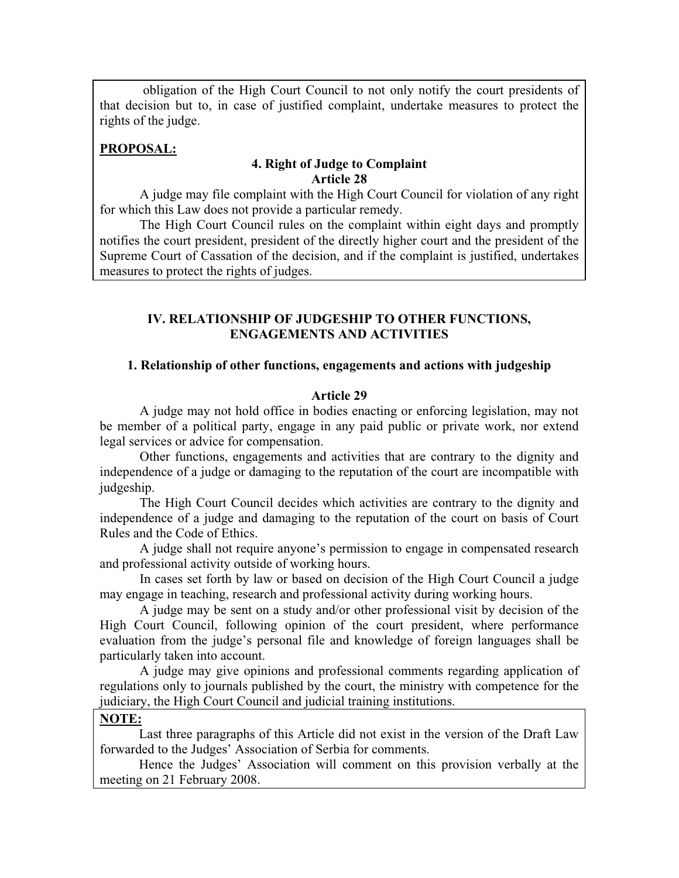obligation of the High Court Council to not only notify the court presidents of that decision but to, in case of justified complaint, undertake measures to protect the rights of the judge.

## **PROPOSAL:**

## **4. Right of Judge to Complaint Article 28**

 A judge may file complaint with the High Court Council for violation of any right for which this Law does not provide a particular remedy.

 The High Court Council rules on the complaint within eight days and promptly notifies the court president, president of the directly higher court and the president of the Supreme Court of Cassation of the decision, and if the complaint is justified, undertakes measures to protect the rights of judges.

# **IV. RELATIONSHIP OF JUDGESHIP TO OTHER FUNCTIONS, ENGAGEMENTS AND ACTIVITIES**

#### **1. Relationship of other functions, engagements and actions with judgeship**

#### **Article 29**

 A judge may not hold office in bodies enacting or enforcing legislation, may not be member of a political party, engage in any paid public or private work, nor extend legal services or advice for compensation.

 Other functions, engagements and activities that are contrary to the dignity and independence of a judge or damaging to the reputation of the court are incompatible with judgeship.

 The High Court Council decides which activities are contrary to the dignity and independence of a judge and damaging to the reputation of the court on basis of Court Rules and the Code of Ethics.

A judge shall not require anyone's permission to engage in compensated research and professional activity outside of working hours.

In cases set forth by law or based on decision of the High Court Council a judge may engage in teaching, research and professional activity during working hours.

 A judge may be sent on a study and/or other professional visit by decision of the High Court Council, following opinion of the court president, where performance evaluation from the judge's personal file and knowledge of foreign languages shall be particularly taken into account.

 A judge may give opinions and professional comments regarding application of regulations only to journals published by the court, the ministry with competence for the judiciary, the High Court Council and judicial training institutions.

### **NOTE:**

Last three paragraphs of this Article did not exist in the version of the Draft Law forwarded to the Judges' Association of Serbia for comments.

Hence the Judges' Association will comment on this provision verbally at the meeting on 21 February 2008.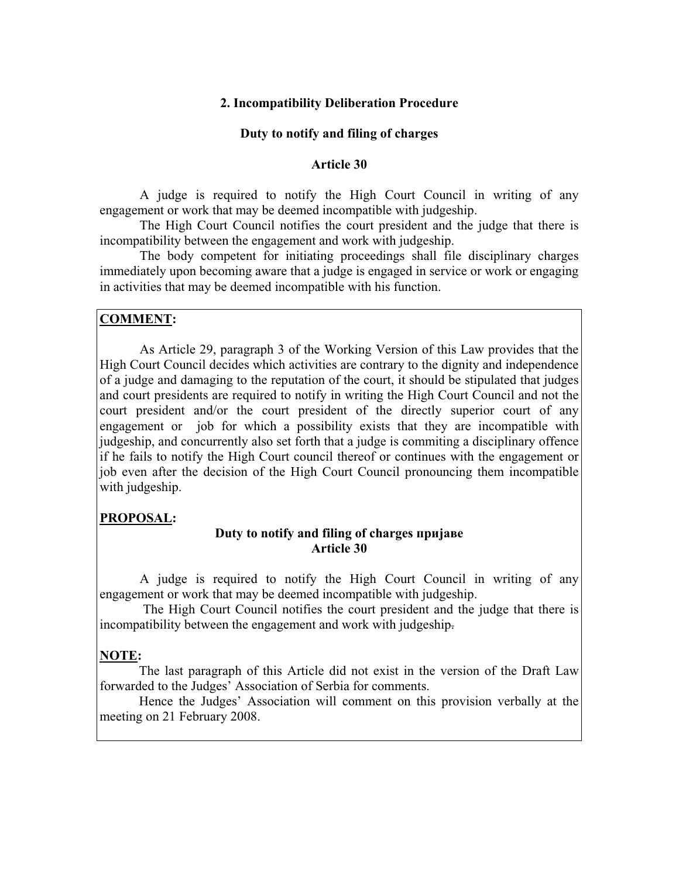# **2. Incompatibility Deliberation Procedure**

#### **Duty to notify and filing of charges**

## **Article 30**

 A judge is required to notify the High Court Council in writing of any engagement or work that may be deemed incompatible with judgeship.

 The High Court Council notifies the court president and the judge that there is incompatibility between the engagement and work with judgeship.

 The body competent for initiating proceedings shall file disciplinary charges immediately upon becoming aware that a judge is engaged in service or work or engaging in activities that may be deemed incompatible with his function.

# **COMMENT:**

As Article 29, paragraph 3 of the Working Version of this Law provides that the High Court Council decides which activities are contrary to the dignity and independence of a judge and damaging to the reputation of the court, it should be stipulated that judges and court presidents are required to notify in writing the High Court Council and not the court president and/or the court president of the directly superior court of any engagement or job for which a possibility exists that they are incompatible with judgeship, and concurrently also set forth that a judge is commiting a disciplinary offence if he fails to notify the High Court council thereof or continues with the engagement or job even after the decision of the High Court Council pronouncing them incompatible with judgeship.

#### **PROPOSAL:**

# **Duty to notify and filing of charges пријаве Article 30**

A judge is required to notify the High Court Council in writing of any engagement or work that may be deemed incompatible with judgeship.

 The High Court Council notifies the court president and the judge that there is incompatibility between the engagement and work with judgeship.

# **NOTE:**

The last paragraph of this Article did not exist in the version of the Draft Law forwarded to the Judges' Association of Serbia for comments.

Hence the Judges' Association will comment on this provision verbally at the meeting on 21 February 2008.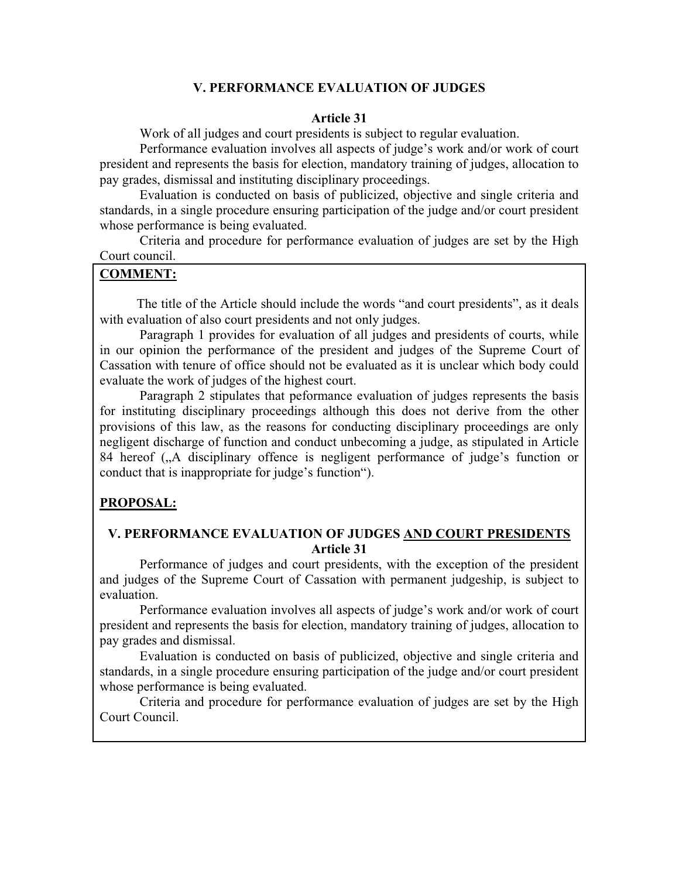## **V. PERFORMANCE EVALUATION OF JUDGES**

#### **Article 31**

Work of all judges and court presidents is subject to regular evaluation.

Performance evaluation involves all aspects of judge's work and/or work of court president and represents the basis for election, mandatory training of judges, allocation to pay grades, dismissal and instituting disciplinary proceedings.

 Evaluation is conducted on basis of publicized, objective and single criteria and standards, in a single procedure ensuring participation of the judge and/or court president whose performance is being evaluated.

 Criteria and procedure for performance evaluation of judges are set by the High Court council.

# **COMMENT:**

The title of the Article should include the words "and court presidents", as it deals with evaluation of also court presidents and not only judges.

Paragraph 1 provides for evaluation of all judges and presidents of courts, while in our opinion the performance of the president and judges of the Supreme Court of Cassation with tenure of office should not be evaluated as it is unclear which body could evaluate the work of judges of the highest court.

Paragraph 2 stipulates that peformance evaluation of judges represents the basis for instituting disciplinary proceedings although this does not derive from the other provisions of this law, as the reasons for conducting disciplinary proceedings are only negligent discharge of function and conduct unbecoming a judge, as stipulated in Article 84 hereof ("A disciplinary offence is negligent performance of judge's function or conduct that is inappropriate for judge's function").

#### **PROPOSAL:**

# **V. PERFORMANCE EVALUATION OF JUDGES AND COURT PRESIDENTS Article 31**

Performance of judges and court presidents, with the exception of the president and judges of the Supreme Court of Cassation with permanent judgeship, is subject to evaluation.

Performance evaluation involves all aspects of judge's work and/or work of court president and represents the basis for election, mandatory training of judges, allocation to pay grades and dismissal.

Evaluation is conducted on basis of publicized, objective and single criteria and standards, in a single procedure ensuring participation of the judge and/or court president whose performance is being evaluated.

 Criteria and procedure for performance evaluation of judges are set by the High Court Council.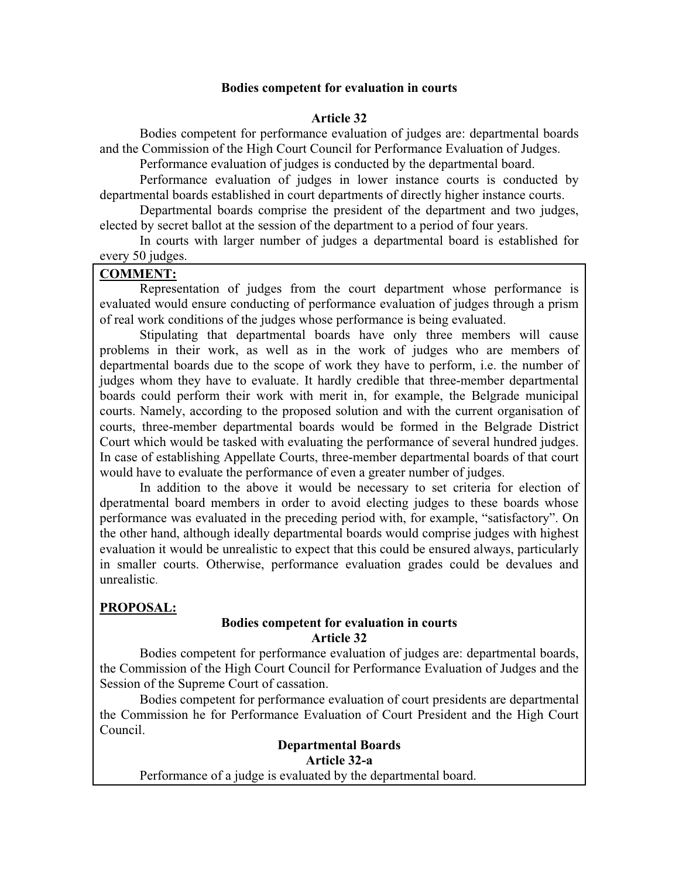## **Bodies competent for evaluation in courts**

### **Article 32**

 Bodies competent for performance evaluation of judges are: departmental boards and the Commission of the High Court Council for Performance Evaluation of Judges.

Performance evaluation of judges is conducted by the departmental board.

 Performance evaluation of judges in lower instance courts is conducted by departmental boards established in court departments of directly higher instance courts.

 Departmental boards comprise the president of the department and two judges, elected by secret ballot at the session of the department to a period of four years.

 In courts with larger number of judges a departmental board is established for every 50 judges.

# **COMMENT:**

 Representation of judges from the court department whose performance is evaluated would ensure conducting of performance evaluation of judges through a prism of real work conditions of the judges whose performance is being evaluated.

Stipulating that departmental boards have only three members will cause problems in their work, as well as in the work of judges who are members of departmental boards due to the scope of work they have to perform, i.e. the number of judges whom they have to evaluate. It hardly credible that three-member departmental boards could perform their work with merit in, for example, the Belgrade municipal courts. Namely, according to the proposed solution and with the current organisation of courts, three-member departmental boards would be formed in the Belgrade District Court which would be tasked with evaluating the performance of several hundred judges. In case of establishing Appellate Courts, three-member departmental boards of that court would have to evaluate the performance of even a greater number of judges.

In addition to the above it would be necessary to set criteria for election of dperatmental board members in order to avoid electing judges to these boards whose performance was evaluated in the preceding period with, for example, "satisfactory". On the other hand, although ideally departmental boards would comprise judges with highest evaluation it would be unrealistic to expect that this could be ensured always, particularly in smaller courts. Otherwise, performance evaluation grades could be devalues and unrealistic.

# **PROPOSAL:**

### **Bodies competent for evaluation in courts Article 32**

Bodies competent for performance evaluation of judges are: departmental boards, the Commission of the High Court Council for Performance Evaluation of Judges and the Session of the Supreme Court of cassation.

 Bodies competent for performance evaluation of court presidents are departmental the Commission he for Performance Evaluation of Court President and the High Court Council.

### **Departmental Boards Article 32-a**  Performance of a judge is evaluated by the departmental board.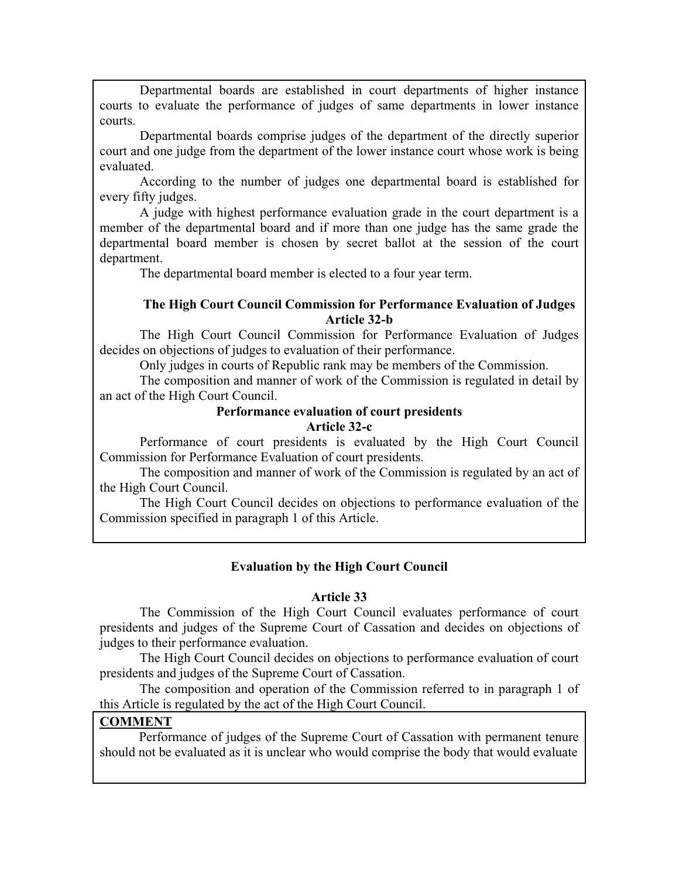Departmental boards are established in court departments of higher instance courts to evaluate the performance of judges of same departments in lower instance courts.

 Departmental boards comprise judges of the department of the directly superior court and one judge from the department of the lower instance court whose work is being evaluated.

According to the number of judges one departmental board is established for every fifty judges.

A judge with highest performance evaluation grade in the court department is a member of the departmental board and if more than one judge has the same grade the departmental board member is chosen by secret ballot at the session of the court department.

The departmental board member is elected to a four year term.

# **The High Court Council Commission for Performance Evaluation of Judges Article 32-b**

The High Court Council Commission for Performance Evaluation of Judges decides on objections of judges to evaluation of their performance.

Only judges in courts of Republic rank may be members of the Commission.

 The composition and manner of work of the Commission is regulated in detail by an act of the High Court Council.

# **Performance evaluation of court presidents Article 32-c**

Performance of court presidents is evaluated by the High Court Council Commission for Performance Evaluation of court presidents.

 The composition and manner of work of the Commission is regulated by an act of the High Court Council.

 The High Court Council decides on objections to performance evaluation of the Commission specified in paragraph 1 of this Article.

# **Evaluation by the High Court Council**

# **Article 33**

 The Commission of the High Court Council evaluates performance of court presidents and judges of the Supreme Court of Cassation and decides on objections of judges to their performance evaluation.

 The High Court Council decides on objections to performance evaluation of court presidents and judges of the Supreme Court of Cassation.

 The composition and operation of the Commission referred to in paragraph 1 of this Article is regulated by the act of the High Court Council.

# **COMMENT**

Performance of judges of the Supreme Court of Cassation with permanent tenure should not be evaluated as it is unclear who would comprise the body that would evaluate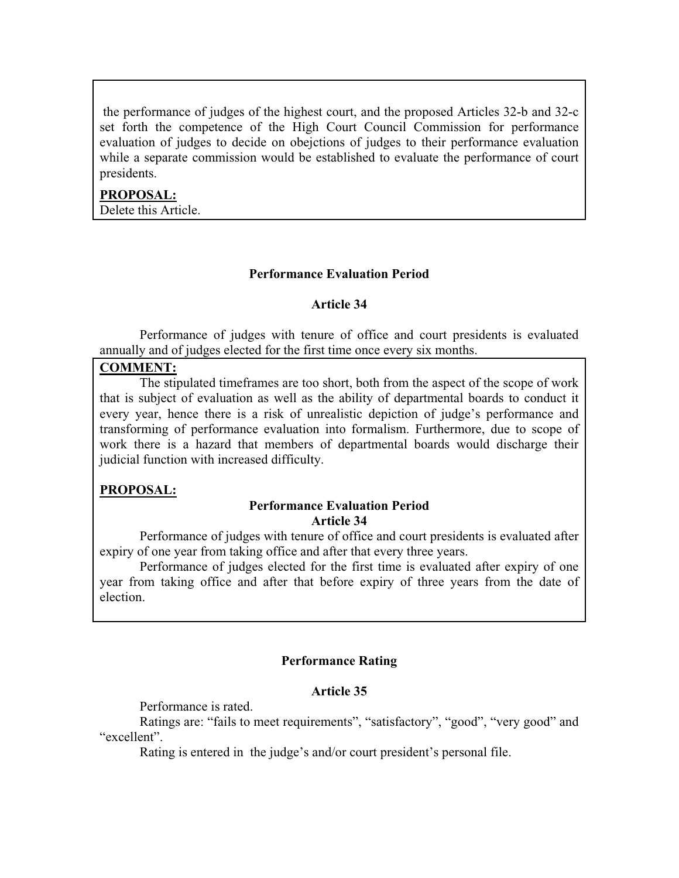the performance of judges of the highest court, and the proposed Articles 32-b and 32-c set forth the competence of the High Court Council Commission for performance evaluation of judges to decide on obejctions of judges to their performance evaluation while a separate commission would be established to evaluate the performance of court presidents.

# **PROPOSAL:** Delete this Article.

# **Performance Evaluation Period**

### **Article 34**

 Performance of judges with tenure of office and court presidents is evaluated annually and of judges elected for the first time once every six months.

# **COMMENT:**

 The stipulated timeframes are too short, both from the aspect of the scope of work that is subject of evaluation as well as the ability of departmental boards to conduct it every year, hence there is a risk of unrealistic depiction of judge's performance and transforming of performance evaluation into formalism. Furthermore, due to scope of work there is a hazard that members of departmental boards would discharge their judicial function with increased difficulty.

# **PROPOSAL:**

#### **Performance Evaluation Period Article 34**

Performance of judges with tenure of office and court presidents is evaluated after expiry of one year from taking office and after that every three years.

 Performance of judges elected for the first time is evaluated after expiry of one year from taking office and after that before expiry of three years from the date of election.

# **Performance Rating**

### **Article 35**

Performance is rated.

Ratings are: "fails to meet requirements", "satisfactory", "good", "very good" and "excellent".

Rating is entered in the judge's and/or court president's personal file.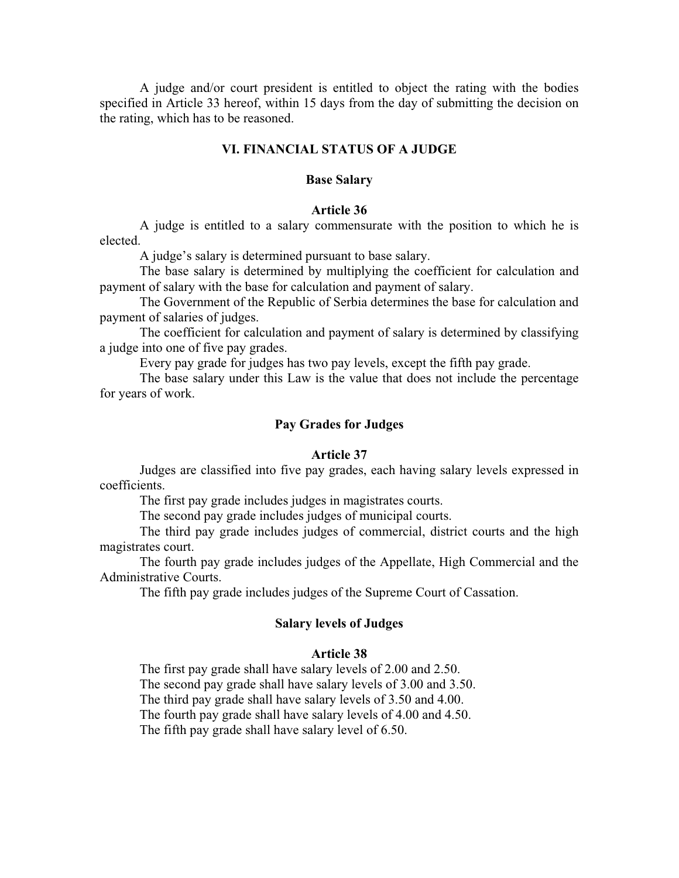A judge and/or court president is entitled to object the rating with the bodies specified in Article 33 hereof, within 15 days from the day of submitting the decision on the rating, which has to be reasoned.

#### **VI. FINANCIAL STATUS OF A JUDGE**

# **Base Salary**

#### **Article 36**

 A judge is entitled to a salary commensurate with the position to which he is elected.

A judge's salary is determined pursuant to base salary.

 The base salary is determined by multiplying the coefficient for calculation and payment of salary with the base for calculation and payment of salary.

 The Government of the Republic of Serbia determines the base for calculation and payment of salaries of judges.

 The coefficient for calculation and payment of salary is determined by classifying a judge into one of five pay grades.

Every pay grade for judges has two pay levels, except the fifth pay grade.

 The base salary under this Law is the value that does not include the percentage for years of work.

#### **Pay Grades for Judges**

#### **Article 37**

 Judges are classified into five pay grades, each having salary levels expressed in coefficients.

The first pay grade includes judges in magistrates courts.

The second pay grade includes judges of municipal courts.

 The third pay grade includes judges of commercial, district courts and the high magistrates court.

 The fourth pay grade includes judges of the Appellate, High Commercial and the Administrative Courts.

The fifth pay grade includes judges of the Supreme Court of Cassation.

#### **Salary levels of Judges**

#### **Article 38**

 The first pay grade shall have salary levels of 2.00 and 2.50. The second pay grade shall have salary levels of 3.00 and 3.50. The third pay grade shall have salary levels of 3.50 and 4.00. The fourth pay grade shall have salary levels of 4.00 and 4.50. The fifth pay grade shall have salary level of 6.50.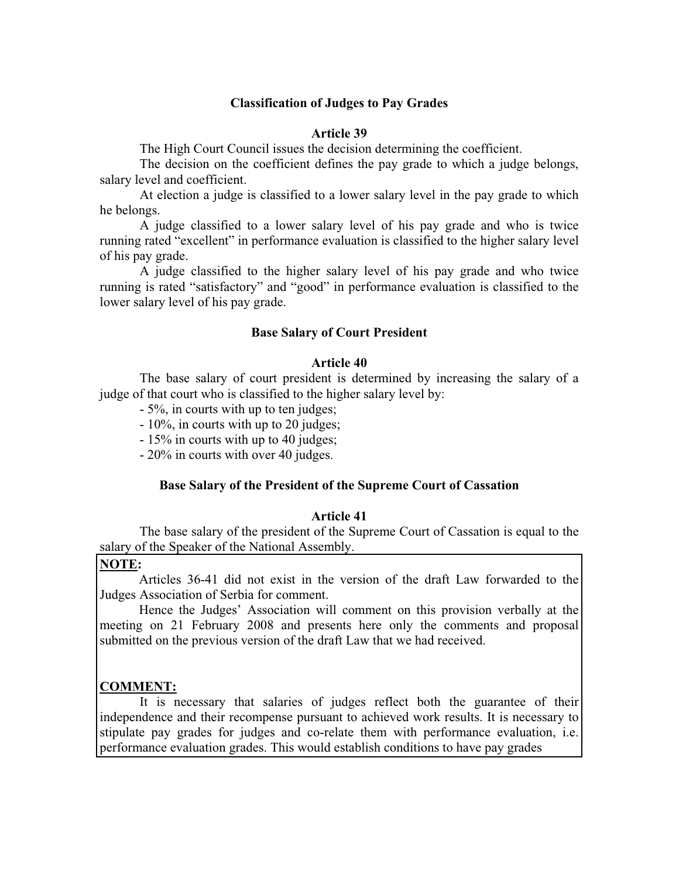# **Classification of Judges to Pay Grades**

#### **Article 39**

The High Court Council issues the decision determining the coefficient.

 The decision on the coefficient defines the pay grade to which a judge belongs, salary level and coefficient.

 At election a judge is classified to a lower salary level in the pay grade to which he belongs.

 A judge classified to a lower salary level of his pay grade and who is twice running rated "excellent" in performance evaluation is classified to the higher salary level of his pay grade.

 A judge classified to the higher salary level of his pay grade and who twice running is rated "satisfactory" and "good" in performance evaluation is classified to the lower salary level of his pay grade.

### **Base Salary of Court President**

#### **Article 40**

 The base salary of court president is determined by increasing the salary of a judge of that court who is classified to the higher salary level by:

- 5%, in courts with up to ten judges;

- 10%, in courts with up to 20 judges;

- 15% in courts with up to 40 judges;

- 20% in courts with over 40 judges.

# **Base Salary of the President of the Supreme Court of Cassation**

### **Article 41**

 The base salary of the president of the Supreme Court of Cassation is equal to the salary of the Speaker of the National Assembly.

# **NOTE:**

Articles 36-41 did not exist in the version of the draft Law forwarded to the Judges Association of Serbia for comment.

Hence the Judges' Association will comment on this provision verbally at the meeting on 21 February 2008 and presents here only the comments and proposal submitted on the previous version of the draft Law that we had received.

# **COMMENT:**

It is necessary that salaries of judges reflect both the guarantee of their independence and their recompense pursuant to achieved work results. It is necessary to stipulate pay grades for judges and co-relate them with performance evaluation, i.e. performance evaluation grades. This would establish conditions to have pay grades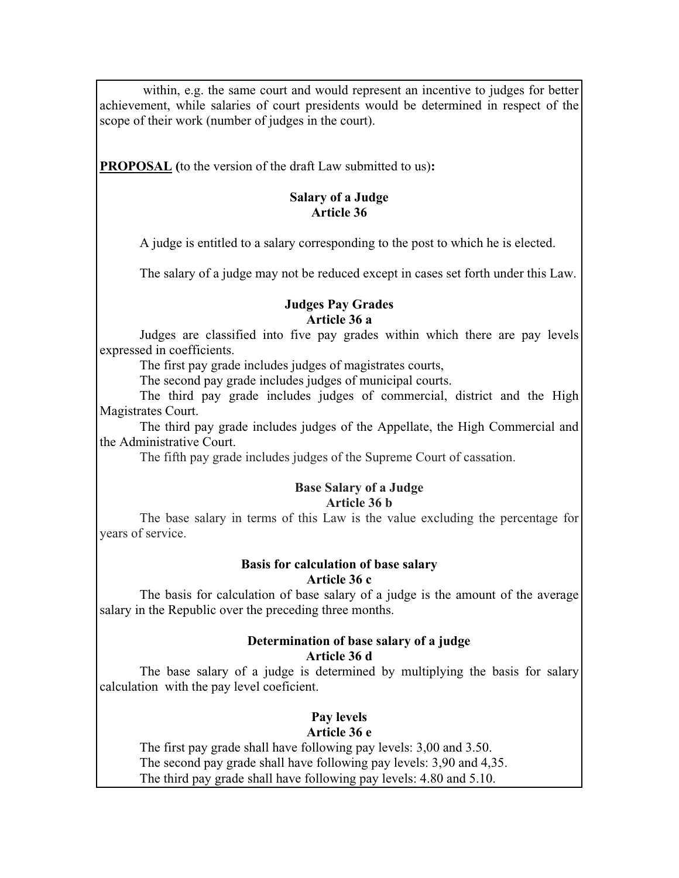within, e.g. the same court and would represent an incentive to judges for better achievement, while salaries of court presidents would be determined in respect of the scope of their work (number of judges in the court).

**PROPOSAL (**to the version of the draft Law submitted to us)**:** 

# **Salary of a Judge Article 36**

A judge is entitled to a salary corresponding to the post to which he is elected.

The salary of a judge may not be reduced except in cases set forth under this Law.

# **Judges Pay Grades Article 36 a**

Judges are classified into five pay grades within which there are pay levels expressed in coefficients.

The first pay grade includes judges of magistrates courts,

The second pay grade includes judges of municipal courts.

The third pay grade includes judges of commercial, district and the High Magistrates Court.

The third pay grade includes judges of the Appellate, the High Commercial and the Administrative Court.

The fifth pay grade includes judges of the Supreme Court of cassation.

### **Base Salary of a Judge Article 36 b**

The base salary in terms of this Law is the value excluding the percentage for years of service.

### **Basis for calculation of base salary Article 36 c**

The basis for calculation of base salary of a judge is the amount of the average salary in the Republic over the preceding three months.

#### **Determination of base salary of a judge Article 36 d**

The base salary of a judge is determined by multiplying the basis for salary calculation with the pay level coeficient.

# **Pay levels**

# **Article 36 e**

The first pay grade shall have following pay levels: 3,00 and 3.50. The second pay grade shall have following pay levels: 3,90 and 4,35. The third pay grade shall have following pay levels: 4.80 and 5.10.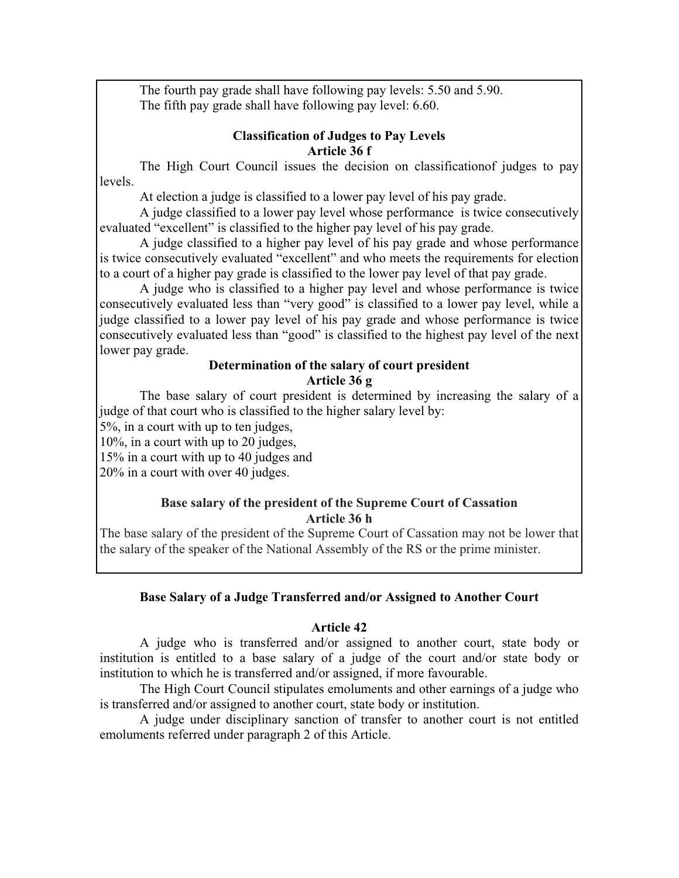The fourth pay grade shall have following pay levels: 5.50 and 5.90. The fifth pay grade shall have following pay level: 6.60.

### **Classification of Judges to Pay Levels Article 36 f**

The High Court Council issues the decision on classificationof judges to pay levels.

At election a judge is classified to a lower pay level of his pay grade.

A judge classified to a lower pay level whose performance is twice consecutively evaluated "excellent" is classified to the higher pay level of his pay grade.

A judge classified to a higher pay level of his pay grade and whose performance is twice consecutively evaluated "excellent" and who meets the requirements for election to a court of a higher pay grade is classified to the lower pay level of that pay grade.

A judge who is classified to a higher pay level and whose performance is twice consecutively evaluated less than "very good" is classified to a lower pay level, while a judge classified to a lower pay level of his pay grade and whose performance is twice consecutively evaluated less than "good" is classified to the highest pay level of the next lower pay grade.

#### **Determination of the salary of court president Article 36 g**

The base salary of court president is determined by increasing the salary of a judge of that court who is classified to the higher salary level by:

5%, in a court with up to ten judges,

10%, in a court with up to 20 judges,

15% in a court with up to 40 judges and

20% in a court with over 40 judges.

# **Base salary of the president of the Supreme Court of Cassation Article 36 h**

The base salary of the president of the Supreme Court of Cassation may not be lower that the salary of the speaker of the National Assembly of the RS or the prime minister.

# **Base Salary of a Judge Transferred and/or Assigned to Another Court**

# **Article 42**

 A judge who is transferred and/or assigned to another court, state body or institution is entitled to a base salary of a judge of the court and/or state body or institution to which he is transferred and/or assigned, if more favourable.

 The High Court Council stipulates emoluments and other earnings of a judge who is transferred and/or assigned to another court, state body or institution.

 A judge under disciplinary sanction of transfer to another court is not entitled emoluments referred under paragraph 2 of this Article.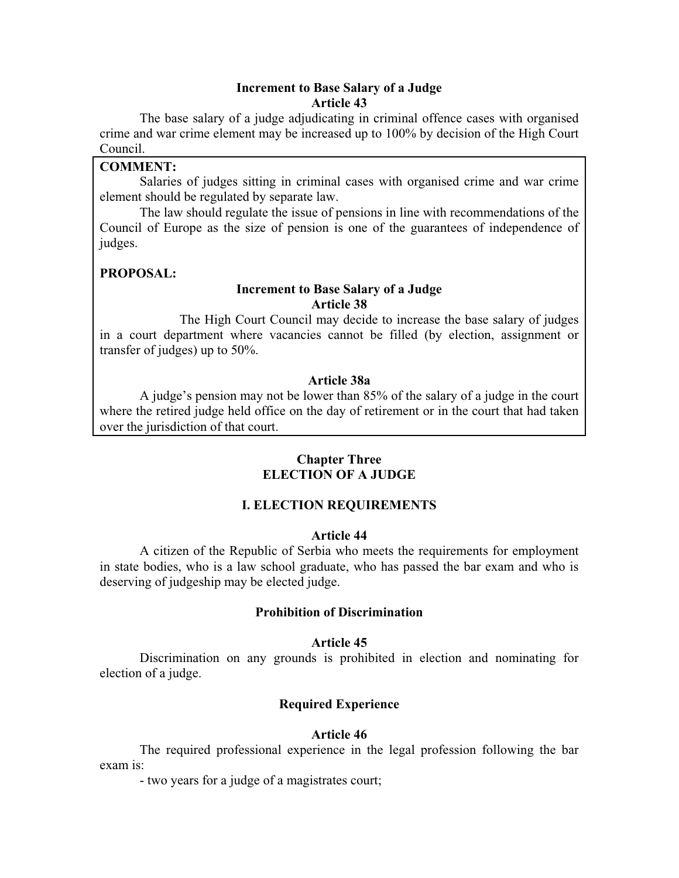## **Increment to Base Salary of a Judge Article 43**

 The base salary of a judge adjudicating in criminal offence cases with organised crime and war crime element may be increased up to 100% by decision of the High Court Council.

# **COMMENT:**

Salaries of judges sitting in criminal cases with organised crime and war crime element should be regulated by separate law.

The law should regulate the issue of pensions in line with recommendations of the Council of Europe as the size of pension is one of the guarantees of independence of judges.

# **PROPOSAL:**

# **Increment to Base Salary of a Judge Article 38**

The High Court Council may decide to increase the base salary of judges in a court department where vacancies cannot be filled (by election, assignment or transfer of judges) up to 50%.

#### **Article 38a**

A judge's pension may not be lower than  $85\%$  of the salary of a judge in the court where the retired judge held office on the day of retirement or in the court that had taken over the jurisdiction of that court.

### **Chapter Three ELECTION OF A JUDGE**

# **I. ELECTION REQUIREMENTS**

#### **Article 44**

 A citizen of the Republic of Serbia who meets the requirements for employment in state bodies, who is a law school graduate, who has passed the bar exam and who is deserving of judgeship may be elected judge.

#### **Prohibition of Discrimination**

#### **Article 45**

 Discrimination on any grounds is prohibited in election and nominating for election of a judge.

# **Required Experience**

#### **Article 46**

 The required professional experience in the legal profession following the bar exam is:

- two years for a judge of a magistrates court;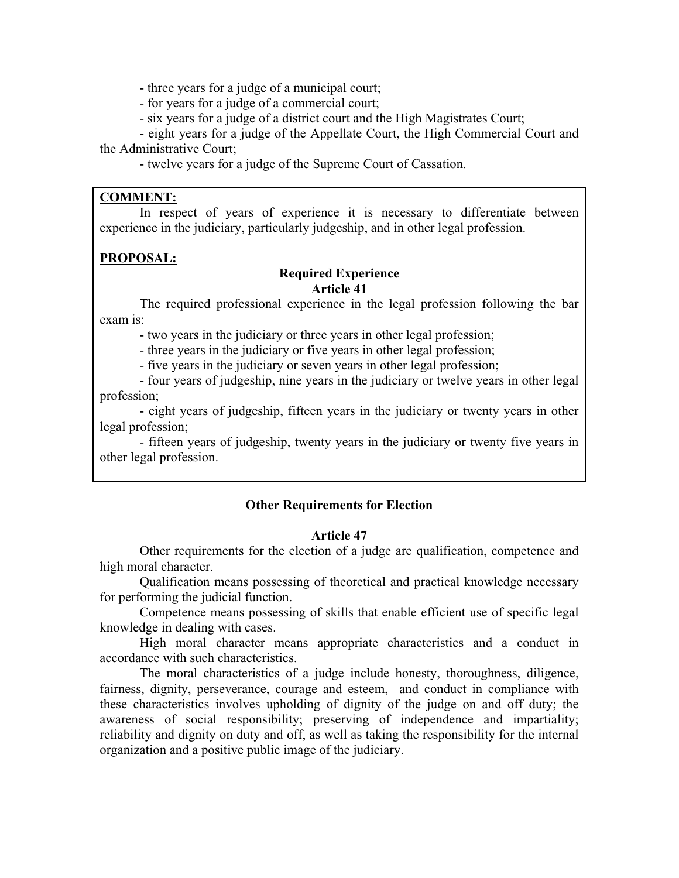- three years for a judge of a municipal court;

- for years for a judge of a commercial court;

- six years for a judge of a district court and the High Magistrates Court;

 - eight years for a judge of the Appellate Court, the High Commercial Court and the Administrative Court;

- twelve years for a judge of the Supreme Court of Cassation.

# **COMMENT:**

In respect of years of experience it is necessary to differentiate between experience in the judiciary, particularly judgeship, and in other legal profession.

# **PROPOSAL:**

## **Required Experience Article 41**

 The required professional experience in the legal profession following the bar exam is:

- two years in the judiciary or three years in other legal profession;

- three years in the judiciary or five years in other legal profession;

- five years in the judiciary or seven years in other legal profession;

 - four years of judgeship, nine years in the judiciary or twelve years in other legal profession;

 - eight years of judgeship, fifteen years in the judiciary or twenty years in other legal profession;

 - fifteen years of judgeship, twenty years in the judiciary or twenty five years in other legal profession.

# **Other Requirements for Election**

# **Article 47**

 Other requirements for the election of a judge are qualification, competence and high moral character.

 Qualification means possessing of theoretical and practical knowledge necessary for performing the judicial function.

 Competence means possessing of skills that enable efficient use of specific legal knowledge in dealing with cases.

 High moral character means appropriate characteristics and a conduct in accordance with such characteristics.

 The moral characteristics of a judge include honesty, thoroughness, diligence, fairness, dignity, perseverance, courage and esteem, and conduct in compliance with these characteristics involves upholding of dignity of the judge on and off duty; the awareness of social responsibility; preserving of independence and impartiality; reliability and dignity on duty and off, as well as taking the responsibility for the internal organization and a positive public image of the judiciary.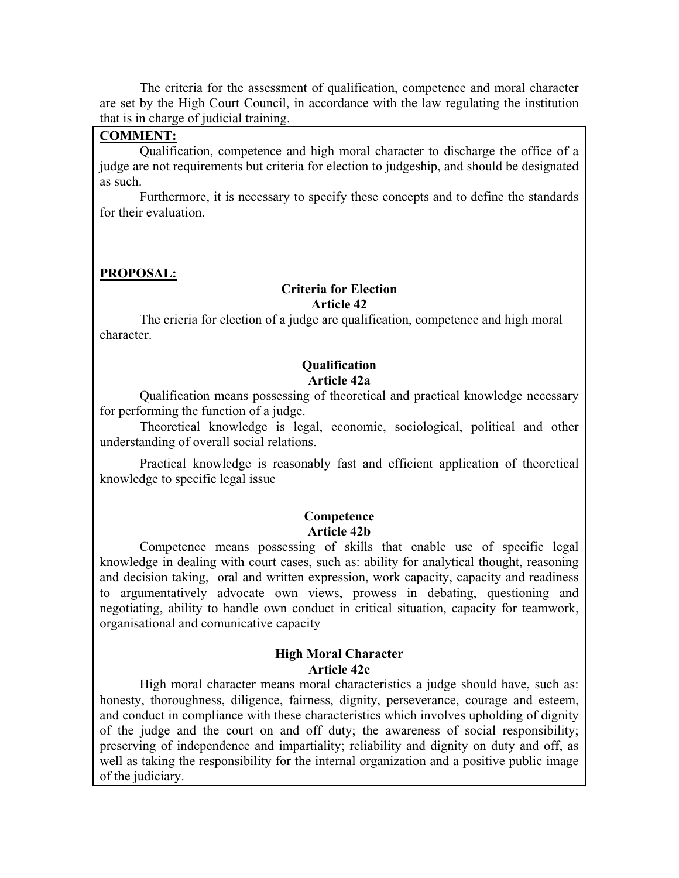The criteria for the assessment of qualification, competence and moral character are set by the High Court Council, in accordance with the law regulating the institution that is in charge of judicial training.

# **COMMENT:**

Qualification, competence and high moral character to discharge the office of a judge are not requirements but criteria for election to judgeship, and should be designated as such.

Furthermore, it is necessary to specify these concepts and to define the standards for their evaluation.

# **PROPOSAL:**

#### **Criteria for Election Article 42**

 The crieria for election of a judge are qualification, competence and high moral character.

#### **Qualification Article 42a**

 Qualification means possessing of theoretical and practical knowledge necessary for performing the function of a judge.

 Theoretical knowledge is legal, economic, sociological, political and other understanding of overall social relations.

 Practical knowledge is reasonably fast and efficient application of theoretical knowledge to specific legal issue

# **Competence Article 42b**

 Competence means possessing of skills that enable use of specific legal knowledge in dealing with court cases, such as: ability for analytical thought, reasoning and decision taking, oral and written expression, work capacity, capacity and readiness to argumentatively advocate own views, prowess in debating, questioning and negotiating, ability to handle own conduct in critical situation, capacity for teamwork, organisational and comunicative capacity

# **High Moral Character Article 42c**

High moral character means moral characteristics a judge should have, such as: honesty, thoroughness, diligence, fairness, dignity, perseverance, courage and esteem, and conduct in compliance with these characteristics which involves upholding of dignity of the judge and the court on and off duty; the awareness of social responsibility; preserving of independence and impartiality; reliability and dignity on duty and off, as well as taking the responsibility for the internal organization and a positive public image of the judiciary.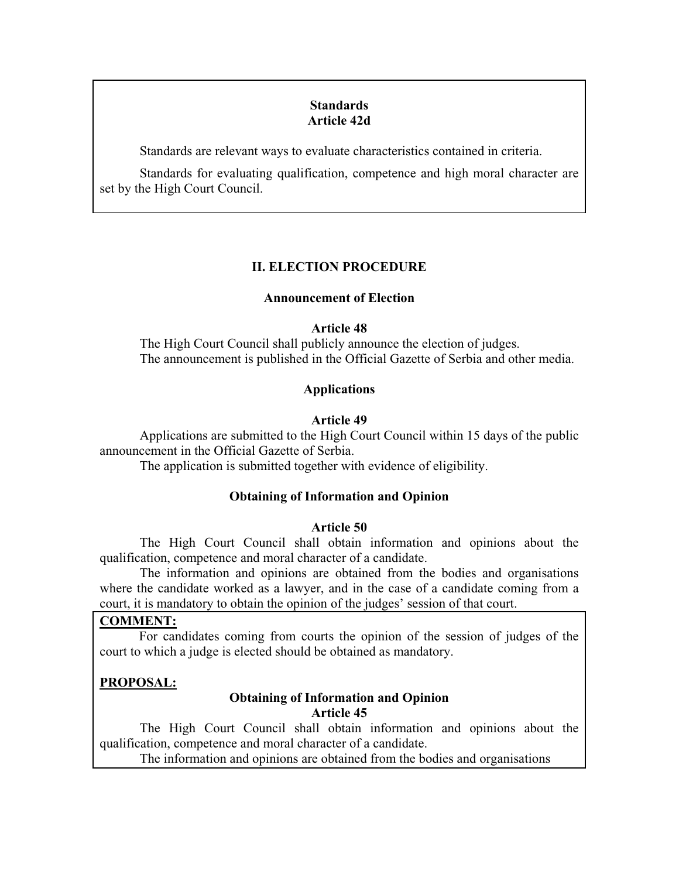# **Standards Article 42d**

Standards are relevant ways to evaluate characteristics contained in criteria.

 Standards for evaluating qualification, competence and high moral character are set by the High Court Council.

# **II. ELECTION PROCEDURE**

# **Announcement of Election**

#### **Article 48**

 The High Court Council shall publicly announce the election of judges. The announcement is published in the Official Gazette of Serbia and other media.

# **Applications**

### **Article 49**

 Applications are submitted to the High Court Council within 15 days of the public announcement in the Official Gazette of Serbia.

The application is submitted together with evidence of eligibility.

# **Obtaining of Information and Opinion**

#### **Article 50**

 The High Court Council shall obtain information and opinions about the qualification, competence and moral character of a candidate.

 The information and opinions are obtained from the bodies and organisations where the candidate worked as a lawyer, and in the case of a candidate coming from a court, it is mandatory to obtain the opinion of the judges' session of that court.

# **COMMENT:**

For candidates coming from courts the opinion of the session of judges of the court to which a judge is elected should be obtained as mandatory.

# **PROPOSAL:**

# **Obtaining of Information and Opinion**

# **Article 45**

 The High Court Council shall obtain information and opinions about the qualification, competence and moral character of a candidate.

The information and opinions are obtained from the bodies and organisations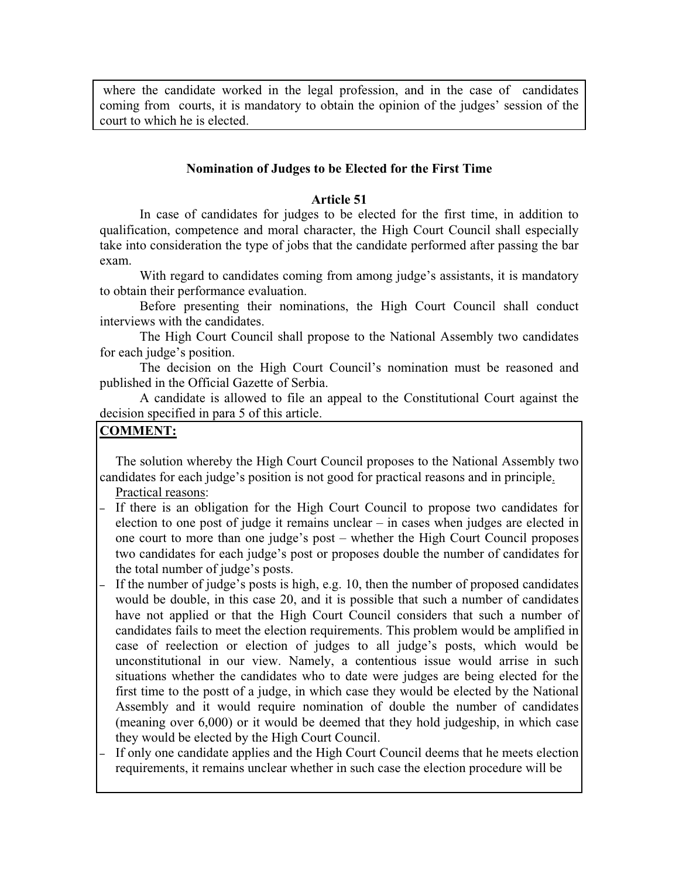where the candidate worked in the legal profession, and in the case of candidates coming from courts, it is mandatory to obtain the opinion of the judges' session of the court to which he is elected.

#### **Nomination of Judges to be Elected for the First Time**

#### **Article 51**

 In case of candidates for judges to be elected for the first time, in addition to qualification, competence and moral character, the High Court Council shall especially take into consideration the type of jobs that the candidate performed after passing the bar exam.

With regard to candidates coming from among judge's assistants, it is mandatory to obtain their performance evaluation.

 Before presenting their nominations, the High Court Council shall conduct interviews with the candidates.

 The High Court Council shall propose to the National Assembly two candidates for each judge's position.

The decision on the High Court Council's nomination must be reasoned and published in the Official Gazette of Serbia.

 A candidate is allowed to file an appeal to the Constitutional Court against the decision specified in para 5 of this article.

### **COMMENT:**

The solution whereby the High Court Council proposes to the National Assembly two candidates for each judge's position is not good for practical reasons and in principle. Practical reasons:

ದ If there is an obligation for the High Court Council to propose two candidates for election to one post of judge it remains unclear  $-$  in cases when judges are elected in one court to more than one judge's post  $-$  whether the High Court Council proposes two candidates for each judge's post or proposes double the number of candidates for the total number of judge's posts.

- If the number of judge's posts is high, e.g. 10, then the number of proposed candidates would be double, in this case 20, and it is possible that such a number of candidates have not applied or that the High Court Council considers that such a number of candidates fails to meet the election requirements. This problem would be amplified in case of reelection or election of judges to all judge's posts, which would be unconstitutional in our view. Namely, a contentious issue would arrise in such situations whether the candidates who to date were judges are being elected for the first time to the postt of a judge, in which case they would be elected by the National Assembly and it would require nomination of double the number of candidates (meaning over 6,000) or it would be deemed that they hold judgeship, in which case they would be elected by the High Court Council.
- ದ If only one candidate applies and the High Court Council deems that he meets election requirements, it remains unclear whether in such case the election procedure will be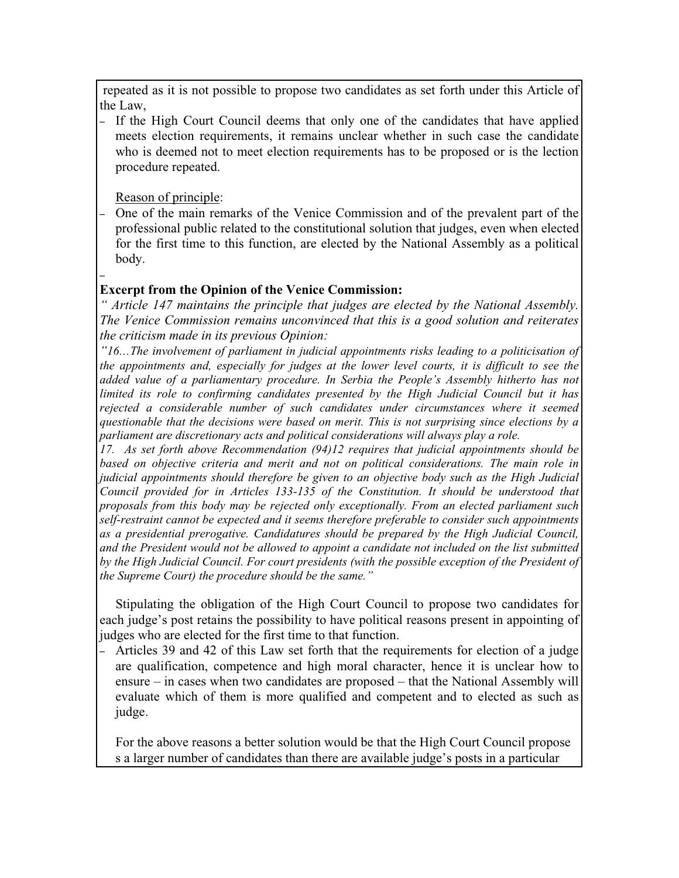repeated as it is not possible to propose two candidates as set forth under this Article of the Law,

ದ If the High Court Council deems that only one of the candidates that have applied meets election requirements, it remains unclear whether in such case the candidate who is deemed not to meet election requirements has to be proposed or is the lection procedure repeated.

Reason of principle:

ದ

ದ One of the main remarks of the Venice Commission and of the prevalent part of the professional public related to the constitutional solution that judges, even when elected for the first time to this function, are elected by the National Assembly as a political body.

# **Excerpt from the Opinion of the Venice Commission:**

 *Article 147 maintains the principle that judges are elected by the National Assembly. The Venice Commission remains unconvinced that this is a good solution and reiterates the criticism made in its previous Opinion:* 

*16The involvement of parliament in judicial appointments risks leading to a politicisation of the appointments and, especially for judges at the lower level courts, it is difficult to see the added value of a parliamentary procedure. In Serbia the People's Assembly hitherto has not limited its role to confirming candidates presented by the High Judicial Council but it has rejected a considerable number of such candidates under circumstances where it seemed questionable that the decisions were based on merit. This is not surprising since elections by a parliament are discretionary acts and political considerations will always play a role.* 

*17. As set forth above Recommendation (94)12 requires that judicial appointments should be*  based on objective criteria and merit and not on political considerations. The main role in *judicial appointments should therefore be given to an objective body such as the High Judicial Council provided for in Articles 133-135 of the Constitution. It should be understood that proposals from this body may be rejected only exceptionally. From an elected parliament such self-restraint cannot be expected and it seems therefore preferable to consider such appointments as a presidential prerogative. Candidatures should be prepared by the High Judicial Council, and the President would not be allowed to appoint a candidate not included on the list submitted by the High Judicial Council. For court presidents (with the possible exception of the President of the Supreme Court) the procedure should be the same.* 

Stipulating the obligation of the High Court Council to propose two candidates for each judge's post retains the possibility to have political reasons present in appointing of judges who are elected for the first time to that function.

- Articles 39 and 42 of this Law set forth that the requirements for election of a judge are qualification, competence and high moral character, hence it is unclear how to  $ensure - in cases when two candidates are proposed - that the National Assembly will$ evaluate which of them is more qualified and competent and to elected as such as judge.

For the above reasons a better solution would be that the High Court Council propose s a larger number of candidates than there are available judge's posts in a particular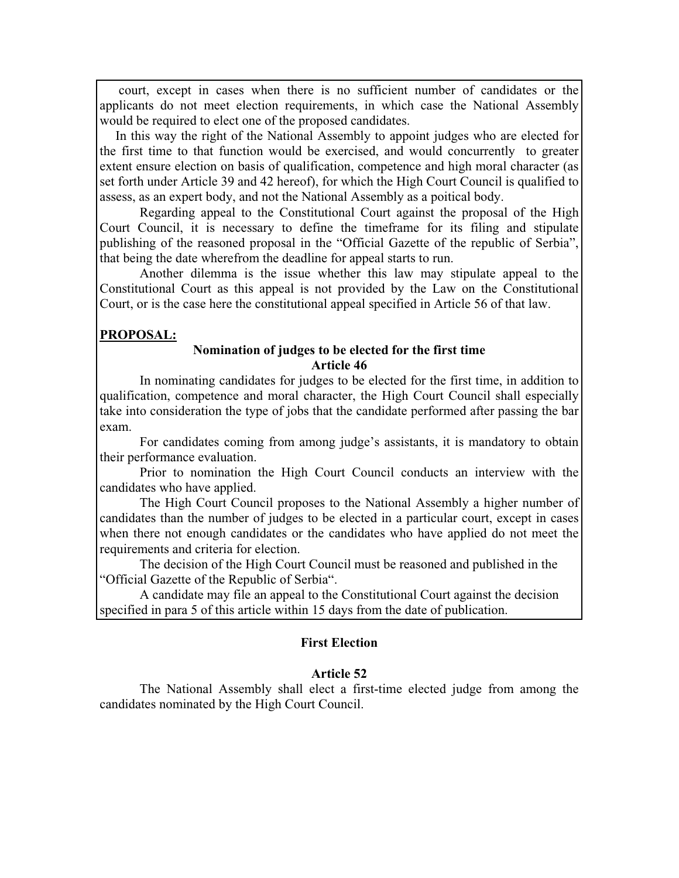court, except in cases when there is no sufficient number of candidates or the applicants do not meet election requirements, in which case the National Assembly would be required to elect one of the proposed candidates.

In this way the right of the National Assembly to appoint judges who are elected for the first time to that function would be exercised, and would concurrently to greater extent ensure election on basis of qualification, competence and high moral character (as set forth under Article 39 and 42 hereof), for which the High Court Council is qualified to assess, as an expert body, and not the National Assembly as a poitical body.

Regarding appeal to the Constitutional Court against the proposal of the High Court Council, it is necessary to define the timeframe for its filing and stipulate publishing of the reasoned proposal in the "Official Gazette of the republic of Serbia", that being the date wherefrom the deadline for appeal starts to run.

Another dilemma is the issue whether this law may stipulate appeal to the Constitutional Court as this appeal is not provided by the Law on the Constitutional Court, or is the case here the constitutional appeal specified in Article 56 of that law.

# **PROPOSAL:**

# **Nomination of judges to be elected for the first time**

**Article 46** 

 In nominating candidates for judges to be elected for the first time, in addition to qualification, competence and moral character, the High Court Council shall especially take into consideration the type of jobs that the candidate performed after passing the bar exam.

For candidates coming from among judge's assistants, it is mandatory to obtain their performance evaluation.

 Prior to nomination the High Court Council conducts an interview with the candidates who have applied.

The High Court Council proposes to the National Assembly a higher number of candidates than the number of judges to be elected in a particular court, except in cases when there not enough candidates or the candidates who have applied do not meet the requirements and criteria for election.

 The decision of the High Court Council must be reasoned and published in the "Official Gazette of the Republic of Serbia".

 A candidate may file an appeal to the Constitutional Court against the decision specified in para 5 of this article within 15 days from the date of publication.

# **First Election**

### **Article 52**

 The National Assembly shall elect a first-time elected judge from among the candidates nominated by the High Court Council.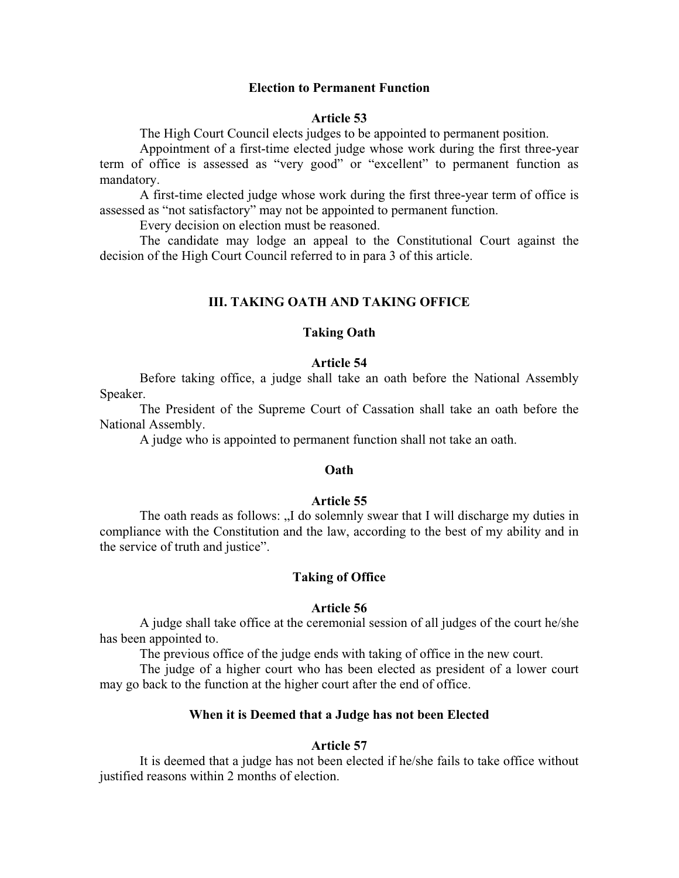#### **Election to Permanent Function**

### **Article 53**

The High Court Council elects judges to be appointed to permanent position.

 Appointment of a first-time elected judge whose work during the first three-year term of office is assessed as "very good" or "excellent" to permanent function as mandatory.

 A first-time elected judge whose work during the first three-year term of office is assessed as "not satisfactory" may not be appointed to permanent function.

Every decision on election must be reasoned.

 The candidate may lodge an appeal to the Constitutional Court against the decision of the High Court Council referred to in para 3 of this article.

### **III. TAKING OATH AND TAKING OFFICE**

# **Taking Oath**

#### **Article 54**

 Before taking office, a judge shall take an oath before the National Assembly Speaker.

 The President of the Supreme Court of Cassation shall take an oath before the National Assembly.

A judge who is appointed to permanent function shall not take an oath.

# **Oath**

#### **Article 55**

The oath reads as follows: "I do solemnly swear that I will discharge my duties in compliance with the Constitution and the law, according to the best of my ability and in the service of truth and justice".

### **Taking of Office**

# **Article 56**

 A judge shall take office at the ceremonial session of all judges of the court he/she has been appointed to.

The previous office of the judge ends with taking of office in the new court.

 The judge of a higher court who has been elected as president of a lower court may go back to the function at the higher court after the end of office.

### **When it is Deemed that a Judge has not been Elected**

#### **Article 57**

 It is deemed that a judge has not been elected if he/she fails to take office without justified reasons within 2 months of election.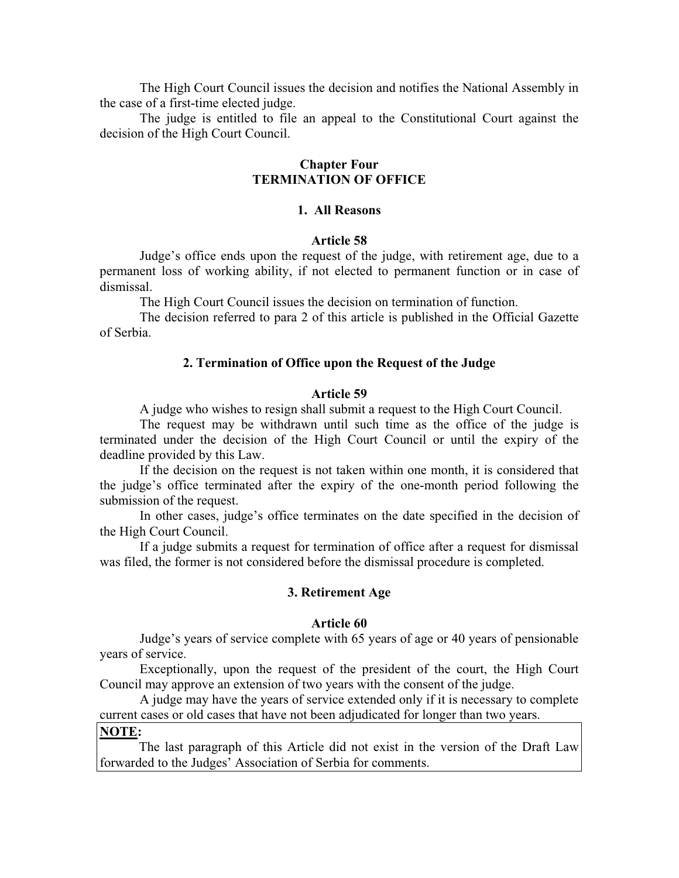The High Court Council issues the decision and notifies the National Assembly in the case of a first-time elected judge.

 The judge is entitled to file an appeal to the Constitutional Court against the decision of the High Court Council.

# **Chapter Four TERMINATION OF OFFICE**

#### **1. All Reasons**

#### **Article 58**

Judge's office ends upon the request of the judge, with retirement age, due to a permanent loss of working ability, if not elected to permanent function or in case of dismissal.

The High Court Council issues the decision on termination of function.

 The decision referred to para 2 of this article is published in the Official Gazette of Serbia.

#### **2. Termination of Office upon the Request of the Judge**

#### **Article 59**

A judge who wishes to resign shall submit a request to the High Court Council.

 The request may be withdrawn until such time as the office of the judge is terminated under the decision of the High Court Council or until the expiry of the deadline provided by this Law.

 If the decision on the request is not taken within one month, it is considered that the judge's office terminated after the expiry of the one-month period following the submission of the request.

In other cases, judge's office terminates on the date specified in the decision of the High Court Council.

 If a judge submits a request for termination of office after a request for dismissal was filed, the former is not considered before the dismissal procedure is completed.

#### **3. Retirement Age**

#### **Article 60**

Judge's years of service complete with 65 years of age or 40 years of pensionable years of service.

 Exceptionally, upon the request of the president of the court, the High Court Council may approve an extension of two years with the consent of the judge.

 A judge may have the years of service extended only if it is necessary to complete current cases or old cases that have not been adjudicated for longer than two years.

# **NOTE:**

The last paragraph of this Article did not exist in the version of the Draft Law forwarded to the Judges' Association of Serbia for comments.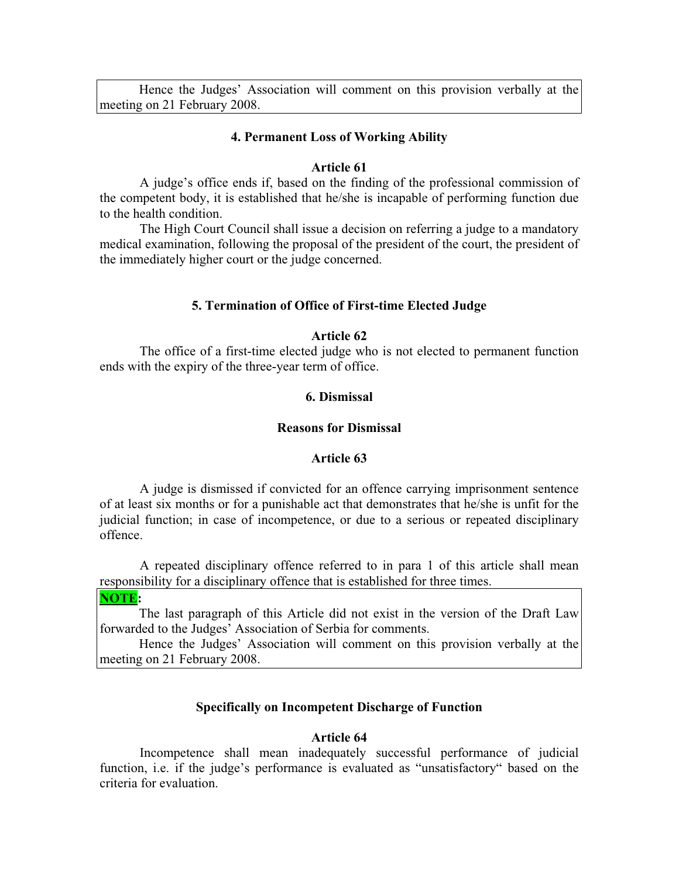Hence the Judges' Association will comment on this provision verbally at the meeting on 21 February 2008.

### **4. Permanent Loss of Working Ability**

# **Article 61**

A judge's office ends if, based on the finding of the professional commission of the competent body, it is established that he/she is incapable of performing function due to the health condition.

 The High Court Council shall issue a decision on referring a judge to a mandatory medical examination, following the proposal of the president of the court, the president of the immediately higher court or the judge concerned.

#### **5. Termination of Office of First-time Elected Judge**

# **Article 62**

 The office of a first-time elected judge who is not elected to permanent function ends with the expiry of the three-year term of office.

### **6. Dismissal**

#### **Reasons for Dismissal**

# **Article 63**

 A judge is dismissed if convicted for an offence carrying imprisonment sentence of at least six months or for a punishable act that demonstrates that he/she is unfit for the judicial function; in case of incompetence, or due to a serious or repeated disciplinary offence.

 A repeated disciplinary offence referred to in para 1 of this article shall mean responsibility for a disciplinary offence that is established for three times.

#### **NOTE:**

The last paragraph of this Article did not exist in the version of the Draft Law forwarded to the Judges' Association of Serbia for comments.

Hence the Judges' Association will comment on this provision verbally at the meeting on 21 February 2008.

# **Specifically on Incompetent Discharge of Function**

# **Article 64**

 Incompetence shall mean inadequately successful performance of judicial function, i.e. if the judge's performance is evaluated as "unsatisfactory" based on the criteria for evaluation.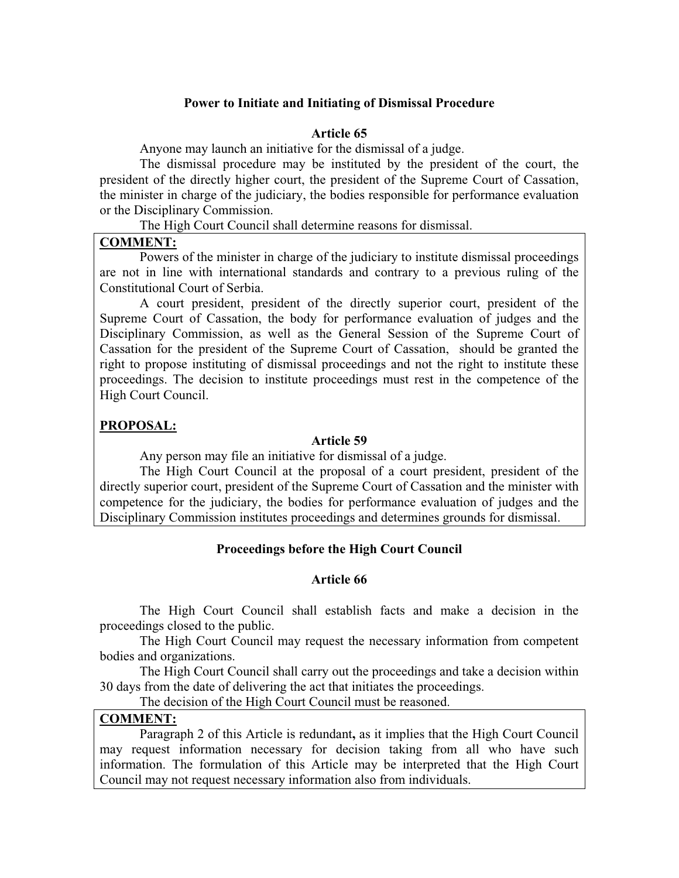# **Power to Initiate and Initiating of Dismissal Procedure**

#### **Article 65**

Anyone may launch an initiative for the dismissal of a judge.

 The dismissal procedure may be instituted by the president of the court, the president of the directly higher court, the president of the Supreme Court of Cassation, the minister in charge of the judiciary, the bodies responsible for performance evaluation or the Disciplinary Commission.

#### The High Court Council shall determine reasons for dismissal.

# **COMMENT:**

Powers of the minister in charge of the judiciary to institute dismissal proceedings are not in line with international standards and contrary to a previous ruling of the Constitutional Court of Serbia.

 A court president, president of the directly superior court, president of the Supreme Court of Cassation, the body for performance evaluation of judges and the Disciplinary Commission, as well as the General Session of the Supreme Court of Cassation for the president of the Supreme Court of Cassation, should be granted the right to propose instituting of dismissal proceedings and not the right to institute these proceedings. The decision to institute proceedings must rest in the competence of the High Court Council.

# **PROPOSAL:**

#### **Article 59**

Any person may file an initiative for dismissal of a judge.

 The High Court Council at the proposal of a court president, president of the directly superior court, president of the Supreme Court of Cassation and the minister with competence for the judiciary, the bodies for performance evaluation of judges and the Disciplinary Commission institutes proceedings and determines grounds for dismissal.

### **Proceedings before the High Court Council**

### **Article 66**

 The High Court Council shall establish facts and make a decision in the proceedings closed to the public.

 The High Court Council may request the necessary information from competent bodies and organizations.

 The High Court Council shall carry out the proceedings and take a decision within 30 days from the date of delivering the act that initiates the proceedings.

The decision of the High Court Council must be reasoned.

# **COMMENT:**

Paragraph 2 of this Article is redundant**,** as it implies that the High Court Council may request information necessary for decision taking from all who have such information. The formulation of this Article may be interpreted that the High Court Council may not request necessary information also from individuals.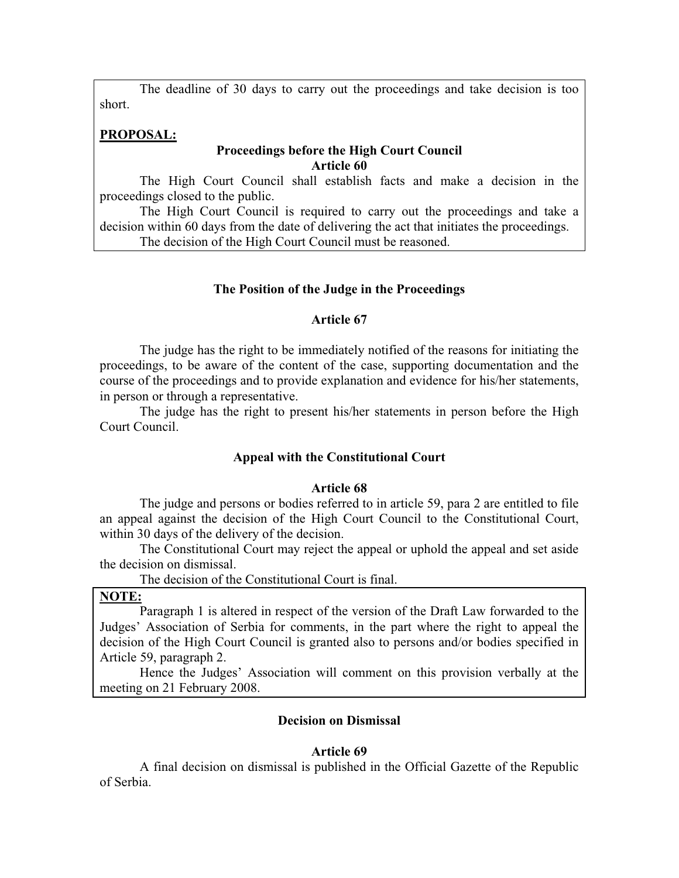The deadline of 30 days to carry out the proceedings and take decision is too short.

# **PROPOSAL:**

# **Proceedings before the High Court Council Article 60**

 The High Court Council shall establish facts and make a decision in the proceedings closed to the public.

 The High Court Council is required to carry out the proceedings and take a decision within 60 days from the date of delivering the act that initiates the proceedings. The decision of the High Court Council must be reasoned.

### **The Position of the Judge in the Proceedings**

### **Article 67**

 The judge has the right to be immediately notified of the reasons for initiating the proceedings, to be aware of the content of the case, supporting documentation and the course of the proceedings and to provide explanation and evidence for his/her statements, in person or through a representative.

 The judge has the right to present his/her statements in person before the High Court Council.

# **Appeal with the Constitutional Court**

#### **Article 68**

 The judge and persons or bodies referred to in article 59, para 2 are entitled to file an appeal against the decision of the High Court Council to the Constitutional Court, within 30 days of the delivery of the decision.

 The Constitutional Court may reject the appeal or uphold the appeal and set aside the decision on dismissal.

The decision of the Constitutional Court is final.

### **NOTE:**

Paragraph 1 is altered in respect of the version of the Draft Law forwarded to the Judges' Association of Serbia for comments, in the part where the right to appeal the decision of the High Court Council is granted also to persons and/or bodies specified in Article 59, paragraph 2.

Hence the Judges' Association will comment on this provision verbally at the meeting on 21 February 2008.

### **Decision on Dismissal**

# **Article 69**

 A final decision on dismissal is published in the Official Gazette of the Republic of Serbia.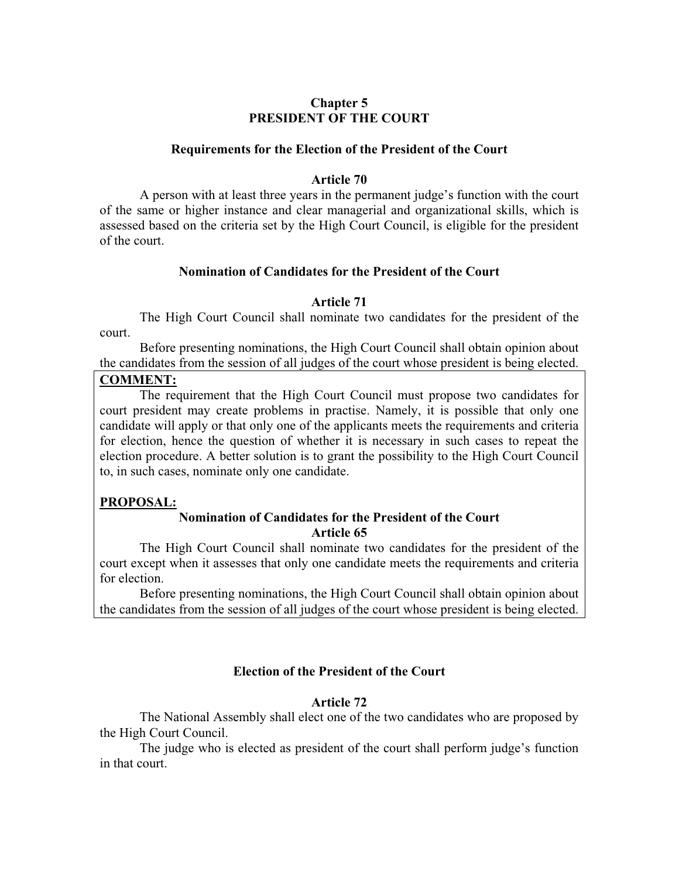# **Chapter 5 PRESIDENT OF THE COURT**

# **Requirements for the Election of the President of the Court**

### **Article 70**

A person with at least three years in the permanent judge's function with the court of the same or higher instance and clear managerial and organizational skills, which is assessed based on the criteria set by the High Court Council, is eligible for the president of the court.

### **Nomination of Candidates for the President of the Court**

# **Article 71**

 The High Court Council shall nominate two candidates for the president of the court.

 Before presenting nominations, the High Court Council shall obtain opinion about the candidates from the session of all judges of the court whose president is being elected.

# **COMMENT:**

The requirement that the High Court Council must propose two candidates for court president may create problems in practise. Namely, it is possible that only one candidate will apply or that only one of the applicants meets the requirements and criteria for election, hence the question of whether it is necessary in such cases to repeat the election procedure. A better solution is to grant the possibility to the High Court Council to, in such cases, nominate only one candidate.

# **PROPOSAL:**

# **Nomination of Candidates for the President of the Court Article 65**

 The High Court Council shall nominate two candidates for the president of the court except when it assesses that only one candidate meets the requirements and criteria for election.

 Before presenting nominations, the High Court Council shall obtain opinion about the candidates from the session of all judges of the court whose president is being elected.

# **Election of the President of the Court**

# **Article 72**

 The National Assembly shall elect one of the two candidates who are proposed by the High Court Council.

The judge who is elected as president of the court shall perform judge's function in that court.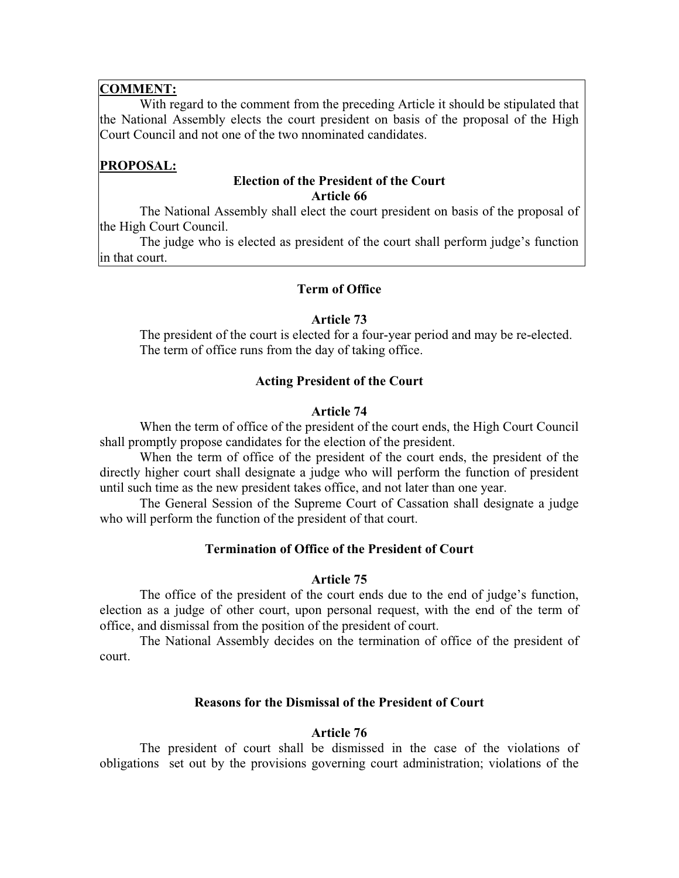# **COMMENT:**

With regard to the comment from the preceding Article it should be stipulated that the National Assembly elects the court president on basis of the proposal of the High Court Council and not one of the two nnominated candidates.

# **PROPOSAL:**

# **Election of the President of the Court Article 66**

 The National Assembly shall elect the court president on basis of the proposal of the High Court Council.

The judge who is elected as president of the court shall perform judge's function in that court.

# **Term of Office**

# **Article 73**

 The president of the court is elected for a four-year period and may be re-elected. The term of office runs from the day of taking office.

# **Acting President of the Court**

# **Article 74**

 When the term of office of the president of the court ends, the High Court Council shall promptly propose candidates for the election of the president.

 When the term of office of the president of the court ends, the president of the directly higher court shall designate a judge who will perform the function of president until such time as the new president takes office, and not later than one year.

 The General Session of the Supreme Court of Cassation shall designate a judge who will perform the function of the president of that court.

# **Termination of Office of the President of Court**

### **Article 75**

The office of the president of the court ends due to the end of judge's function, election as a judge of other court, upon personal request, with the end of the term of office, and dismissal from the position of the president of court.

 The National Assembly decides on the termination of office of the president of court.

# **Reasons for the Dismissal of the President of Court**

### **Article 76**

 The president of court shall be dismissed in the case of the violations of obligations set out by the provisions governing court administration; violations of the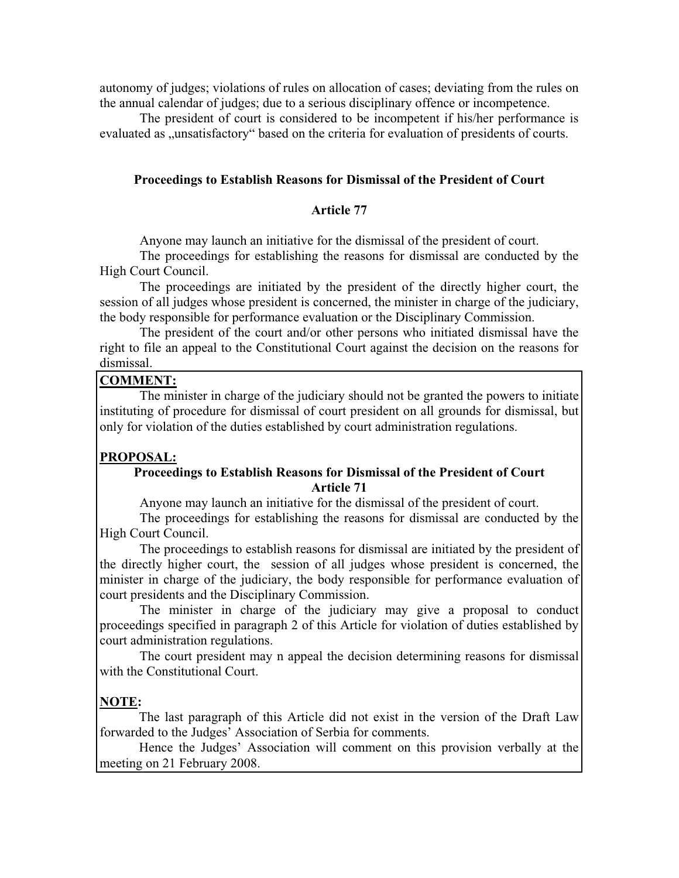autonomy of judges; violations of rules on allocation of cases; deviating from the rules on the annual calendar of judges; due to a serious disciplinary offence or incompetence.

 The president of court is considered to be incompetent if his/her performance is evaluated as "unsatisfactory" based on the criteria for evaluation of presidents of courts.

### **Proceedings to Establish Reasons for Dismissal of the President of Court**

#### **Article 77**

Anyone may launch an initiative for the dismissal of the president of court.

 The proceedings for establishing the reasons for dismissal are conducted by the High Court Council.

The proceedings are initiated by the president of the directly higher court, the session of all judges whose president is concerned, the minister in charge of the judiciary, the body responsible for performance evaluation or the Disciplinary Commission.

 The president of the court and/or other persons who initiated dismissal have the right to file an appeal to the Constitutional Court against the decision on the reasons for dismissal.

# **COMMENT:**

The minister in charge of the judiciary should not be granted the powers to initiate instituting of procedure for dismissal of court president on all grounds for dismissal, but only for violation of the duties established by court administration regulations.

# **PROPOSAL:**

# **Proceedings to Establish Reasons for Dismissal of the President of Court Article 71**

Anyone may launch an initiative for the dismissal of the president of court.

 The proceedings for establishing the reasons for dismissal are conducted by the High Court Council.

 The proceedings to establish reasons for dismissal are initiated by the president of the directly higher court, the session of all judges whose president is concerned, the minister in charge of the judiciary, the body responsible for performance evaluation of court presidents and the Disciplinary Commission.

 The minister in charge of the judiciary may give a proposal to conduct proceedings specified in paragraph 2 of this Article for violation of duties established by court administration regulations.

 The court president may n appeal the decision determining reasons for dismissal with the Constitutional Court.

#### **NOTE:**

The last paragraph of this Article did not exist in the version of the Draft Law forwarded to the Judges' Association of Serbia for comments.

Hence the Judges' Association will comment on this provision verbally at the meeting on 21 February 2008.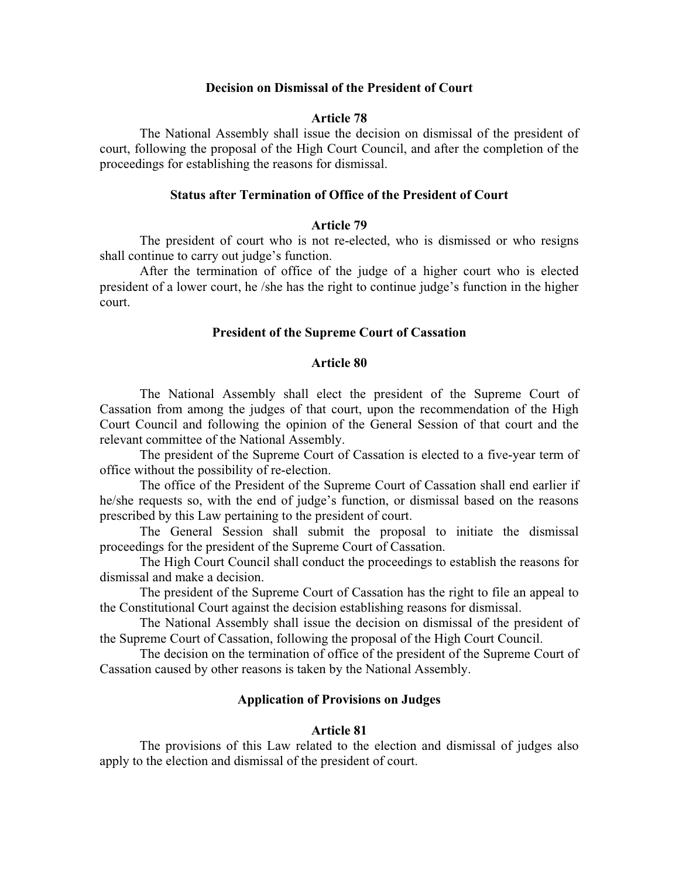### **Decision on Dismissal of the President of Court**

### **Article 78**

 The National Assembly shall issue the decision on dismissal of the president of court, following the proposal of the High Court Council, and after the completion of the proceedings for establishing the reasons for dismissal.

# **Status after Termination of Office of the President of Court**

### **Article 79**

 The president of court who is not re-elected, who is dismissed or who resigns shall continue to carry out judge's function.

 After the termination of office of the judge of a higher court who is elected president of a lower court, he /she has the right to continue judge's function in the higher court.

#### **President of the Supreme Court of Cassation**

#### **Article 80**

 The National Assembly shall elect the president of the Supreme Court of Cassation from among the judges of that court, upon the recommendation of the High Court Council and following the opinion of the General Session of that court and the relevant committee of the National Assembly.

 The president of the Supreme Court of Cassation is elected to a five-year term of office without the possibility of re-election.

 The office of the President of the Supreme Court of Cassation shall end earlier if he/she requests so, with the end of judge's function, or dismissal based on the reasons prescribed by this Law pertaining to the president of court.

 The General Session shall submit the proposal to initiate the dismissal proceedings for the president of the Supreme Court of Cassation.

 The High Court Council shall conduct the proceedings to establish the reasons for dismissal and make a decision.

 The president of the Supreme Court of Cassation has the right to file an appeal to the Constitutional Court against the decision establishing reasons for dismissal.

 The National Assembly shall issue the decision on dismissal of the president of the Supreme Court of Cassation, following the proposal of the High Court Council.

 The decision on the termination of office of the president of the Supreme Court of Cassation caused by other reasons is taken by the National Assembly.

#### **Application of Provisions on Judges**

#### **Article 81**

 The provisions of this Law related to the election and dismissal of judges also apply to the election and dismissal of the president of court.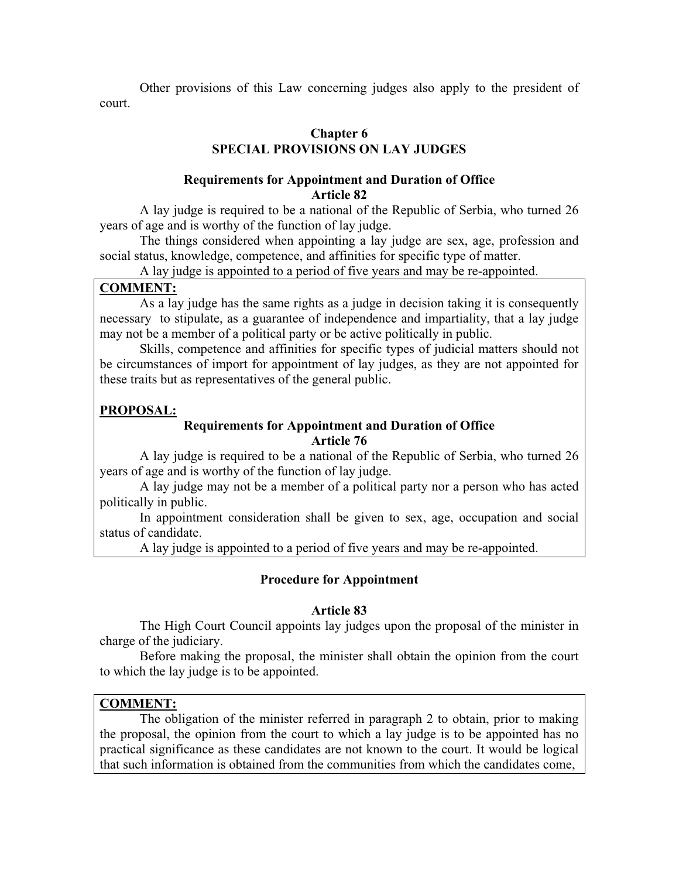Other provisions of this Law concerning judges also apply to the president of court.

# **Chapter 6 SPECIAL PROVISIONS ON LAY JUDGES**

# **Requirements for Appointment and Duration of Office Article 82**

 A lay judge is required to be a national of the Republic of Serbia, who turned 26 years of age and is worthy of the function of lay judge.

 The things considered when appointing a lay judge are sex, age, profession and social status, knowledge, competence, and affinities for specific type of matter.

A lay judge is appointed to a period of five years and may be re-appointed.

# **COMMENT:**

As a lay judge has the same rights as a judge in decision taking it is consequently necessary to stipulate, as a guarantee of independence and impartiality, that a lay judge may not be a member of a political party or be active politically in public.

 Skills, competence and affinities for specific types of judicial matters should not be circumstances of import for appointment of lay judges, as they are not appointed for these traits but as representatives of the general public.

# **PROPOSAL:**

# **Requirements for Appointment and Duration of Office**

**Article 76** 

 A lay judge is required to be a national of the Republic of Serbia, who turned 26 years of age and is worthy of the function of lay judge.

A lay judge may not be a member of a political party nor a person who has acted politically in public.

 In appointment consideration shall be given to sex, age, occupation and social status of candidate.

A lay judge is appointed to a period of five years and may be re-appointed.

# **Procedure for Appointment**

# **Article 83**

 The High Court Council appoints lay judges upon the proposal of the minister in charge of the judiciary.

 Before making the proposal, the minister shall obtain the opinion from the court to which the lay judge is to be appointed.

# **COMMENT:**

The obligation of the minister referred in paragraph 2 to obtain, prior to making the proposal, the opinion from the court to which a lay judge is to be appointed has no practical significance as these candidates are not known to the court. It would be logical that such information is obtained from the communities from which the candidates come,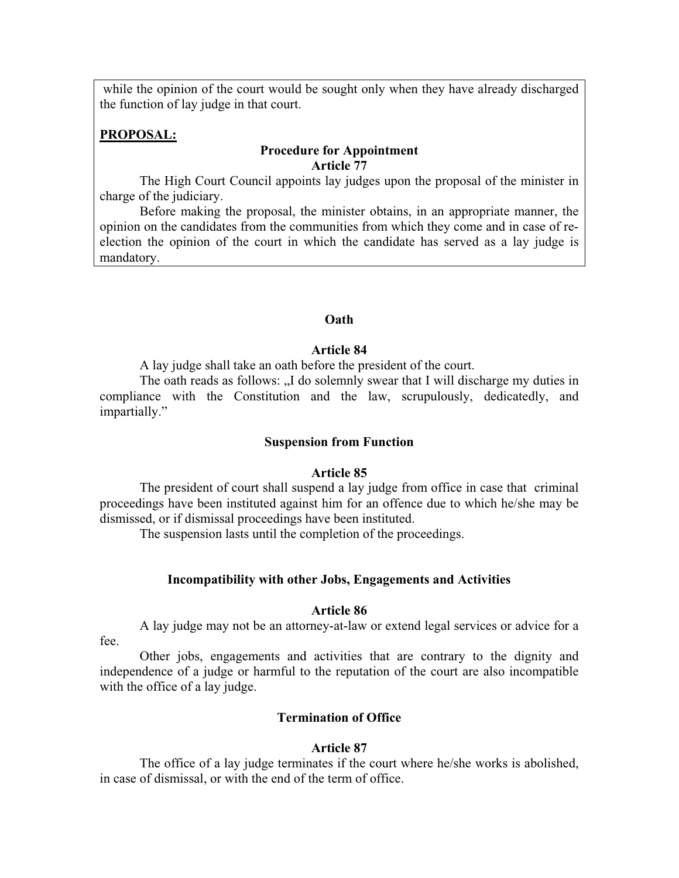while the opinion of the court would be sought only when they have already discharged the function of lay judge in that court.

# **PROPOSAL:**

# **Procedure for Appointment Article 77**

 The High Court Council appoints lay judges upon the proposal of the minister in charge of the judiciary.

 Before making the proposal, the minister obtains, in an appropriate manner, the opinion on the candidates from the communities from which they come and in case of reelection the opinion of the court in which the candidate has served as a lay judge is mandatory.

# **Oath**

### **Article 84**

A lay judge shall take an oath before the president of the court.

The oath reads as follows: "I do solemnly swear that I will discharge my duties in compliance with the Constitution and the law, scrupulously, dedicatedly, and impartially."

#### **Suspension from Function**

#### **Article 85**

 The president of court shall suspend a lay judge from office in case that criminal proceedings have been instituted against him for an offence due to which he/she may be dismissed, or if dismissal proceedings have been instituted.

The suspension lasts until the completion of the proceedings.

#### **Incompatibility with other Jobs, Engagements and Activities**

# **Article 86**

A lay judge may not be an attorney-at-law or extend legal services or advice for a

fee.

 Other jobs, engagements and activities that are contrary to the dignity and independence of a judge or harmful to the reputation of the court are also incompatible with the office of a lay judge.

### **Termination of Office**

#### **Article 87**

 The office of a lay judge terminates if the court where he/she works is abolished, in case of dismissal, or with the end of the term of office.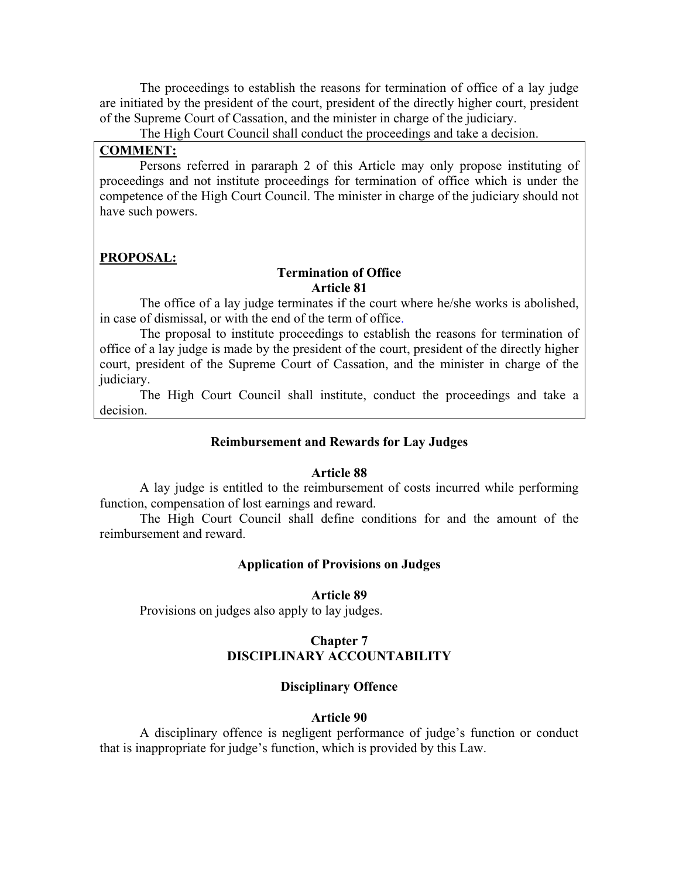The proceedings to establish the reasons for termination of office of a lay judge are initiated by the president of the court, president of the directly higher court, president of the Supreme Court of Cassation, and the minister in charge of the judiciary.

The High Court Council shall conduct the proceedings and take a decision.

# **COMMENT:**

Persons referred in pararaph 2 of this Article may only propose instituting of proceedings and not institute proceedings for termination of office which is under the competence of the High Court Council. The minister in charge of the judiciary should not have such powers.

# **PROPOSAL:**

### **Termination of Office Article 81**

 The office of a lay judge terminates if the court where he/she works is abolished, in case of dismissal, or with the end of the term of office.

 The proposal to institute proceedings to establish the reasons for termination of office of a lay judge is made by the president of the court, president of the directly higher court, president of the Supreme Court of Cassation, and the minister in charge of the judiciary.

 The High Court Council shall institute, conduct the proceedings and take a decision.

# **Reimbursement and Rewards for Lay Judges**

### **Article 88**

 A lay judge is entitled to the reimbursement of costs incurred while performing function, compensation of lost earnings and reward.

 The High Court Council shall define conditions for and the amount of the reimbursement and reward.

### **Application of Provisions on Judges**

#### **Article 89**

Provisions on judges also apply to lay judges.

# **Chapter 7 DISCIPLINARY ACCOUNTABILITY**

# **Disciplinary Offence**

#### **Article 90**

A disciplinary offence is negligent performance of judge's function or conduct that is inappropriate for judge's function, which is provided by this Law.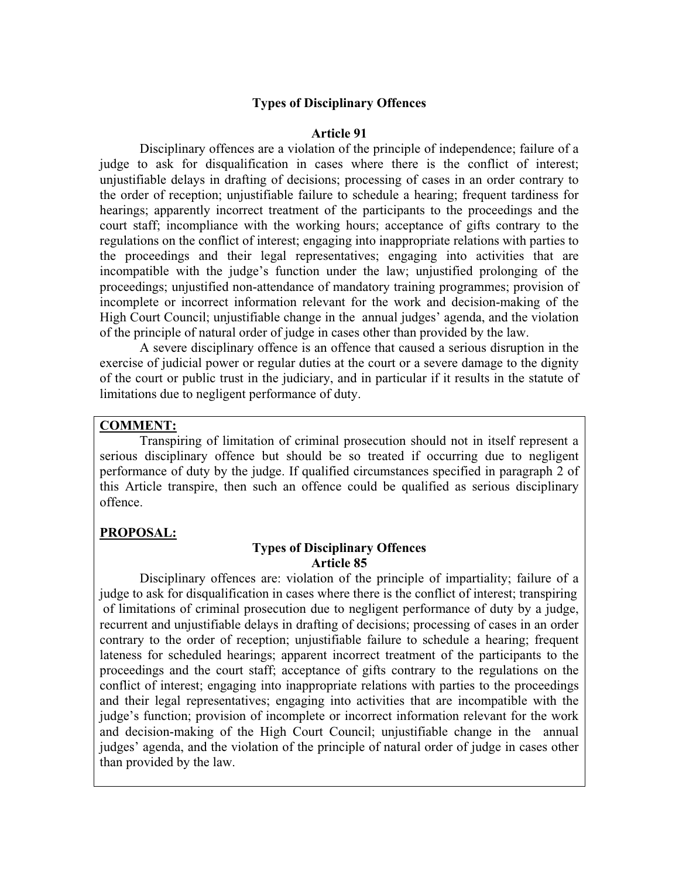# **Types of Disciplinary Offences**

# **Article 91**

 Disciplinary offences are a violation of the principle of independence; failure of a judge to ask for disqualification in cases where there is the conflict of interest; unjustifiable delays in drafting of decisions; processing of cases in an order contrary to the order of reception; unjustifiable failure to schedule a hearing; frequent tardiness for hearings; apparently incorrect treatment of the participants to the proceedings and the court staff; incompliance with the working hours; acceptance of gifts contrary to the regulations on the conflict of interest; engaging into inappropriate relations with parties to the proceedings and their legal representatives; engaging into activities that are incompatible with the judge's function under the law; unjustified prolonging of the proceedings; unjustified non-attendance of mandatory training programmes; provision of incomplete or incorrect information relevant for the work and decision-making of the High Court Council; unjustifiable change in the annual judges' agenda, and the violation of the principle of natural order of judge in cases other than provided by the law.

 A severe disciplinary offence is an offence that caused a serious disruption in the exercise of judicial power or regular duties at the court or a severe damage to the dignity of the court or public trust in the judiciary, and in particular if it results in the statute of limitations due to negligent performance of duty.

### **COMMENT:**

Transpiring of limitation of criminal prosecution should not in itself represent a serious disciplinary offence but should be so treated if occurring due to negligent performance of duty by the judge. If qualified circumstances specified in paragraph 2 of this Article transpire, then such an offence could be qualified as serious disciplinary offence.

# **PROPOSAL:**

# **Types of Disciplinary Offences Article 85**

 Disciplinary offences are: violation of the principle of impartiality; failure of a judge to ask for disqualification in cases where there is the conflict of interest; transpiring of limitations of criminal prosecution due to negligent performance of duty by a judge, recurrent and unjustifiable delays in drafting of decisions; processing of cases in an order contrary to the order of reception; unjustifiable failure to schedule a hearing; frequent lateness for scheduled hearings; apparent incorrect treatment of the participants to the proceedings and the court staff; acceptance of gifts contrary to the regulations on the conflict of interest; engaging into inappropriate relations with parties to the proceedings and their legal representatives; engaging into activities that are incompatible with the judge's function; provision of incomplete or incorrect information relevant for the work and decision-making of the High Court Council; unjustifiable change in the annual judges' agenda, and the violation of the principle of natural order of judge in cases other than provided by the law.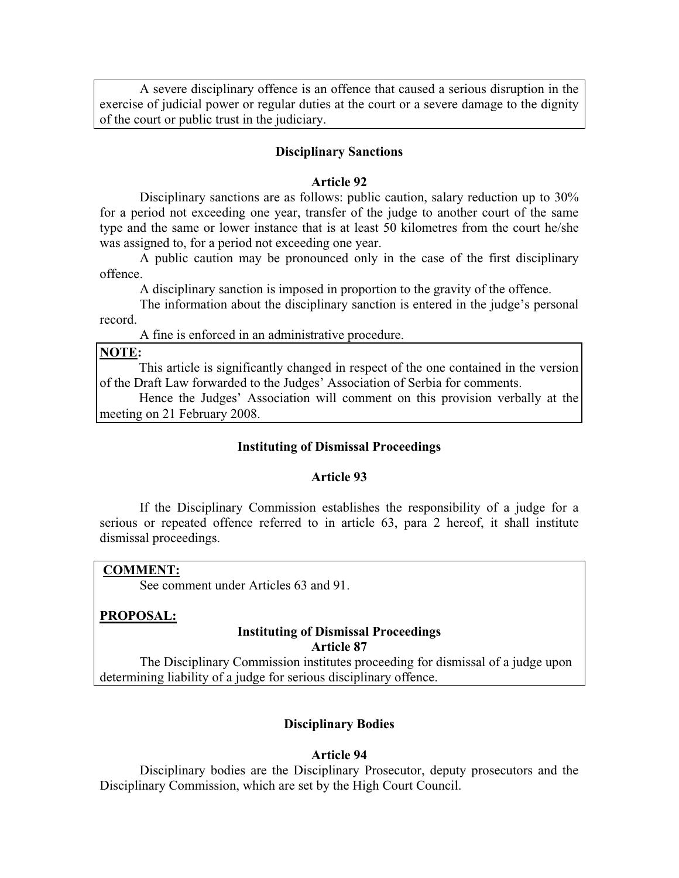A severe disciplinary offence is an offence that caused a serious disruption in the exercise of judicial power or regular duties at the court or a severe damage to the dignity of the court or public trust in the judiciary.

### **Disciplinary Sanctions**

#### **Article 92**

 Disciplinary sanctions are as follows: public caution, salary reduction up to 30% for a period not exceeding one year, transfer of the judge to another court of the same type and the same or lower instance that is at least 50 kilometres from the court he/she was assigned to, for a period not exceeding one year.

 A public caution may be pronounced only in the case of the first disciplinary offence.

A disciplinary sanction is imposed in proportion to the gravity of the offence.

The information about the disciplinary sanction is entered in the judge's personal record.

A fine is enforced in an administrative procedure.

### **NOTE:**

This article is significantly changed in respect of the one contained in the version of the Draft Law forwarded to the Judges' Association of Serbia for comments.

Hence the Judges' Association will comment on this provision verbally at the meeting on 21 February 2008.

#### **Instituting of Dismissal Proceedings**

#### **Article 93**

 If the Disciplinary Commission establishes the responsibility of a judge for a serious or repeated offence referred to in article 63, para 2 hereof, it shall institute dismissal proceedings.

#### **COMMENT:**

See comment under Articles 63 and 91.

### **PROPOSAL:**

# **Instituting of Dismissal Proceedings**

**Article 87** 

 The Disciplinary Commission institutes proceeding for dismissal of a judge upon determining liability of a judge for serious disciplinary offence.

# **Disciplinary Bodies**

#### **Article 94**

 Disciplinary bodies are the Disciplinary Prosecutor, deputy prosecutors and the Disciplinary Commission, which are set by the High Court Council.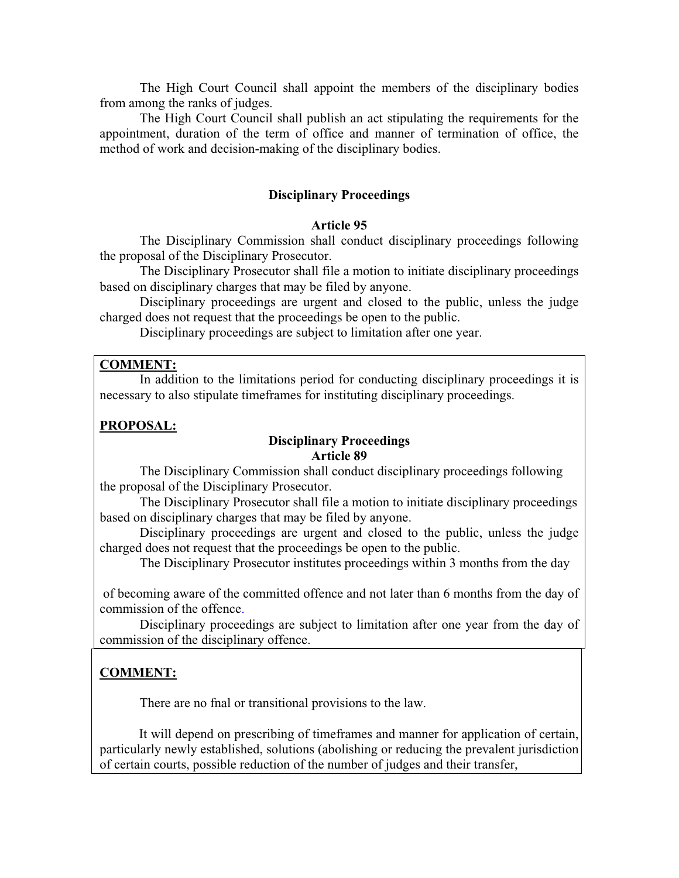The High Court Council shall appoint the members of the disciplinary bodies from among the ranks of judges.

 The High Court Council shall publish an act stipulating the requirements for the appointment, duration of the term of office and manner of termination of office, the method of work and decision-making of the disciplinary bodies.

# **Disciplinary Proceedings**

# **Article 95**

 The Disciplinary Commission shall conduct disciplinary proceedings following the proposal of the Disciplinary Prosecutor.

 The Disciplinary Prosecutor shall file a motion to initiate disciplinary proceedings based on disciplinary charges that may be filed by anyone.

 Disciplinary proceedings are urgent and closed to the public, unless the judge charged does not request that the proceedings be open to the public.

Disciplinary proceedings are subject to limitation after one year.

#### **COMMENT:**

In addition to the limitations period for conducting disciplinary proceedings it is necessary to also stipulate timeframes for instituting disciplinary proceedings.

#### **PROPOSAL:**

# **Disciplinary Proceedings Article 89**

 The Disciplinary Commission shall conduct disciplinary proceedings following the proposal of the Disciplinary Prosecutor.

 The Disciplinary Prosecutor shall file a motion to initiate disciplinary proceedings based on disciplinary charges that may be filed by anyone.

 Disciplinary proceedings are urgent and closed to the public, unless the judge charged does not request that the proceedings be open to the public.

The Disciplinary Prosecutor institutes proceedings within 3 months from the day

 of becoming aware of the committed offence and not later than 6 months from the day of commission of the offence.

 Disciplinary proceedings are subject to limitation after one year from the day of commission of the disciplinary offence.

# **COMMENT:**

There are no fnal or transitional provisions to the law.

It will depend on prescribing of timeframes and manner for application of certain, particularly newly established, solutions (abolishing or reducing the prevalent jurisdiction of certain courts, possible reduction of the number of judges and their transfer,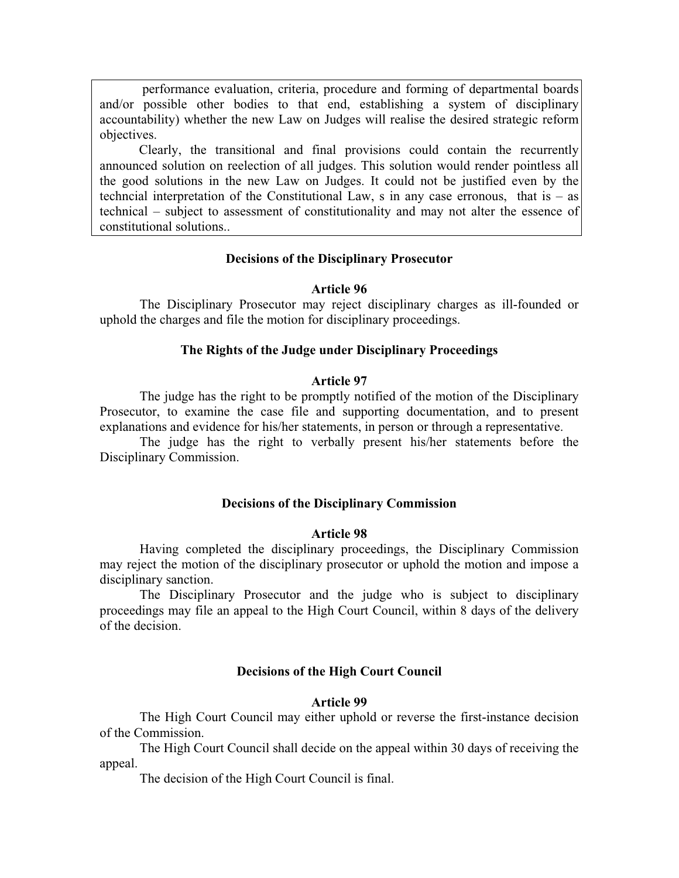performance evaluation, criteria, procedure and forming of departmental boards and/or possible other bodies to that end, establishing a system of disciplinary accountability) whether the new Law on Judges will realise the desired strategic reform objectives.

Clearly, the transitional and final provisions could contain the recurrently announced solution on reelection of all judges. This solution would render pointless all the good solutions in the new Law on Judges. It could not be justified even by the techncial interpretation of the Constitutional Law, s in any case erronous, that is  $-$  as technical  $-$  subject to assessment of constitutionality and may not alter the essence of constitutional solutions..

#### **Decisions of the Disciplinary Prosecutor**

#### **Article 96**

 The Disciplinary Prosecutor may reject disciplinary charges as ill-founded or uphold the charges and file the motion for disciplinary proceedings.

### **The Rights of the Judge under Disciplinary Proceedings**

#### **Article 97**

 The judge has the right to be promptly notified of the motion of the Disciplinary Prosecutor, to examine the case file and supporting documentation, and to present explanations and evidence for his/her statements, in person or through a representative.

 The judge has the right to verbally present his/her statements before the Disciplinary Commission.

#### **Decisions of the Disciplinary Commission**

### **Article 98**

 Having completed the disciplinary proceedings, the Disciplinary Commission may reject the motion of the disciplinary prosecutor or uphold the motion and impose a disciplinary sanction.

 The Disciplinary Prosecutor and the judge who is subject to disciplinary proceedings may file an appeal to the High Court Council, within 8 days of the delivery of the decision.

# **Decisions of the High Court Council**

#### **Article 99**

 The High Court Council may either uphold or reverse the first-instance decision of the Commission.

 The High Court Council shall decide on the appeal within 30 days of receiving the appeal.

The decision of the High Court Council is final.